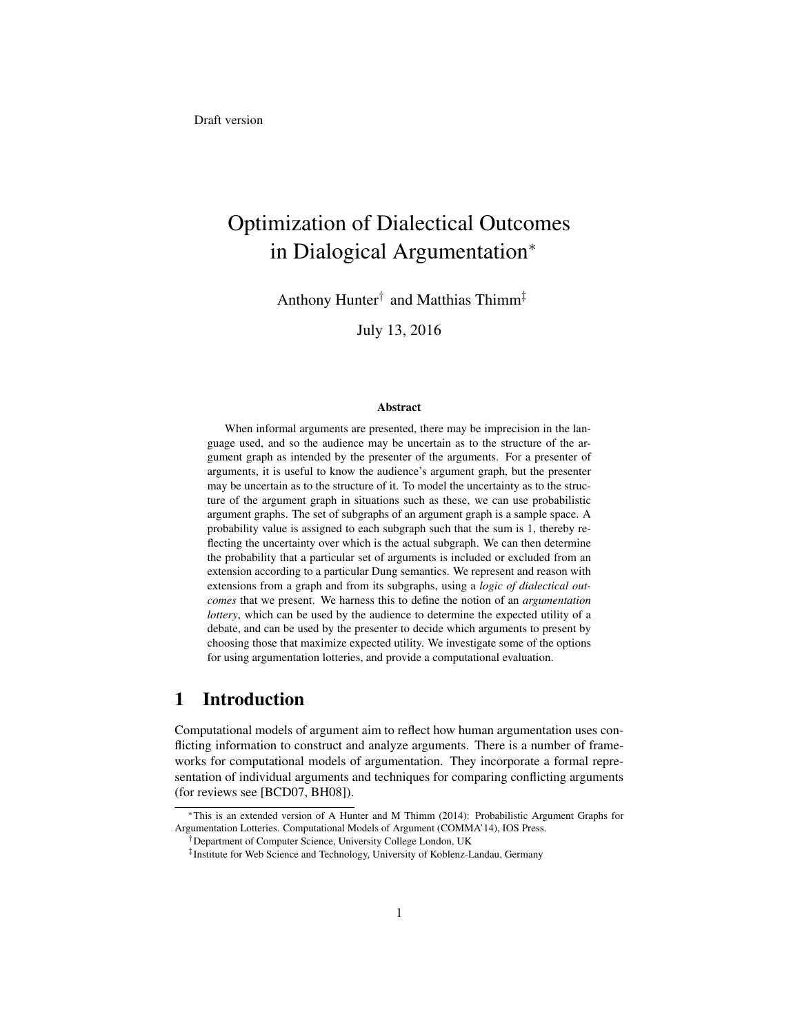# Optimization of Dialectical Outcomes in Dialogical Argumentation<sup>∗</sup>

Anthony Hunter† and Matthias Thimm‡

July 13, 2016

#### Abstract

When informal arguments are presented, there may be imprecision in the language used, and so the audience may be uncertain as to the structure of the argument graph as intended by the presenter of the arguments. For a presenter of arguments, it is useful to know the audience's argument graph, but the presenter may be uncertain as to the structure of it. To model the uncertainty as to the structure of the argument graph in situations such as these, we can use probabilistic argument graphs. The set of subgraphs of an argument graph is a sample space. A probability value is assigned to each subgraph such that the sum is 1, thereby reflecting the uncertainty over which is the actual subgraph. We can then determine the probability that a particular set of arguments is included or excluded from an extension according to a particular Dung semantics. We represent and reason with extensions from a graph and from its subgraphs, using a *logic of dialectical outcomes* that we present. We harness this to define the notion of an *argumentation lottery*, which can be used by the audience to determine the expected utility of a debate, and can be used by the presenter to decide which arguments to present by choosing those that maximize expected utility. We investigate some of the options for using argumentation lotteries, and provide a computational evaluation.

# 1 Introduction

Computational models of argument aim to reflect how human argumentation uses conflicting information to construct and analyze arguments. There is a number of frameworks for computational models of argumentation. They incorporate a formal representation of individual arguments and techniques for comparing conflicting arguments (for reviews see [BCD07, BH08]).

<sup>∗</sup>This is an extended version of A Hunter and M Thimm (2014): Probabilistic Argument Graphs for Argumentation Lotteries. Computational Models of Argument (COMMA'14), IOS Press.

<sup>†</sup>Department of Computer Science, University College London, UK

<sup>‡</sup> Institute for Web Science and Technology, University of Koblenz-Landau, Germany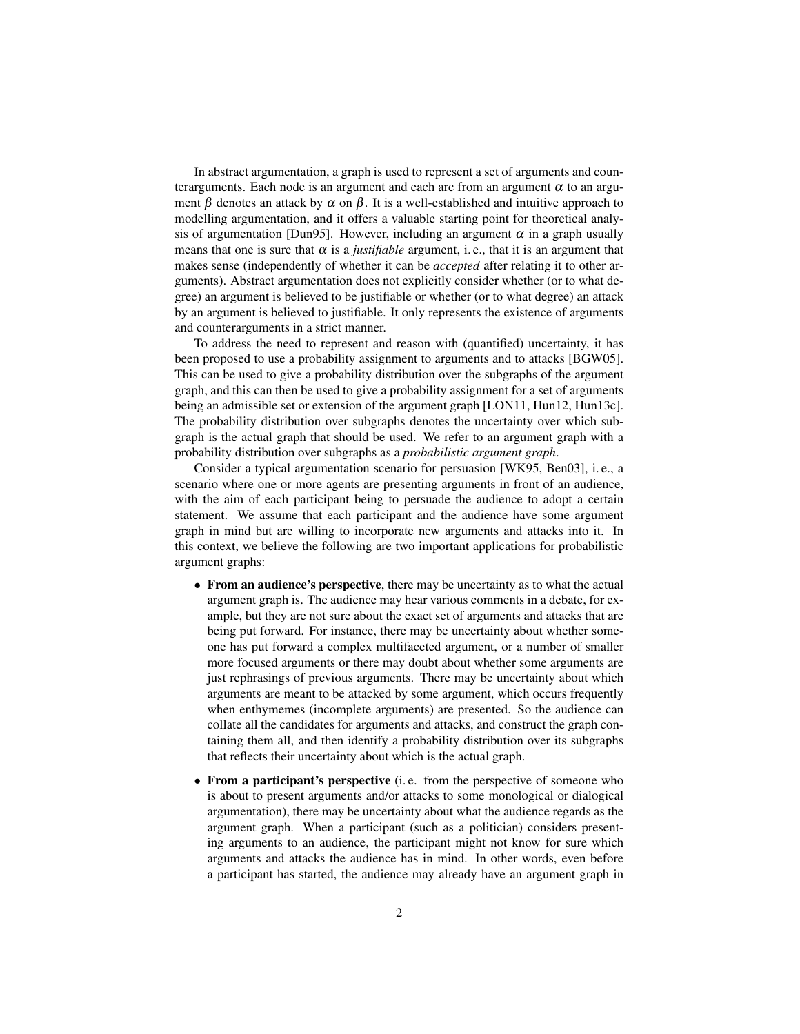In abstract argumentation, a graph is used to represent a set of arguments and counterarguments. Each node is an argument and each arc from an argument  $\alpha$  to an argument  $\beta$  denotes an attack by  $\alpha$  on  $\beta$ . It is a well-established and intuitive approach to modelling argumentation, and it offers a valuable starting point for theoretical analysis of argumentation [Dun95]. However, including an argument  $\alpha$  in a graph usually means that one is sure that  $\alpha$  is a *justifiable* argument, i.e., that it is an argument that makes sense (independently of whether it can be *accepted* after relating it to other arguments). Abstract argumentation does not explicitly consider whether (or to what degree) an argument is believed to be justifiable or whether (or to what degree) an attack by an argument is believed to justifiable. It only represents the existence of arguments and counterarguments in a strict manner.

To address the need to represent and reason with (quantified) uncertainty, it has been proposed to use a probability assignment to arguments and to attacks [BGW05]. This can be used to give a probability distribution over the subgraphs of the argument graph, and this can then be used to give a probability assignment for a set of arguments being an admissible set or extension of the argument graph [LON11, Hun12, Hun13c]. The probability distribution over subgraphs denotes the uncertainty over which subgraph is the actual graph that should be used. We refer to an argument graph with a probability distribution over subgraphs as a *probabilistic argument graph*.

Consider a typical argumentation scenario for persuasion [WK95, Ben03], i. e., a scenario where one or more agents are presenting arguments in front of an audience, with the aim of each participant being to persuade the audience to adopt a certain statement. We assume that each participant and the audience have some argument graph in mind but are willing to incorporate new arguments and attacks into it. In this context, we believe the following are two important applications for probabilistic argument graphs:

- From an audience's perspective, there may be uncertainty as to what the actual argument graph is. The audience may hear various comments in a debate, for example, but they are not sure about the exact set of arguments and attacks that are being put forward. For instance, there may be uncertainty about whether someone has put forward a complex multifaceted argument, or a number of smaller more focused arguments or there may doubt about whether some arguments are just rephrasings of previous arguments. There may be uncertainty about which arguments are meant to be attacked by some argument, which occurs frequently when enthymemes (incomplete arguments) are presented. So the audience can collate all the candidates for arguments and attacks, and construct the graph containing them all, and then identify a probability distribution over its subgraphs that reflects their uncertainty about which is the actual graph.
- From a participant's perspective (i. e. from the perspective of someone who is about to present arguments and/or attacks to some monological or dialogical argumentation), there may be uncertainty about what the audience regards as the argument graph. When a participant (such as a politician) considers presenting arguments to an audience, the participant might not know for sure which arguments and attacks the audience has in mind. In other words, even before a participant has started, the audience may already have an argument graph in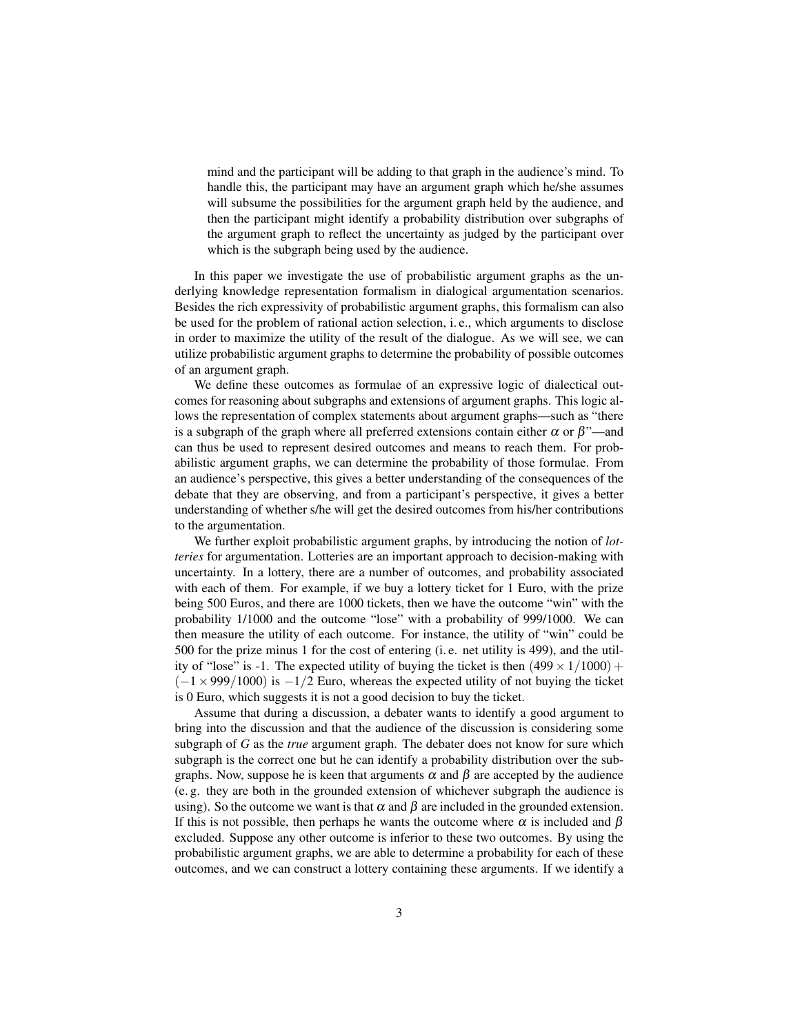mind and the participant will be adding to that graph in the audience's mind. To handle this, the participant may have an argument graph which he/she assumes will subsume the possibilities for the argument graph held by the audience, and then the participant might identify a probability distribution over subgraphs of the argument graph to reflect the uncertainty as judged by the participant over which is the subgraph being used by the audience.

In this paper we investigate the use of probabilistic argument graphs as the underlying knowledge representation formalism in dialogical argumentation scenarios. Besides the rich expressivity of probabilistic argument graphs, this formalism can also be used for the problem of rational action selection, i. e., which arguments to disclose in order to maximize the utility of the result of the dialogue. As we will see, we can utilize probabilistic argument graphs to determine the probability of possible outcomes of an argument graph.

We define these outcomes as formulae of an expressive logic of dialectical outcomes for reasoning about subgraphs and extensions of argument graphs. This logic allows the representation of complex statements about argument graphs—such as "there is a subgraph of the graph where all preferred extensions contain either  $\alpha$  or  $\beta$ "—and can thus be used to represent desired outcomes and means to reach them. For probabilistic argument graphs, we can determine the probability of those formulae. From an audience's perspective, this gives a better understanding of the consequences of the debate that they are observing, and from a participant's perspective, it gives a better understanding of whether s/he will get the desired outcomes from his/her contributions to the argumentation.

We further exploit probabilistic argument graphs, by introducing the notion of *lotteries* for argumentation. Lotteries are an important approach to decision-making with uncertainty. In a lottery, there are a number of outcomes, and probability associated with each of them. For example, if we buy a lottery ticket for 1 Euro, with the prize being 500 Euros, and there are 1000 tickets, then we have the outcome "win" with the probability 1/1000 and the outcome "lose" with a probability of 999/1000. We can then measure the utility of each outcome. For instance, the utility of "win" could be 500 for the prize minus 1 for the cost of entering (i. e. net utility is 499), and the utility of "lose" is -1. The expected utility of buying the ticket is then  $(499 \times 1/1000)$  +  $(-1 \times 999/1000)$  is  $-1/2$  Euro, whereas the expected utility of not buying the ticket is 0 Euro, which suggests it is not a good decision to buy the ticket.

Assume that during a discussion, a debater wants to identify a good argument to bring into the discussion and that the audience of the discussion is considering some subgraph of *G* as the *true* argument graph. The debater does not know for sure which subgraph is the correct one but he can identify a probability distribution over the subgraphs. Now, suppose he is keen that arguments  $\alpha$  and  $\beta$  are accepted by the audience (e. g. they are both in the grounded extension of whichever subgraph the audience is using). So the outcome we want is that  $\alpha$  and  $\beta$  are included in the grounded extension. If this is not possible, then perhaps he wants the outcome where  $\alpha$  is included and  $\beta$ excluded. Suppose any other outcome is inferior to these two outcomes. By using the probabilistic argument graphs, we are able to determine a probability for each of these outcomes, and we can construct a lottery containing these arguments. If we identify a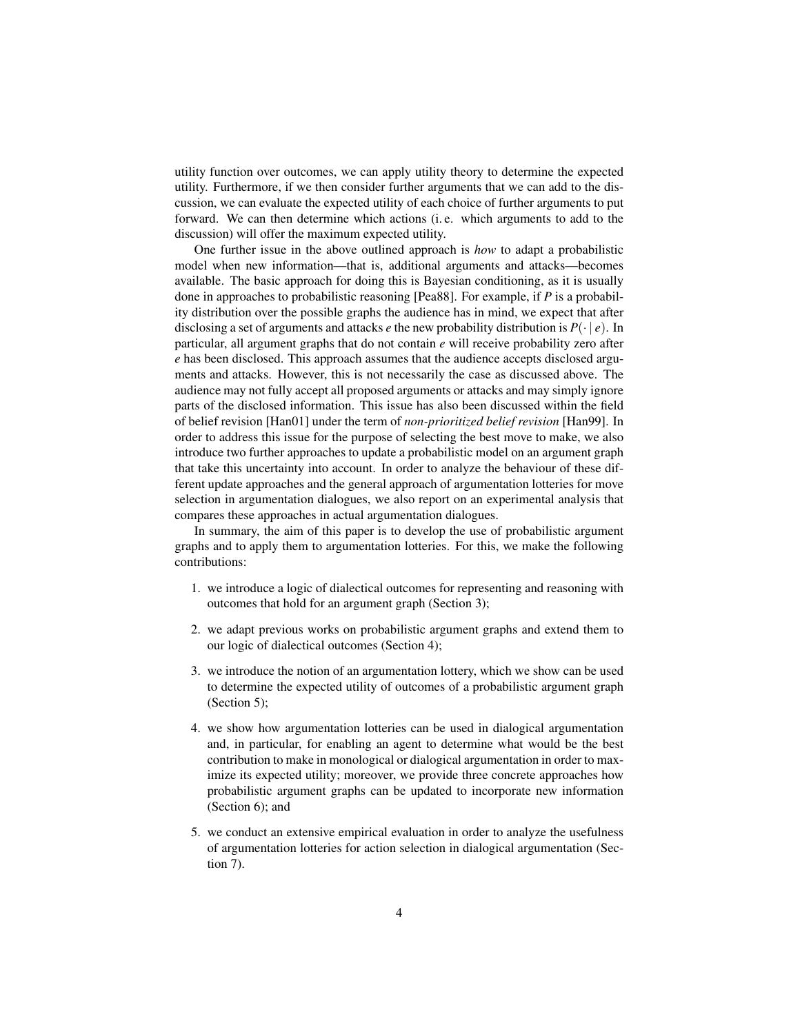utility function over outcomes, we can apply utility theory to determine the expected utility. Furthermore, if we then consider further arguments that we can add to the discussion, we can evaluate the expected utility of each choice of further arguments to put forward. We can then determine which actions (i. e. which arguments to add to the discussion) will offer the maximum expected utility.

One further issue in the above outlined approach is *how* to adapt a probabilistic model when new information—that is, additional arguments and attacks—becomes available. The basic approach for doing this is Bayesian conditioning, as it is usually done in approaches to probabilistic reasoning [Pea88]. For example, if *P* is a probability distribution over the possible graphs the audience has in mind, we expect that after disclosing a set of arguments and attacks *e* the new probability distribution is *P*(· | *e*). In particular, all argument graphs that do not contain *e* will receive probability zero after *e* has been disclosed. This approach assumes that the audience accepts disclosed arguments and attacks. However, this is not necessarily the case as discussed above. The audience may not fully accept all proposed arguments or attacks and may simply ignore parts of the disclosed information. This issue has also been discussed within the field of belief revision [Han01] under the term of *non-prioritized belief revision* [Han99]. In order to address this issue for the purpose of selecting the best move to make, we also introduce two further approaches to update a probabilistic model on an argument graph that take this uncertainty into account. In order to analyze the behaviour of these different update approaches and the general approach of argumentation lotteries for move selection in argumentation dialogues, we also report on an experimental analysis that compares these approaches in actual argumentation dialogues.

In summary, the aim of this paper is to develop the use of probabilistic argument graphs and to apply them to argumentation lotteries. For this, we make the following contributions:

- 1. we introduce a logic of dialectical outcomes for representing and reasoning with outcomes that hold for an argument graph (Section 3);
- 2. we adapt previous works on probabilistic argument graphs and extend them to our logic of dialectical outcomes (Section 4);
- 3. we introduce the notion of an argumentation lottery, which we show can be used to determine the expected utility of outcomes of a probabilistic argument graph (Section 5);
- 4. we show how argumentation lotteries can be used in dialogical argumentation and, in particular, for enabling an agent to determine what would be the best contribution to make in monological or dialogical argumentation in order to maximize its expected utility; moreover, we provide three concrete approaches how probabilistic argument graphs can be updated to incorporate new information (Section 6); and
- 5. we conduct an extensive empirical evaluation in order to analyze the usefulness of argumentation lotteries for action selection in dialogical argumentation (Section 7).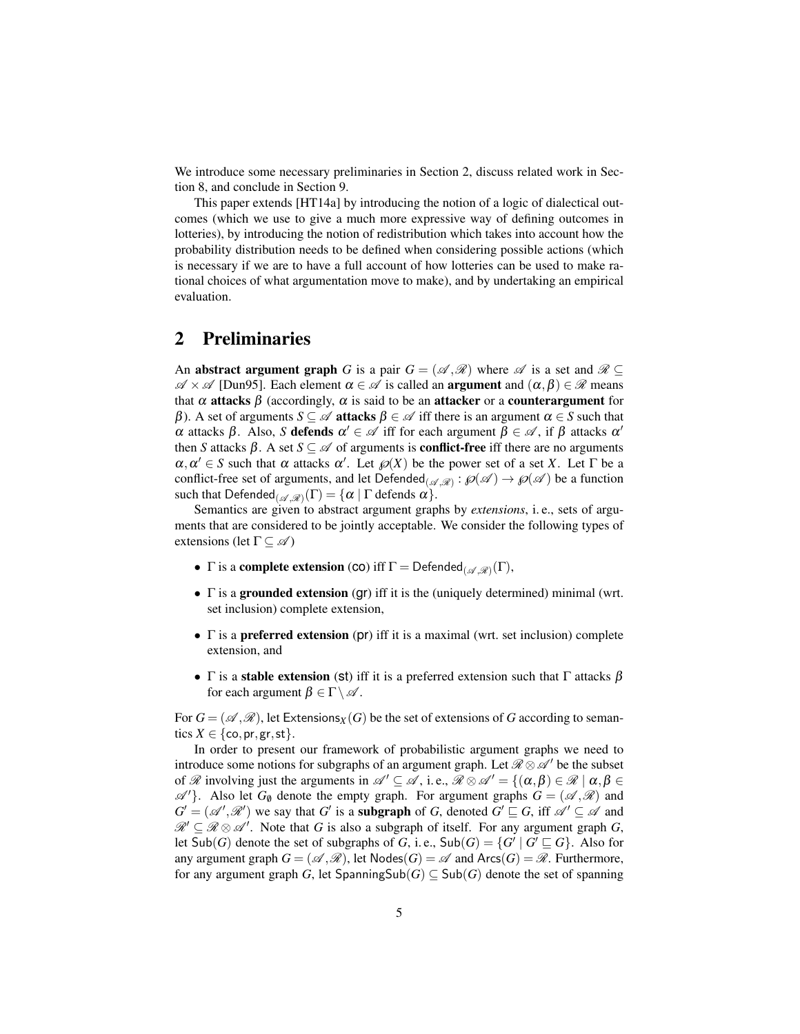We introduce some necessary preliminaries in Section 2, discuss related work in Section 8, and conclude in Section 9.

This paper extends [HT14a] by introducing the notion of a logic of dialectical outcomes (which we use to give a much more expressive way of defining outcomes in lotteries), by introducing the notion of redistribution which takes into account how the probability distribution needs to be defined when considering possible actions (which is necessary if we are to have a full account of how lotteries can be used to make rational choices of what argumentation move to make), and by undertaking an empirical evaluation.

# 2 Preliminaries

An **abstract argument graph** *G* is a pair  $G = (\mathcal{A}, \mathcal{R})$  where  $\mathcal{A}$  is a set and  $\mathcal{R} \subseteq$  $\mathscr{A} \times \mathscr{A}$  [Dun95]. Each element  $\alpha \in \mathscr{A}$  is called an **argument** and  $(\alpha, \beta) \in \mathscr{R}$  means that  $\alpha$  attacks  $\beta$  (accordingly,  $\alpha$  is said to be an attacker or a counterargument for β). A set of arguments  $S \subseteq \mathcal{A}$  attacks  $\beta \in \mathcal{A}$  iff there is an argument  $\alpha \in S$  such that  $\alpha$  attacks  $\beta$ . Also, *S* defends  $\alpha' \in \mathcal{A}$  iff for each argument  $\beta \in \mathcal{A}$ , if  $\beta$  attacks  $\alpha'$ then *S* attacks  $\beta$ . A set  $S \subseteq \mathcal{A}$  of arguments is **conflict-free** iff there are no arguments  $\alpha, \alpha' \in S$  such that  $\alpha$  attacks  $\alpha'$ . Let  $\wp(X)$  be the power set of a set *X*. Let  $\Gamma$  be a conflict-free set of arguments, and let  $\mathsf{Defended}_{(\mathscr{A},\mathscr{R})} : \wp(\mathscr{A}) \to \wp(\mathscr{A})$  be a function such that  $\mathsf{Defended}_{(\mathscr{A},\mathscr{R})}(\Gamma) = \{\alpha \mid \Gamma \text{ depends } \alpha\}.$ 

Semantics are given to abstract argument graphs by *extensions*, i. e., sets of arguments that are considered to be jointly acceptable. We consider the following types of extensions (let  $\Gamma \subseteq \mathscr{A}$ )

- $\Gamma$  is a **complete extension** (co) iff  $\Gamma =$  Defended<sub>( $\mathscr{A}, \mathscr{R}$ )( $\Gamma$ ),</sub>
- $\Gamma$  is a grounded extension (gr) iff it is the (uniquely determined) minimal (wrt. set inclusion) complete extension,
- Γ is a **preferred extension** (pr) iff it is a maximal (wrt. set inclusion) complete extension, and
- Γ is a stable extension (st) iff it is a preferred extension such that Γ attacks  $\beta$ for each argument  $\beta \in \Gamma \setminus \mathscr{A}$ .

For  $G = (\mathcal{A}, \mathcal{R})$ , let Extensions<sub>*X*</sub>(*G*) be the set of extensions of *G* according to semantics  $X \in \{\text{co}, \text{pr}, \text{gr}, \text{st}\}.$ 

In order to present our framework of probabilistic argument graphs we need to introduce some notions for subgraphs of an argument graph. Let  $\mathcal{R} \otimes \mathcal{A}'$  be the subset of  $\mathscr R$  involving just the arguments in  $\mathscr A' \subseteq \mathscr A$ , i.e.,  $\mathscr R \otimes \mathscr A' = \{(\alpha, \beta) \in \mathscr R \mid \alpha, \beta \in$  $\mathscr{A}'$ . Also let  $G_{\emptyset}$  denote the empty graph. For argument graphs  $G = (\mathscr{A}, \mathscr{R})$  and  $G' = (\mathcal{A}', \mathcal{R}')$  we say that *G'* is a **subgraph** of *G*, denoted  $G' \sqsubseteq G$ , iff  $\mathcal{A}' \subseteq \mathcal{A}$  and  $\mathscr{R}' \subseteq \mathscr{R} \otimes \mathscr{A}'$ . Note that *G* is also a subgraph of itself. For any argument graph *G*, let  $\textsf{Sub}(G)$  denote the set of subgraphs of *G*, i.e.,  $\textsf{Sub}(G) = \{G' \mid G' \sqsubseteq G\}$ . Also for any argument graph  $G = (\mathcal{A}, \mathcal{R})$ , let Nodes $(G) = \mathcal{A}$  and Arcs $(G) = \mathcal{R}$ . Furthermore, for any argument graph *G*, let SpanningSub(*G*)  $\subseteq$  Sub(*G*) denote the set of spanning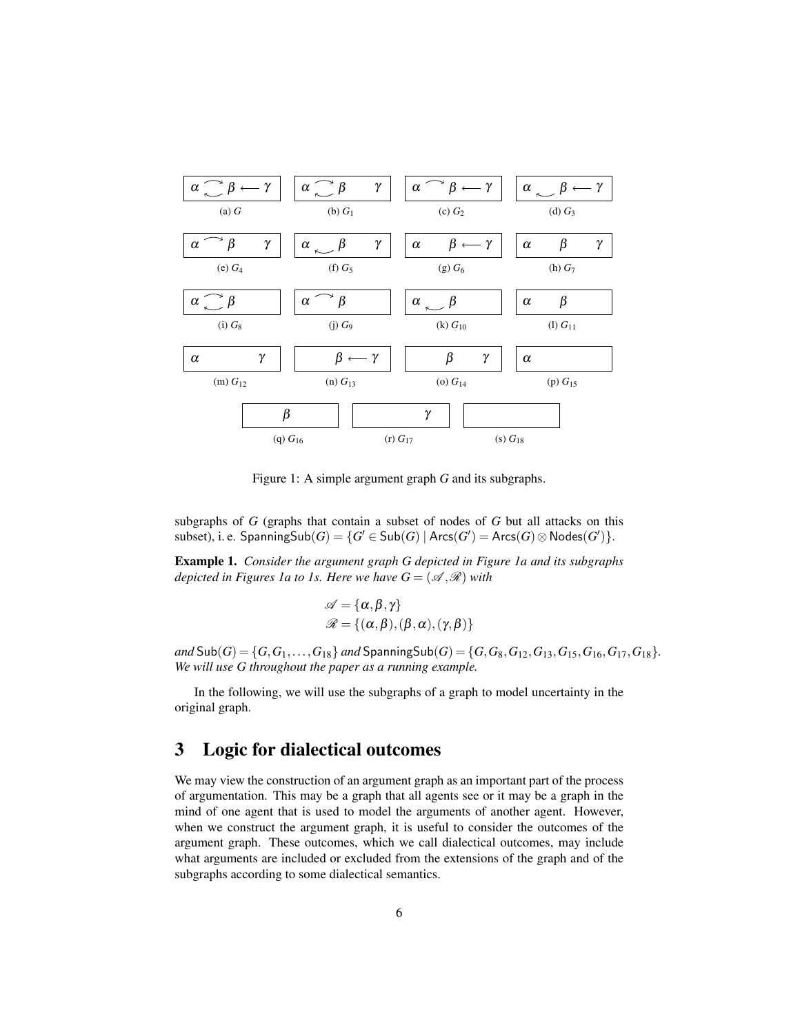

Figure 1: A simple argument graph *G* and its subgraphs.

subgraphs of *G* (graphs that contain a subset of nodes of *G* but all attacks on this  $\text{subset}(G)$ , i. e.  $\text{SpanningSub}(G) = \{G' \in \text{Sub}(G) \mid \text{Arcs}(G') = \text{Arcs}(G) \otimes \text{Nodes}(G')\}.$ 

Example 1. *Consider the argument graph G depicted in Figure 1a and its subgraphs depicted in Figures 1a to 1s. Here we have*  $G = (\mathcal{A}, \mathcal{R})$  *with* 

$$
\mathscr{A} = {\alpha, \beta, \gamma}
$$
  

$$
\mathscr{R} = {\alpha, \beta, (\beta, \alpha), (\gamma, \beta)}
$$

 $and$   $Sub(G) = \{G, G_1, \ldots, G_{18}\}$  *and*  $SpanningSub(G) = \{G, G_8, G_{12}, G_{13}, G_{15}, G_{16}, G_{17}, G_{18}\}.$ *We will use G throughout the paper as a running example.*

In the following, we will use the subgraphs of a graph to model uncertainty in the original graph.

# 3 Logic for dialectical outcomes

We may view the construction of an argument graph as an important part of the process of argumentation. This may be a graph that all agents see or it may be a graph in the mind of one agent that is used to model the arguments of another agent. However, when we construct the argument graph, it is useful to consider the outcomes of the argument graph. These outcomes, which we call dialectical outcomes, may include what arguments are included or excluded from the extensions of the graph and of the subgraphs according to some dialectical semantics.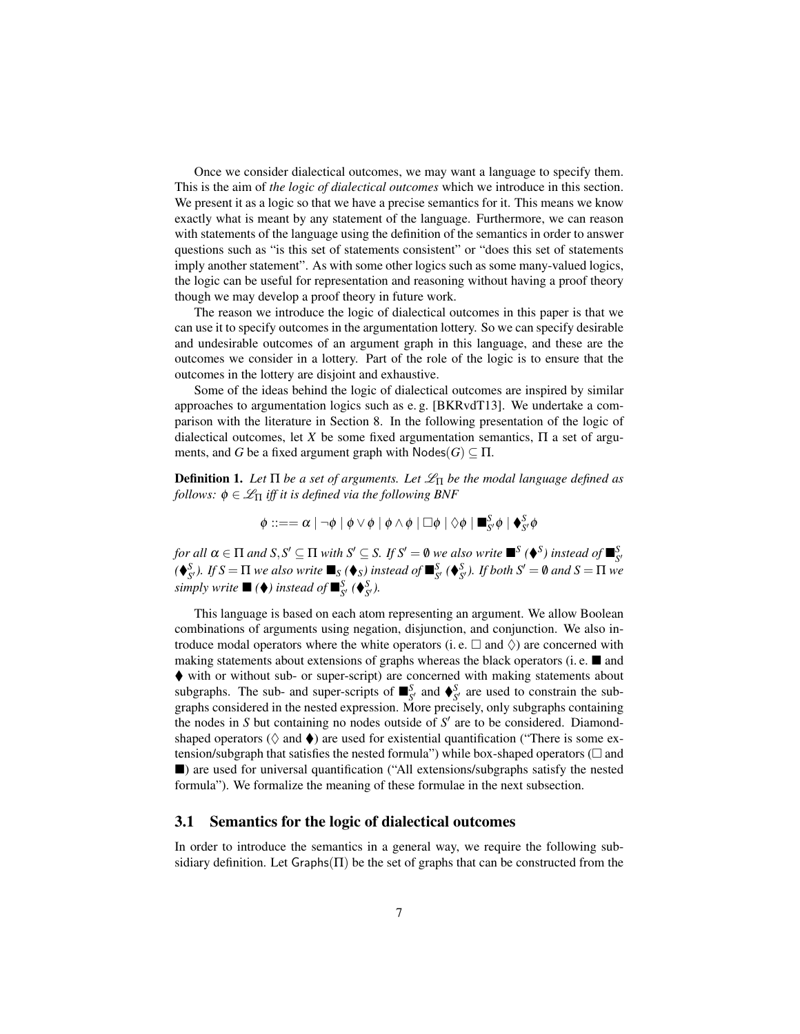Once we consider dialectical outcomes, we may want a language to specify them. This is the aim of *the logic of dialectical outcomes* which we introduce in this section. We present it as a logic so that we have a precise semantics for it. This means we know exactly what is meant by any statement of the language. Furthermore, we can reason with statements of the language using the definition of the semantics in order to answer questions such as "is this set of statements consistent" or "does this set of statements imply another statement". As with some other logics such as some many-valued logics, the logic can be useful for representation and reasoning without having a proof theory though we may develop a proof theory in future work.

The reason we introduce the logic of dialectical outcomes in this paper is that we can use it to specify outcomes in the argumentation lottery. So we can specify desirable and undesirable outcomes of an argument graph in this language, and these are the outcomes we consider in a lottery. Part of the role of the logic is to ensure that the outcomes in the lottery are disjoint and exhaustive.

Some of the ideas behind the logic of dialectical outcomes are inspired by similar approaches to argumentation logics such as e. g. [BKRvdT13]. We undertake a comparison with the literature in Section 8. In the following presentation of the logic of dialectical outcomes, let *X* be some fixed argumentation semantics,  $\Pi$  a set of arguments, and *G* be a fixed argument graph with  $Nodes(G) \subseteq \Pi$ .

**Definition 1.** Let  $\Pi$  be a set of arguments. Let  $\mathcal{L}_{\Pi}$  be the modal language defined as *follows:*  $\phi \in \mathcal{L}_{\Pi}$  *iff it is defined via the following BNF* 

$$
\phi ::= = \alpha \mid \neg \phi \mid \phi \vee \phi \mid \phi \wedge \phi \mid \Box \phi \mid \Diamond \phi \mid \blacksquare^S_{S'} \phi \mid \blacklozenge^S_{S'} \phi
$$

*for all*  $\alpha \in \Pi$  *and*  $S, S' \subseteq \Pi$  *with*  $S' \subseteq S$ *. If*  $S' = \emptyset$  *we also write*  $\blacksquare^S (\blacklozenge^S)$  *instead of*  $\blacksquare^S_{S'}$  $(\bigotimes_{S}^{S}$ . *If*  $S = \Pi$  *we also write*  $\blacksquare_S (\bigotimes_S)$  *instead of*  $\blacksquare_{S'}^{S} (\bigotimes_{S'}^{S} S)$ *. If both*  $S' = \emptyset$  *and*  $S = \Pi$  *we simply write*  $\blacksquare$  ( $\blacklozenge$ *) instead of*  $\blacksquare^S_{S'}$  ( $\blacklozenge^S_{S'}$ *).* 

This language is based on each atom representing an argument. We allow Boolean combinations of arguments using negation, disjunction, and conjunction. We also introduce modal operators where the white operators (i.e.  $\Box$  and  $\Diamond$ ) are concerned with making statements about extensions of graphs whereas the black operators (i.e.  $\blacksquare$  and with or without sub- or super-script) are concerned with making statements about subgraphs. The sub- and super-scripts of  $\mathbf{B}_{S'}^S$  and  $\mathbf{\diamond}_{S'}^S$  are used to constrain the subgraphs considered in the nested expression. More precisely, only subgraphs containing the nodes in  $S$  but containing no nodes outside of  $S'$  are to be considered. Diamondshaped operators ( $\Diamond$  and  $\blacklozenge$ ) are used for existential quantification ("There is some extension/subgraph that satisfies the nested formula") while box-shaped operators ( $\Box$  and ) are used for universal quantification ("All extensions/subgraphs satisfy the nested formula"). We formalize the meaning of these formulae in the next subsection.

#### 3.1 Semantics for the logic of dialectical outcomes

In order to introduce the semantics in a general way, we require the following subsidiary definition. Let  $Graphs(\Pi)$  be the set of graphs that can be constructed from the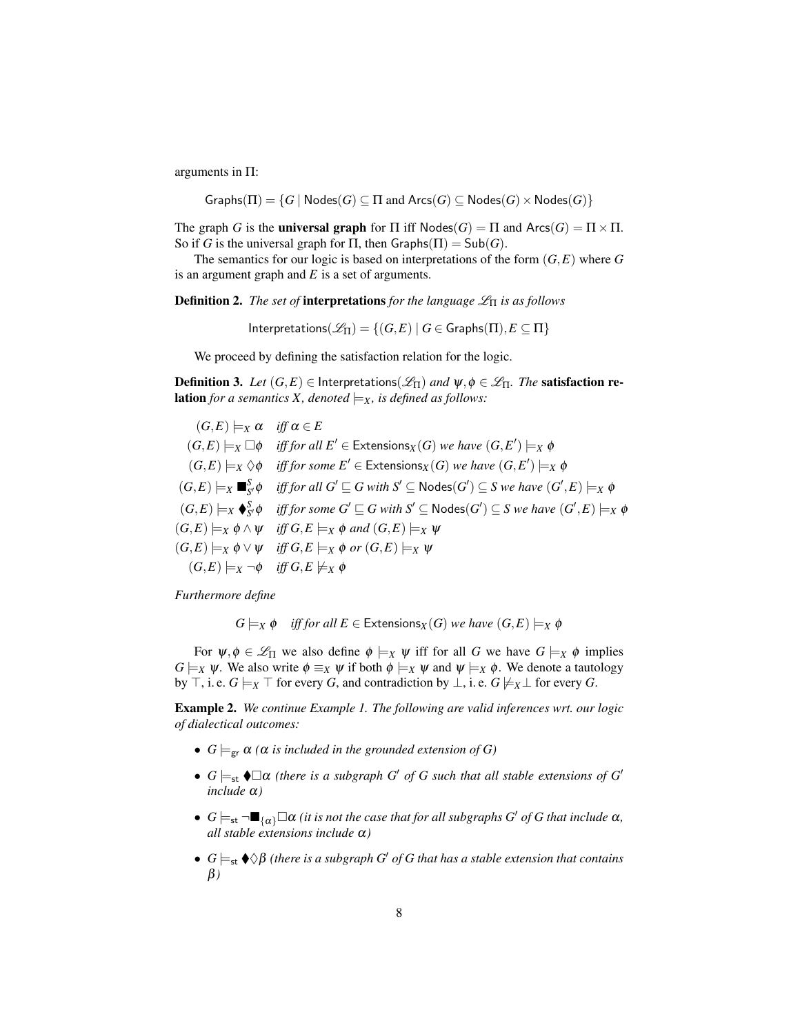arguments in Π:

$$
\mathsf{Graphs}(\Pi) = \{G \mid \mathsf{Nodes}(G) \subseteq \Pi \text{ and } \mathsf{Arcs}(G) \subseteq \mathsf{Nodes}(G) \times \mathsf{Nodes}(G)\}
$$

The graph *G* is the **universal graph** for  $\Pi$  iff  $\text{Nodes}(G) = \Pi$  and  $\text{Arcs}(G) = \Pi \times \Pi$ . So if *G* is the universal graph for  $\Pi$ , then  $Graphs(\Pi) = Sub(G)$ .

The semantics for our logic is based on interpretations of the form (*G*,*E*) where *G* is an argument graph and *E* is a set of arguments.

Definition 2. *The set of* interpretations *for the language* L<sup>Π</sup> *is as follows*

Interpretations( $\mathscr{L}_{\Pi}$ ) = { $(G, E) | G \in$  Graphs( $\Pi$ ),  $E \subseteq \Pi$ }

We proceed by defining the satisfaction relation for the logic.

**Definition 3.** Let  $(G, E) \in$  Interpretations( $\mathscr{L}_{\Pi}$ ) and  $\psi, \phi \in \mathscr{L}_{\Pi}$ . The **satisfaction relation** *for a semantics X, denoted*  $\models$ *x, is defined as follows:* 

 $(G, E) \models_X \alpha$  *iff*  $\alpha \in E$  $(G, E) \models_X \Box \phi$  *iff for all*  $E' \in$  Extensions $_X(G)$  *we have*  $(G, E') \models_X \phi$  $(G, E) \models_X \Diamond \phi$  *iff for some*  $E' \in$  Extensions $_X(G)$  *we have*  $(G, E') \models_X \phi$  $(G, E) \models_X \blacksquare^S_{S'} \phi$  *iff for all*  $G' \sqsubseteq G$  *with*  $S' \subseteq \mathsf{Nodes}(G') \subseteq S$  *we have*  $(G', E) \models_X \phi$  $(G, E) \models_X \blacklozenge^S_{S'} \phi$  *iff for some*  $G' \sqsubseteq G$  with  $S' \subseteq \mathsf{Nodes}(G') \subseteq S$  we have  $(G', E) \models_X \phi$  $(G, E) \models_X \phi \land \psi$  *iff*  $G, E \models_X \phi$  *and*  $(G, E) \models_X \psi$  $(G, E) \models_X \phi \lor \psi$  *iff*  $G, E \models_X \phi$  or  $(G, E) \models_X \psi$  $(G, E) \models_X \neg \phi$  *iff*  $G, E \not\models_X \phi$ 

*Furthermore define*

$$
G \models_X \phi \quad \textit{iff} \textit{for all } E \in \mathsf{Extensions}_X(G) \textit{ we have } (G, E) \models_X \phi
$$

For  $\psi, \phi \in \mathcal{L}_{\Pi}$  we also define  $\phi \models_X \psi$  iff for all *G* we have  $G \models_X \phi$  implies *G*  $\models$ *X*  $\psi$ . We also write  $\phi \equiv_X \psi$  if both  $\phi \models_X \psi$  and  $\psi \models_X \phi$ . We denote a tautology by  $\top$ , i. e.  $G \models_X \top$  for every *G*, and contradiction by  $\bot$ , i. e.  $G \not\models_X \bot$  for every *G*.

Example 2. *We continue Example 1. The following are valid inferences wrt. our logic of dialectical outcomes:*

- $G \models_{\text{gr}} \alpha$  ( $\alpha$  *is included in the grounded extension of G*)
- $G \models_{st} \bigoplus \alpha$  (there is a subgraph G' of G such that all stable extensions of G' *include* α*)*
- $G \models_{st} \neg \blacksquare_{\{\alpha\}} \Box \alpha$  *(it is not the case that for all subgraphs G' of G that include*  $\alpha$ *, all stable extensions include* α*)*
- $G \models_{st} \bigotimes \beta$  (there is a subgraph G' of G that has a stable extension that contains β*)*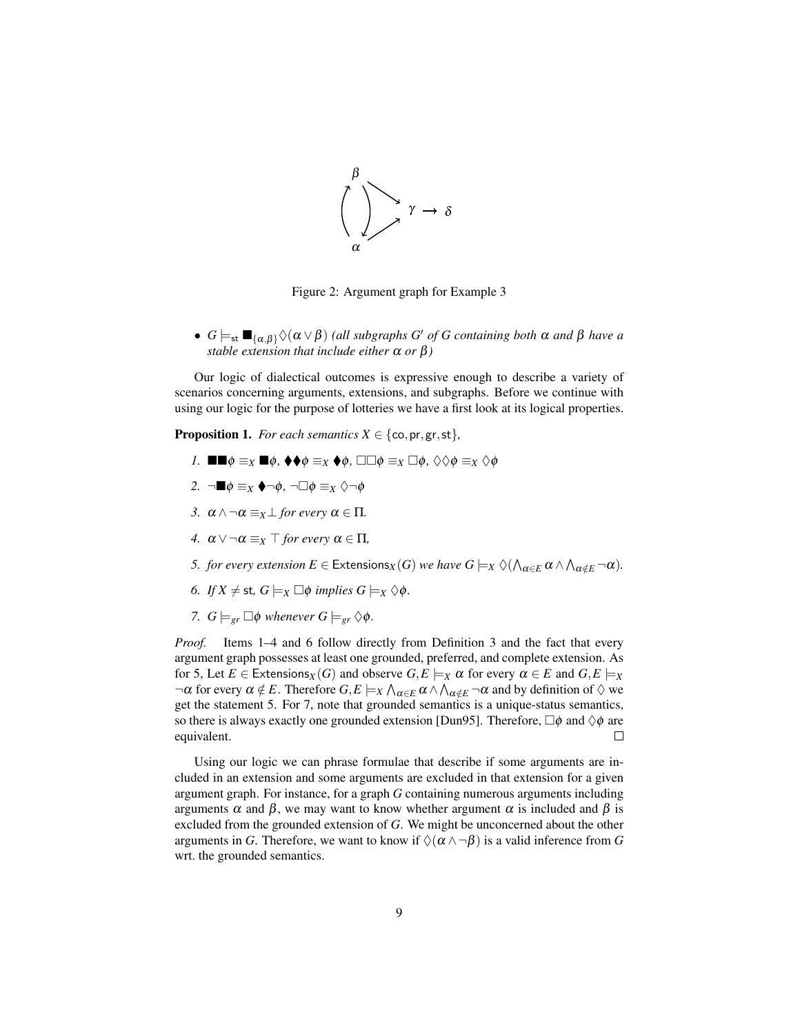

Figure 2: Argument graph for Example 3

•  $G \models_{st} \blacksquare_{\{\alpha,\beta\}} \Diamond(\alpha \lor \beta)$  *(all subgraphs G' of G containing both*  $\alpha$  *and*  $\beta$  *have a stable extension that include either*  $\alpha$  *or*  $\beta$ *)* 

Our logic of dialectical outcomes is expressive enough to describe a variety of scenarios concerning arguments, extensions, and subgraphs. Before we continue with using our logic for the purpose of lotteries we have a first look at its logical properties.

**Proposition 1.** *For each semantics*  $X \in \{\text{co}, \text{pr}, \text{gr}, \text{st}\},\$ 

- *1.*  $\blacksquare \blacksquare \phi \equiv_X \blacksquare \phi$ ,  $\blacklozenge \phi \equiv_X \blacktriangleright \phi$ ,  $\square \Box \phi \equiv_X \Box \phi$ ,  $\Diamond \Diamond \phi \equiv_X \Diamond \phi$
- 2.  $\neg$ ■ $\phi \equiv_X \blacklozenge \neg \phi$ ,  $\neg \Box \phi \equiv_X \Diamond \neg \phi$
- *3.*  $\alpha \wedge \neg \alpha \equiv_X \bot$  *for every*  $\alpha \in \Pi$ *.*
- *4.*  $\alpha \vee \neg \alpha \equiv_X \top$  *for every*  $\alpha \in \Pi$ *,*
- *5. for every extension*  $E \in$  Extensions $_X(G)$  *we have*  $G \models_X \Diamond (\bigwedge_{\alpha \in E} \alpha \land \bigwedge_{\alpha \notin E} \neg \alpha)$ *.*
- *6. If*  $X \neq$  st,  $G \models_X \Box \phi$  *implies*  $G \models_X \Diamond \phi$ *.*
- *7.*  $G \models_{er} \Box \phi$  whenever  $G \models_{er} \Diamond \phi$ .

*Proof.* Items 1–4 and 6 follow directly from Definition 3 and the fact that every argument graph possesses at least one grounded, preferred, and complete extension. As for 5, Let  $E \in$  Extensions<sub>*X*</sub></sub>(*G*) and observe  $G, E \models_X \alpha$  for every  $\alpha \in E$  and  $G, E \models_X \alpha$  $\neg \alpha$  for every  $\alpha \notin E$ . Therefore  $G, E \models_X \bigwedge_{\alpha \in E} \alpha \wedge \bigwedge_{\alpha \notin E} \neg \alpha$  and by definition of  $\Diamond$  we get the statement 5. For 7, note that grounded semantics is a unique-status semantics, so there is always exactly one grounded extension [Dun95]. Therefore,  $\Box \phi$  and  $\Diamond \phi$  are equivalent.  $\Box$ 

Using our logic we can phrase formulae that describe if some arguments are included in an extension and some arguments are excluded in that extension for a given argument graph. For instance, for a graph *G* containing numerous arguments including arguments  $\alpha$  and  $\beta$ , we may want to know whether argument  $\alpha$  is included and  $\beta$  is excluded from the grounded extension of *G*. We might be unconcerned about the other arguments in *G*. Therefore, we want to know if  $\Diamond$ ( $\alpha \land \neg \beta$ ) is a valid inference from *G* wrt. the grounded semantics.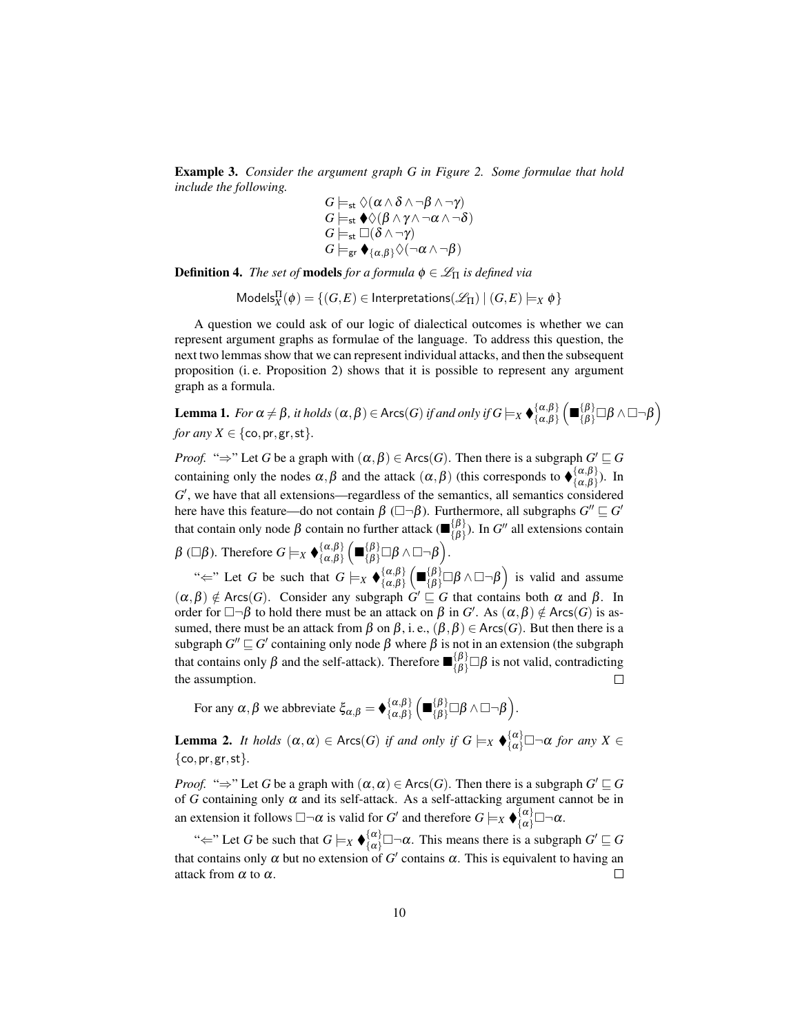Example 3. *Consider the argument graph G in Figure 2. Some formulae that hold include the following.*

$$
G \models_{\mathsf{st}} \Diamond(\alpha \land \delta \land \neg \beta \land \neg \gamma) G \models_{\mathsf{st}} \blacklozenge(\beta \land \gamma \land \neg \alpha \land \neg \delta) G \models_{\mathsf{st}} \Box(\delta \land \neg \gamma) G \models_{\mathsf{gr}} \blacklozenge_{\{\alpha,\beta\}} \Diamond(\neg \alpha \land \neg \beta)
$$

**Definition 4.** *The set of* **models** *for a formula*  $\phi \in \mathcal{L}_{\Pi}$  *is defined via* 

 $\mathsf{Models}_{X}^{\Pi}(\phi) = \{(G,E) \in \mathsf{Interpretations}(\mathscr{L}_{\Pi}) \mid (G,E) \models_{X} \phi\}$ 

A question we could ask of our logic of dialectical outcomes is whether we can represent argument graphs as formulae of the language. To address this question, the next two lemmas show that we can represent individual attacks, and then the subsequent proposition (i. e. Proposition 2) shows that it is possible to represent any argument graph as a formula.

Lemma 1. *For*  $\alpha \neq \beta$ , *it holds*  $(\alpha, \beta) \in \text{Arcs}(G)$  *if and only if*  $G \models_X \bigbullet_{\{\alpha, \beta\}}^{\{\alpha, \beta\}}$  $\{\alpha,\beta\} \left(\blacksquare \{\beta\} \bigcup \beta \wedge \square \neg \beta\right) \$ *for any*  $X \in \{\text{co}, \text{pr}, \text{gr}, \text{st}\}.$ 

*Proof.* " $\Rightarrow$ " Let *G* be a graph with  $(\alpha, \beta) \in \text{Arcs}(G)$ . Then there is a subgraph  $G' \sqsubseteq G$ containing only the nodes  $\alpha, \beta$  and the attack  $(\alpha, \beta)$  (this corresponds to  $\phi_{\{\alpha,\beta\}}^{\{\alpha,\beta\}}$  $\{\alpha,\beta\}^{(u,\rho)}$ ). In G', we have that all extensions—regardless of the semantics, all semantics considered here have this feature—do not contain  $\beta$  ( $\Box \neg \beta$ ). Furthermore, all subgraphs  $G'' \sqsubseteq G'$ that contain only node  $\beta$  contain no further attack ( $\mathbf{E}^{\{\beta\}}_{\{\beta\}}$  $\{ \begin{bmatrix} \{\beta \} \\ \{\beta \} \end{bmatrix}$ ). In *G*<sup>*n*</sup> all extensions contain β (□β). Therefore  $G \models_X \blacklozenge^{\{\alpha,\beta\}}_{\{\alpha,\beta\}}$  $\{{\alpha,\beta}\atop{\{\alpha,\beta\}}} \Bigl(\blacksquare_{\{\beta\}}^{\{\beta\}} \square \beta \wedge \square \neg \beta \Bigr).$ 

" $\Leftarrow$ " Let *G* be such that  $G \models_X \blacklozenge^{\{\alpha, \beta\}}_{\{\alpha, \beta\}}$  $\binom{\{\alpha,\beta\}}{\{\alpha,\beta\}} \left( \blacksquare^{\{\beta\}}_{\{\beta\}} \square \beta \wedge \square \neg \beta \right)$  is valid and assume  $(\alpha, \beta) \notin Arcs(G)$ . Consider any subgraph  $G' \sqsubseteq G$  that contains both  $\alpha$  and  $\beta$ . In order for  $\Box \neg \beta$  to hold there must be an attack on  $\beta$  in *G'*. As  $(\alpha, \beta) \notin Arcs(G)$  is assumed, there must be an attack from  $\beta$  on  $\beta$ , i.e.,  $(\beta, \beta) \in Arcs(G)$ . But then there is a subgraph  $G'' \sqsubseteq G'$  containing only node  $\beta$  where  $\beta$  is not in an extension (the subgraph that contains only  $\beta$  and the self-attack). Therefore  $\blacksquare_{\{\beta\}}^{\{\beta\}}\square\beta$  is not valid, contradicting the assumption.

For any  $\alpha, \beta$  we abbreviate  $\xi_{\alpha,\beta} = \oint_{\{\alpha,\beta\}}^{\{\alpha,\beta\}}$  $\{\alpha,\beta\}\left(\blacksquare\{\beta\}\atop{\{\beta\}}\Box\beta\wedge\Box\neg\beta\right).$ 

**Lemma 2.** *It holds*  $(\alpha, \alpha) \in \text{Arcs}(G)$  *if and only if*  $G \models_X \blacklozenge_{\{\alpha\}}^{\{\alpha\}} \Box \neg \alpha$  *for any*  $X \in$ {co,pr,gr,st}*.*

*Proof.* " $\Rightarrow$ " Let *G* be a graph with  $(\alpha, \alpha) \in \text{Arcs}(G)$ . Then there is a subgraph  $G' \sqsubseteq G$ of  $G$  containing only  $\alpha$  and its self-attack. As a self-attacking argument cannot be in an extension it follows  $\Box\neg\alpha$  is valid for *G'* and therefore  $G \models_X \blacklozenge_{\{\alpha\}}^{\{\alpha\}} \Box \neg \alpha$ .

" $\Leftarrow$ " Let *G* be such that  $G \models_X \blacklozenge_{\{\alpha\}}^{\{\alpha\}} \Box \neg \alpha$ . This means there is a subgraph  $G' \sqsubseteq G$ that contains only  $\alpha$  but no extension of  $G'$  contains  $\alpha$ . This is equivalent to having an attack from  $\alpha$  to  $\alpha$ .  $\Box$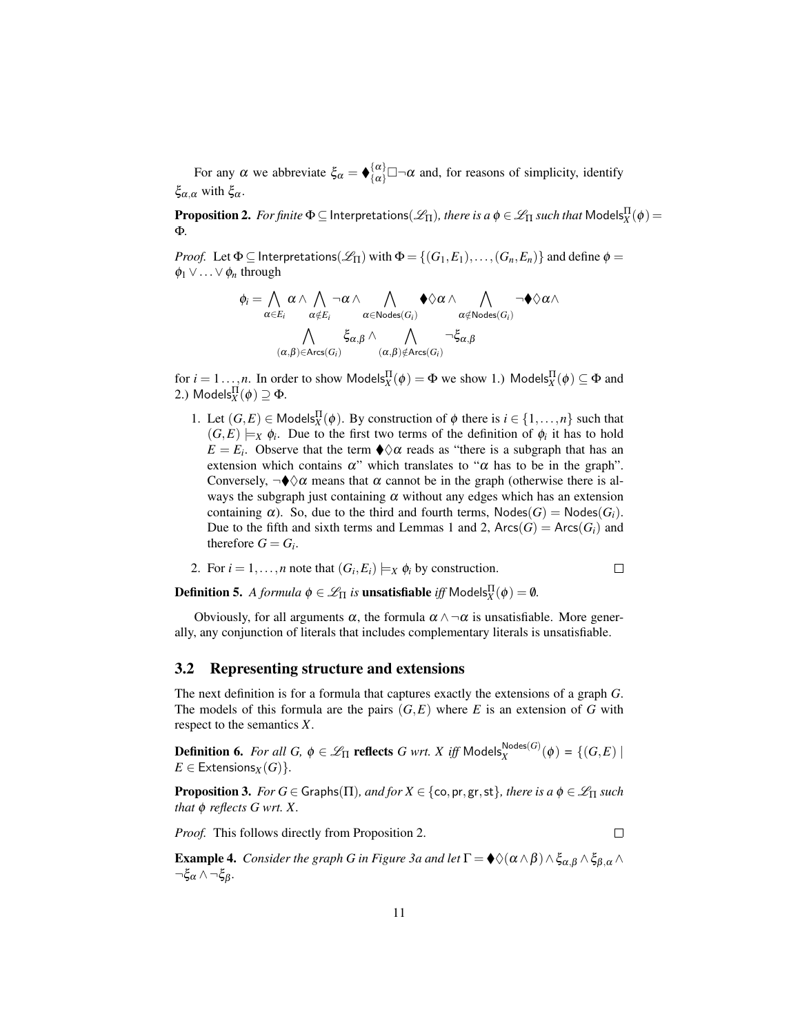For any  $\alpha$  we abbreviate  $\xi_{\alpha} = \oint {\{\alpha\} \atop {\{\alpha\}}} \Box \neg \alpha$  and, for reasons of simplicity, identify ξα,<sup>α</sup> with ξα.

 $\bf{Proposition 2.}$  *For finite*  $\Phi$   $\subseteq$  Interpretations $(\mathscr{L}_{\Pi})$ *, there is a*  $\phi$  $\in$  $\mathscr{L}_{\Pi}$  *such that*  $\sf{Models}_{X}^{\Pi}(\phi)$   $=$ Φ*.*

*Proof.* Let  $\Phi \subseteq$  Interpretations( $\mathscr{L}_{\Pi}$ ) with  $\Phi = \{(G_1, E_1), \ldots, (G_n, E_n)\}\$  and define  $\phi =$ φ<sup>1</sup> ∨...∨φ*<sup>n</sup>* through

$$
\phi_i = \bigwedge_{\alpha \in E_i} \alpha \wedge \bigwedge_{\alpha \notin E_i} \neg \alpha \wedge \bigwedge_{\alpha \in \operatorname{Nodes}(G_i)} \blacklozenge \Diamond \alpha \wedge \bigwedge_{\alpha \notin \operatorname{Nodes}(G_i)} \neg \blacklozenge \Diamond \alpha \wedge \\ \bigwedge_{(\alpha, \beta) \in \operatorname{Arcs}(G_i)} \xi_{\alpha, \beta} \wedge \bigwedge_{(\alpha, \beta) \notin \operatorname{Arcs}(G_i)} \neg \xi_{\alpha, \beta}
$$

for  $i = 1...$ , *n*. In order to show Models $_X^{\Pi}(\phi) = \Phi$  we show 1.) Models $_X^{\Pi}(\phi) \subseteq \Phi$  and 2.) Models $_{X}^{\Pi}(\phi) \supseteq \Phi$ .

1. Let  $(G, E) \in \text{Models}_{X}^{\Pi}(\phi)$ . By construction of  $\phi$  there is  $i \in \{1, ..., n\}$  such that  $(G, E) \models_X \phi_i$ . Due to the first two terms of the definition of  $\phi_i$  it has to hold  $E = E_i$ . Observe that the term  $\Diamond \alpha$  reads as "there is a subgraph that has an extension which contains  $\alpha$ " which translates to " $\alpha$  has to be in the graph". Conversely,  $\neg\neg\neg$  means that  $\alpha$  cannot be in the graph (otherwise there is always the subgraph just containing  $\alpha$  without any edges which has an extension containing  $\alpha$ ). So, due to the third and fourth terms,  $Nodes(G) = Nodes(G_i)$ . Due to the fifth and sixth terms and Lemmas 1 and 2,  $\text{Arcs}(G) = \text{Arcs}(G_i)$  and therefore  $G = G_i$ .

2. For 
$$
i = 1, ..., n
$$
 note that  $(G_i, E_i) \models_X \phi_i$  by construction.

**Definition 5.** *A formula*  $\phi \in \mathcal{L}_{\Pi}$  *is* **unsatisfiable** *iff* Models ${}_{X}^{\Pi}(\phi) = \emptyset$ *.* 

Obviously, for all arguments  $\alpha$ , the formula  $\alpha \wedge \neg \alpha$  is unsatisfiable. More generally, any conjunction of literals that includes complementary literals is unsatisfiable.

#### 3.2 Representing structure and extensions

The next definition is for a formula that captures exactly the extensions of a graph *G*. The models of this formula are the pairs  $(G, E)$  where *E* is an extension of *G* with respect to the semantics *X*.

**Definition 6.** *For all G,*  $\phi \in \mathscr{L}_{\Pi}$  **reflects** *G wrt. X iff* Models $_X^{\text{Nodes}(G)}(\phi) = \{(G,E) |$  $E \in$  Extensions<sub>*X*</sub>(*G*) }.

**Proposition 3.** *For*  $G \in$  Graphs( $\Pi$ )*, and for*  $X \in \{\infty, \text{pr}, \text{gr}, \text{st}\}\$ *, there is a*  $\phi \in \mathcal{L}_{\Pi}$  *such that* φ *reflects G wrt. X.*

 $\Box$ 

*Proof.* This follows directly from Proposition 2.

**Example 4.** *Consider the graph G in Figure 3a and let*  $\Gamma = \oint \phi(\alpha \wedge \beta) \wedge \xi_{\alpha,\beta} \wedge \xi_{\beta,\alpha} \wedge \xi_{\beta,\alpha}$  $\neg \xi_{\alpha} \wedge \neg \xi_{\beta}.$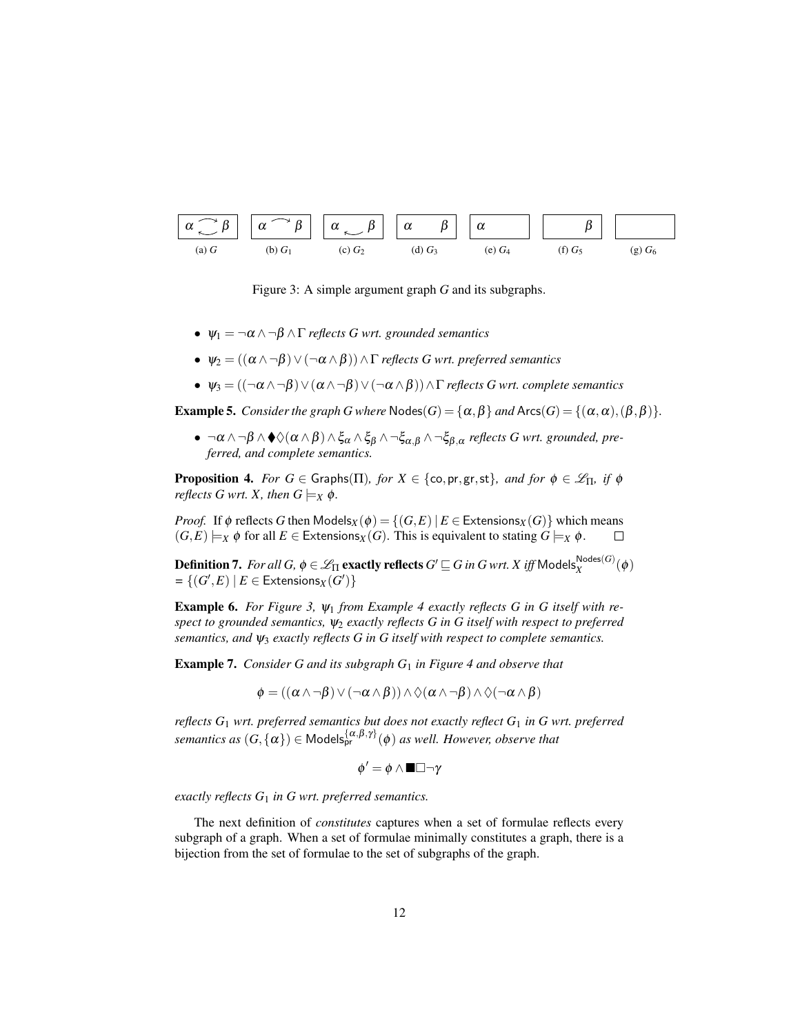

Figure 3: A simple argument graph *G* and its subgraphs.

- $\Psi_1 = \neg \alpha \wedge \neg \beta \wedge \Gamma$  *reflects G wrt. grounded semantics*
- $ψ<sub>2</sub> = ((α ∧ ¬β) ∨ (¬α ∧ β)) ∧ Γ$ *reflects G wrt. preferred semantics*
- $ψ_3 = ((\neg α \land \neg β) \lor (α \land \neg β) \lor (\neg α \land β)) \land Γ$  *reflects G wrt. complete semantics*

**Example 5.** *Consider the graph G where*  $\text{Nodes}(G) = \{\alpha, \beta\}$  *and*  $\text{Arcs}(G) = \{(\alpha, \alpha), (\beta, \beta)\}.$ 

 $\bullet$   $\neg \alpha \land \neg \beta \land \blacklozenge\Diamond(\alpha \land \beta) \land \xi_{\alpha} \land \xi_{\beta} \land \neg \xi_{\alpha,\beta} \land \neg \xi_{\beta,\alpha}$  *reflects G wrt. grounded, preferred, and complete semantics.*

**Proposition 4.** *For*  $G \in$  Graphs( $\Pi$ )*, for*  $X \in \{\text{co, pr, gr, st}\}\$ *, and for*  $\phi \in \mathcal{L}_{\Pi}$ *, if*  $\phi$ *reflects G wrt. X, then*  $G \models_X \phi$ *.* 

*Proof.* If  $\phi$  reflects *G* then Models<sub>*X*</sub>( $\phi$ ) = {(*G*,*E*) | *E* ∈ Extensions<sub>*X*</sub>(*G*)} which means  $(G, E) \models_X \phi$  for all  $E \in$  Extensions<sub>*X*</sub>(*G*). This is equivalent to stating  $G \models_X \phi$ .  $\Box$ 

 $\bf{Definition 7.}$  *For all*  $G$ *,*  $\phi \in \mathscr{L}_{\Pi}$  *exactly reflects*  $G' \sqsubseteq G$  *in*  $G$  *wrt.*  $X$  *iff*  $\mathsf{Models}_X^{\mathsf{Nodes}(G)}(\phi)$  $=\{(G',E)\mid E\in \textsf{Extensions}_X(G')\}$ 

Example 6. *For Figure 3,* ψ<sup>1</sup> *from Example 4 exactly reflects G in G itself with respect to grounded semantics,* ψ<sup>2</sup> *exactly reflects G in G itself with respect to preferred semantics, and* ψ<sup>3</sup> *exactly reflects G in G itself with respect to complete semantics.*

Example 7. *Consider G and its subgraph G*<sup>1</sup> *in Figure 4 and observe that*

$$
\phi=((\alpha \wedge \neg \beta) \vee (\neg \alpha \wedge \beta)) \wedge \Diamond(\alpha \wedge \neg \beta) \wedge \Diamond(\neg \alpha \wedge \beta)
$$

*reflects G*<sup>1</sup> *wrt. preferred semantics but does not exactly reflect G*<sup>1</sup> *in G wrt. preferred semantics as*  $(G, \{ \alpha \}) \in \mathsf{Models}_{pr}^{\{\alpha,\beta,\gamma\}}(\phi)$  *as well. However, observe that* 

$$
\phi' = \phi \land \blacksquare \Box \neg \gamma
$$

*exactly reflects G*<sup>1</sup> *in G wrt. preferred semantics.*

The next definition of *constitutes* captures when a set of formulae reflects every subgraph of a graph. When a set of formulae minimally constitutes a graph, there is a bijection from the set of formulae to the set of subgraphs of the graph.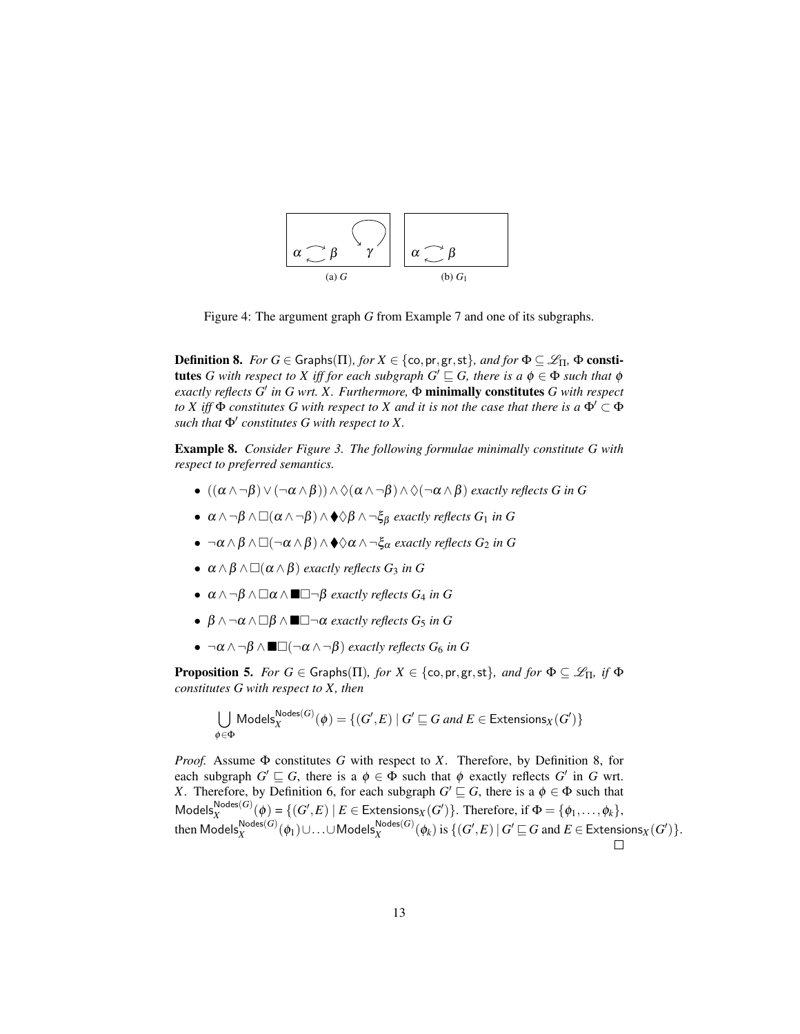

Figure 4: The argument graph *G* from Example 7 and one of its subgraphs.

**Definition 8.** *For*  $G \in$  Graphs( $\Pi$ )*, for*  $X \in \{\text{co}, \text{pr}, \text{gr}, \text{st}\}\$ *, and for*  $\Phi \subseteq \mathscr{L}_{\Pi}$ ,  $\Phi$  consti**tutes** G with respect to X iff for each subgraph  $G' \sqsubseteq G$ , there is a  $\phi \in \Phi$  such that  $\phi$ *exactly reflects G*<sup>0</sup> *in G wrt. X. Furthermore,* Φ minimally constitutes *G with respect to X iff*  $\Phi$  *constitutes G with respect to X and it is not the case that there is a*  $\Phi' \subset \Phi$  $\mathit{such that}$  $\Phi'$  constitutes  $G$  with respect to  $X$ .

Example 8. *Consider Figure 3. The following formulae minimally constitute G with respect to preferred semantics.*

- $((\alpha \wedge \neg \beta) \vee (\neg \alpha \wedge \beta)) \wedge \Diamond(\alpha \wedge \neg \beta) \wedge \Diamond(\neg \alpha \wedge \beta)$  *exactly reflects G in G*
- $\alpha \wedge \neg \beta \wedge \Box(\alpha \wedge \neg \beta) \wedge \blacklozenge \Diamond \beta \wedge \neg \xi_{\beta}$  *exactly reflects G*<sub>1</sub> *in G*
- $\bullet \ \neg \alpha \wedge \beta \wedge \Box(\neg \alpha \wedge \beta) \wedge \blacklozenge \Diamond \alpha \wedge \neg \xi_{\alpha}$  *exactly reflects G*<sub>2</sub> *in G*
- $\bullet$   $\alpha \wedge \beta \wedge \Box(\alpha \wedge \beta)$  *exactly reflects G*<sub>3</sub> *in G*
- $\alpha \wedge \neg \beta \wedge \Box \alpha \wedge \blacksquare \Box \neg \beta$  *exactly reflects*  $G_4$  *in*  $G$
- $\beta \wedge \neg \alpha \wedge \Box \beta \wedge \blacksquare \Box \neg \alpha$  *exactly reflects*  $G_5$  *in*  $G$
- $\bullet \ \neg \alpha \wedge \neg \beta \wedge \blacksquare \Box (\neg \alpha \wedge \neg \beta)$  *exactly reflects G*<sub>6</sub> *in G*

**Proposition 5.** *For*  $G \in$  Graphs( $\Pi$ )*, for*  $X \in \{\text{co}, \text{pr}, \text{gr}, \text{st}\}\$ *, and for*  $\Phi \subseteq \mathcal{L}_{\Pi}$ *, if*  $\Phi$ *constitutes G with respect to X, then*

$$
\bigcup_{\phi \in \Phi} \mathsf{Models}_X^{\mathsf{Nodes}(G)}(\phi) = \{ (G', E) \mid G' \sqsubseteq G \text{ and } E \in \mathsf{Extensions}_X(G') \}
$$

*Proof.* Assume Φ constitutes *G* with respect to *X*. Therefore, by Definition 8, for each subgraph  $G' \sqsubseteq G$ , there is a  $\phi \in \Phi$  such that  $\phi$  exactly reflects  $G'$  in  $G$  wrt. *X*. Therefore, by Definition 6, for each subgraph  $G' \sqsubseteq G$ , there is a  $\phi \in \Phi$  such that  $\mathsf{Models}_X^{\mathsf{Nodes}(G)}(\phi) = \{(G', E) \mid E \in \mathsf{Extensions}_X(G')\}.$  Therefore, if  $\Phi = \{\phi_1, \ldots, \phi_k\},$  $\text{then Models}_{X}^{\textsf{Nodes}(G)}(\phi_1) \cup \ldots \cup \textsf{Models}_{X}^{\textsf{Nodes}(G)}(\phi_k) \text{ is } \{(G',E) \, | \, G' \sqsubseteq G \text{ and } E \in \textsf{Extensions}_X(G')\}.$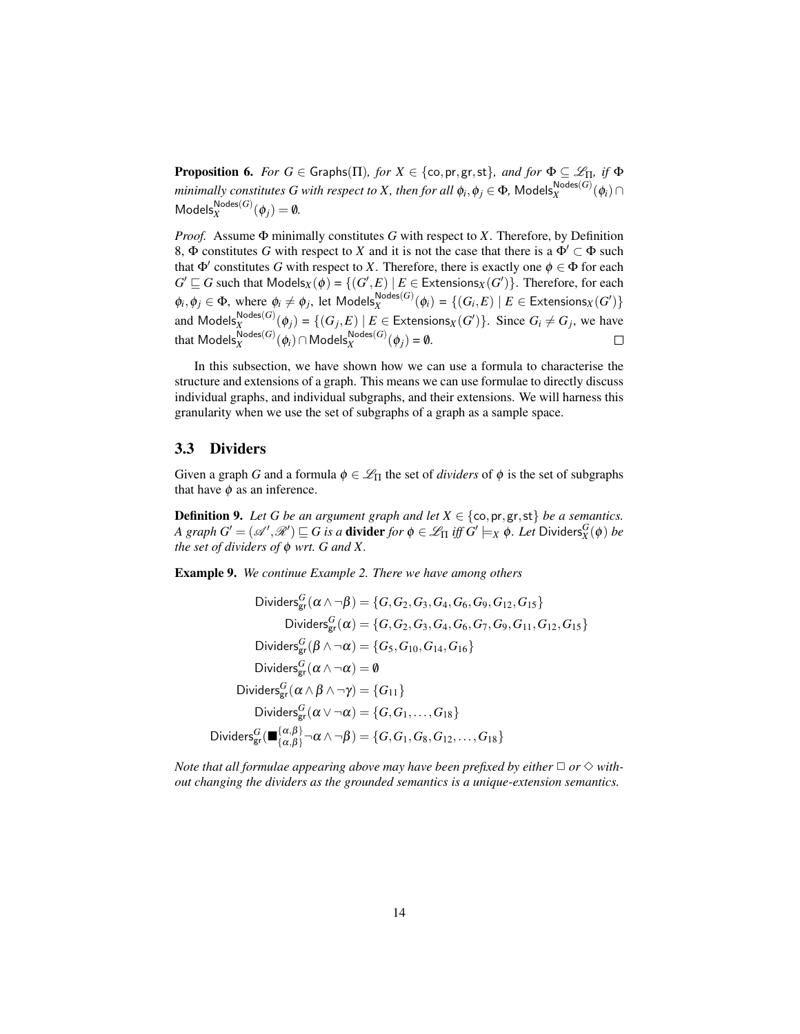**Proposition 6.** *For*  $G \in$  Graphs( $\Pi$ )*, for*  $X \in \{\text{co, pr, gr, st}\}\$ *, and for*  $\Phi \subseteq \mathcal{L}_{\Pi}$ *, if*  $\Phi$ *minimally constitutes G with respect to X, then for all*  $\phi_i, \phi_j \in \Phi$ *,*  $\mathsf{Models}_X^{\mathsf{Nodes}(G)}(\phi_i) \cap$  $\mathsf{Models}_X^{\mathsf{Nodes}(G)}(\phi_j) = \emptyset.$ 

*Proof.* Assume Φ minimally constitutes *G* with respect to *X*. Therefore, by Definition 8,  $\Phi$  constitutes *G* with respect to *X* and it is not the case that there is a  $\Phi' \subset \Phi$  such that  $\Phi'$  constitutes *G* with respect to *X*. Therefore, there is exactly one  $\phi \in \Phi$  for each  $G' \sqsubseteq G$  such that  $\mathsf{Models}_X(\phi) = \{ (G', E) \mid E \in \mathsf{Extensions}_X(G') \}$ . Therefore, for each  $\phi_i, \phi_j \in \Phi$ , where  $\phi_i \neq \phi_j$ , let  $\mathsf{Models}_X^{\mathsf{Nodes}(G)}(\phi_i) = \{(G_i, E) \mid E \in \mathsf{Extensions}_X(G')\}$ and  $\textsf{Models}_X^{\textsf{Nodes}(G)}(\phi_j) = \{ (G_j, E) \mid E \in \textsf{Extensions}_X(G') \}$ . Since  $G_i \neq G_j$ , we have that  $\mathsf{Models}_X^{\mathsf{Nodes}(G)}(\phi_i) \cap \mathsf{Models}_X^{\mathsf{Nodes}(G)}(\phi_j) = \emptyset.$ 

In this subsection, we have shown how we can use a formula to characterise the structure and extensions of a graph. This means we can use formulae to directly discuss individual graphs, and individual subgraphs, and their extensions. We will harness this granularity when we use the set of subgraphs of a graph as a sample space.

#### 3.3 Dividers

Given a graph *G* and a formula  $\phi \in \mathcal{L}_{\Pi}$  the set of *dividers* of  $\phi$  is the set of subgraphs that have  $\phi$  as an inference.

**Definition 9.** Let G be an argument graph and let  $X \in \{\text{co}, \text{pr}, \text{gr}, \text{st}\}\$  be a semantics.  $A$   $graph$   $G' = (\mathscr{A}', \mathscr{R}') \sqsubseteq G$  is a divider  $for$   $\phi \in \mathscr{L}_\Pi$  iff  $G' \models_X \phi$ . Let Dividers $^G_X(\phi)$  be *the set of dividers of* φ *wrt. G and X.*

Example 9. *We continue Example 2. There we have among others*

Dividers<sub>gr</sub>
$$
(\alpha \wedge \neg \beta) = \{G, G_2, G_3, G_4, G_6, G_9, G_{12}, G_{15}\}
$$
Dividers<sub>gr</sub>
$$
(\alpha) = \{G, G_2, G_3, G_4, G_6, G_7, G_9, G_{11}, G_{12}, G_{15}\}
$$
Dividers<sub>gr</sub>
$$
(\beta \wedge \neg \alpha) = \{G_5, G_{10}, G_{14}, G_{16}\}
$$
Dividers<sub>gr</sub>
$$
(\alpha \wedge \neg \alpha) = \emptyset
$$
Dividers<sub>gr</sub>
$$
(\alpha \wedge \beta \wedge \neg \gamma) = \{G_{11}\}
$$
Dividers<sub>gr</sub>
$$
(\alpha \vee \neg \alpha) = \{G, G_1, \dots, G_{18}\}
$$
Dividers<sub>gr</sub>
$$
(\alpha \wedge \beta) = \{G, G_1, \dots, G_{18}\}
$$
Dividers<sub>gr</sub>
$$
(\alpha \wedge \beta) = \{G, G_1, G_8, G_{12}, \dots, G_{18}\}
$$

*Note that all formulae appearing above may have been prefixed by either*  $\Box$  *or*  $\diamond$  *without changing the dividers as the grounded semantics is a unique-extension semantics.*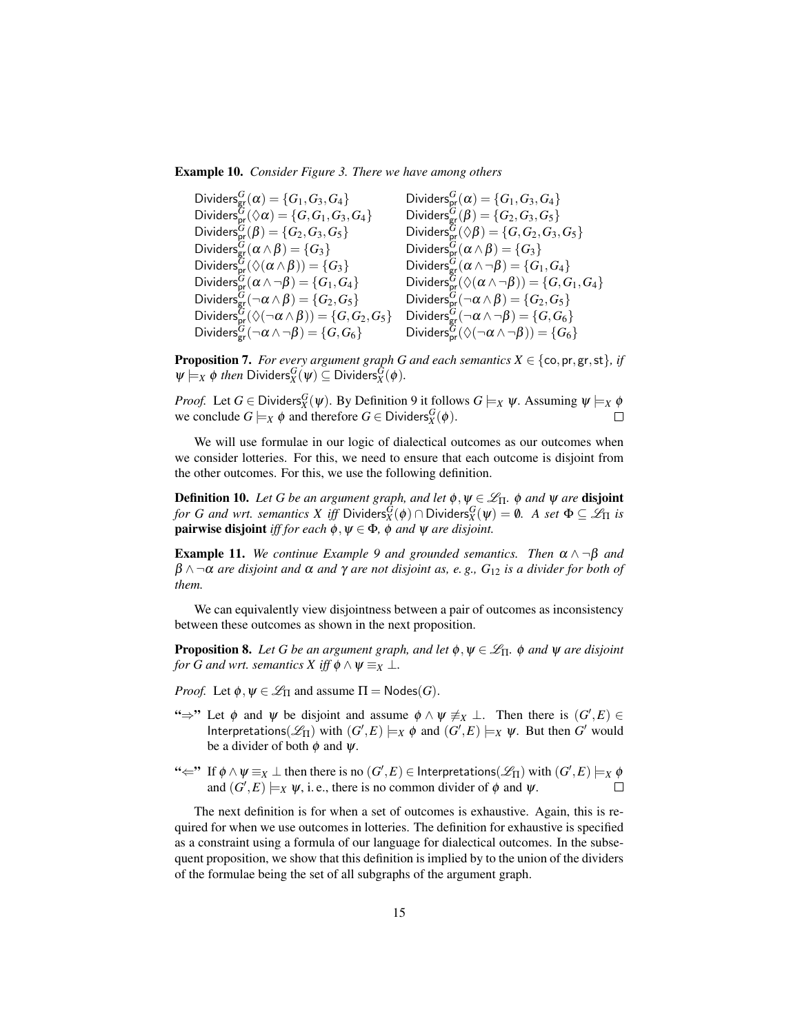Example 10. *Consider Figure 3. There we have among others*

 $\operatorname{\sf Dividers}_{\operatorname{\sf gr}}^G(\pmb{\alpha})=\{G_1,G_3,G_4\}$  Dividers ${}_{\operatorname{\sf pr}}^G$  $S_{\text{pr}}^{G}(\alpha) = \{G_1, G_3, G_4\}$  $\operatorname{\sf Dividers}_{\operatorname{\sf pr}}^{\overline{G}}(\Diamond\alpha)=\{G,G_1,G_3,G_4\}\qquad\quad \operatorname{\sf Dividers}_{\operatorname{\sf gr}}^{\overline{G}}$  $G_{\text{gr}}^{G}(\beta) = \{G_2, G_3, G_5\}$  $Dividers_{\text{pr}}^G(\beta) = \{G_2, G_3, G_5\}$  Dividers $_G^G$  $\mathcal{G}_{\mathsf{pr}}^{\tilde{G}}(\lozenge\beta)=\{G,G_2,G_3,G_5\}$  $Dividers_{\text{gr}}^G(\alpha \wedge \beta) = \{G_3\}$  Dividers $_G^G$  $_{\mathsf{pr}}^{G}(\alpha\wedge\beta)=\{G_{3}\}$  $Dividers^{\tilde{G}}_{\textsf{pr}}(\Diamond (\alpha \land \beta)) = \{G_3\}$  Dividers<sup>*G*</sup>  $G_{\text{gr}}^G(\alpha \wedge \neg \beta) = \{G_1, G_4\}$  $\operatorname{\sf Dividers}_{\operatorname{\sf pr}}^G(\alpha\wedge\neg\beta)=\{G_1,G_4\}$  Dividers $^G_{\operatorname{\sf pr}}$  $\mathop{\rm Gr}\limits^{\rm G}(\Diamond(\alpha \wedge \neg \beta)) = \{G,G_1,G_4\}$  $\operatorname{\sf Dividers}_{\operatorname{\sf gr}}^G(\neg\alpha\wedge\beta)=\{G_2,G_5\}$  Dividers $^G_{\operatorname{\sf pr}}$  $_{\mathsf{pr}}^G(\neg \alpha \land \beta) = \{G_2, G_5\}$  $\mathrm{Dividers}_{\mathrm{pr}}^{\widetilde{G}}(\Diamond(\neg\alpha\land\beta))=\{G,G_2,G_5\}\quad \mathrm{Dividers}_{\mathrm{gr}}^{\widetilde{G}}$  $_{\mathrm{gr}}^G(\neg \alpha \wedge \neg \beta) = \{G,G_6\}$  $\operatorname{\sf Dividers}_{\operatorname{\sf gr}}^G(\neg\alpha\wedge\neg\beta)=\{G,G_6\}$  Dividers $^G_{\operatorname{\sf pr}}$  $\mathsf{G}_\mathsf{pr}^G(\Diamond(\neg\alpha\wedge \neg\beta))=\{G_6\}$ 

**Proposition 7.** *For every argument graph G and each semantics*  $X \in \{\infty, \text{pr}, \text{gr}, \text{st}\}, \text{ if }$  $\Psi \models_X \phi$  *then* Dividers ${}^G_X(\psi) \subseteq$  Dividers ${}^G_X(\phi)$ .

*Proof.* Let  $G \in Dividers_X^G(\psi)$ . By Definition 9 it follows  $G \models_X \psi$ . Assuming  $\psi \models_X \phi$ we conclude  $G \models_X \phi$  and therefore  $G \in Dividers_X^G(\phi)$ .  $\Box$ 

We will use formulae in our logic of dialectical outcomes as our outcomes when we consider lotteries. For this, we need to ensure that each outcome is disjoint from the other outcomes. For this, we use the following definition.

**Definition 10.** Let G be an argument graph, and let  $\phi, \psi \in \mathcal{L}_{\Pi}$ .  $\phi$  and  $\psi$  are **disjoint** *for G and wrt. semantics X iff* Dividers $_S^{\tilde{G}}(\phi) \cap$  Dividers $_S^G(\psi) = \emptyset$ . A set  $\Phi \subseteq \mathscr{L}_\Pi$  is **pairwise disjoint** *iff for each*  $\phi$ ,  $\psi \in \Phi$ ,  $\phi$  *and*  $\psi$  *are disjoint.* 

**Example 11.** We continue Example 9 and grounded semantics. Then  $\alpha \wedge \neg \beta$  and  $\beta \wedge \neg \alpha$  *are disjoint and*  $\alpha$  *and*  $\gamma$  *are not disjoint as, e.g.,*  $G_{12}$  *is a divider for both of them.*

We can equivalently view disjointness between a pair of outcomes as inconsistency between these outcomes as shown in the next proposition.

**Proposition 8.** Let G be an argument graph, and let  $\phi, \psi \in \mathcal{L}_{\Pi}$ .  $\phi$  and  $\psi$  are disjoint *for G and wrt. semantics X iff*  $\phi \land \psi \equiv_X \bot$ *.* 

*Proof.* Let  $\phi, \psi \in \mathcal{L}_{\Pi}$  and assume  $\Pi = \text{Nodes}(G)$ .

- " $\Rightarrow$ " Let φ and ψ be disjoint and assume  $φ \land ψ \neq_X \bot$ . Then there is  $(G', E) \in$  $Interpretations( $\mathscr{L}_{\Pi}$ ) with  $(G',E) \models_X \phi$  and  $(G',E) \models_X \psi$ . But then G' would$ be a divider of both  $\phi$  and  $\psi$ .
- $\iff$  If  $\phi \land \psi \equiv_X \bot$  then there is no  $(G', E) \in$  Interpretations $(\mathscr{L}_\Pi)$  with  $(G', E) \models_X \phi$ and  $(G', E) \models_X \psi$ , i. e., there is no common divider of  $\phi$  and  $\psi$ .  $\Box$

The next definition is for when a set of outcomes is exhaustive. Again, this is required for when we use outcomes in lotteries. The definition for exhaustive is specified as a constraint using a formula of our language for dialectical outcomes. In the subsequent proposition, we show that this definition is implied by to the union of the dividers of the formulae being the set of all subgraphs of the argument graph.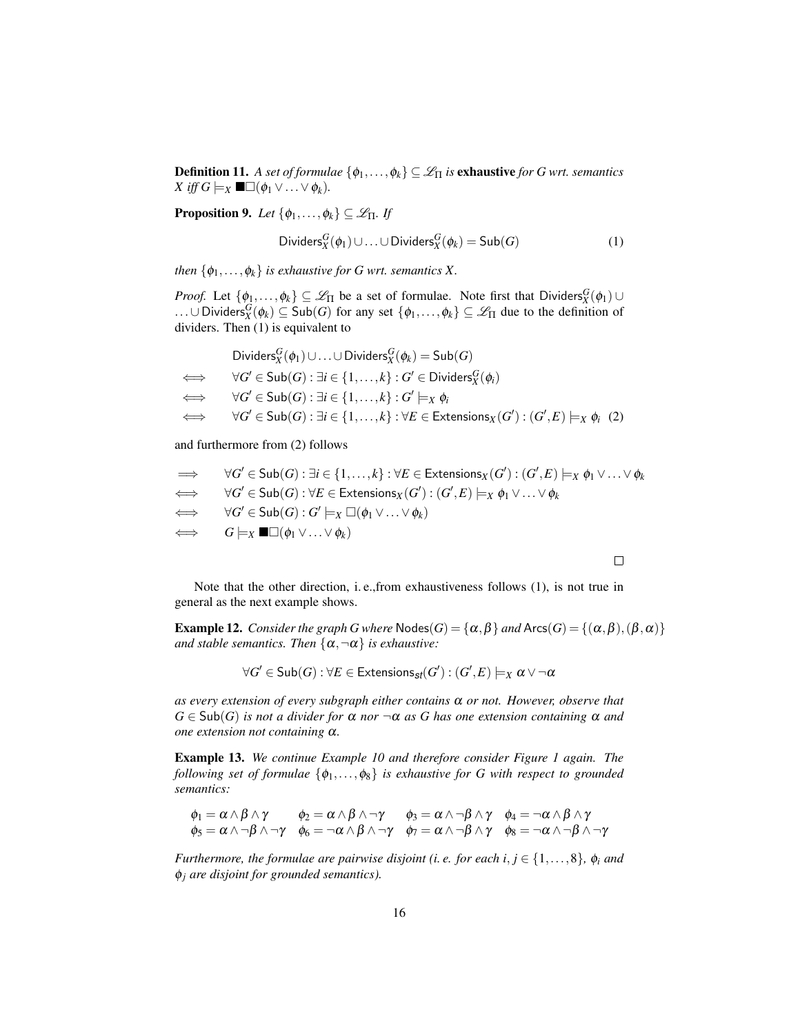**Definition 11.** *A set of formulae*  $\{\phi_1, \ldots, \phi_k\} \subseteq \mathcal{L}_{\Pi}$  *is* **exhaustive** *for G wrt. semantics X* iff *G*  $\models$ *X* ■□( $φ_1 ∨ … ∨ φ_k$ )*.* 

**Proposition 9.** *Let*  $\{\phi_1, \ldots, \phi_k\} \subseteq \mathcal{L}_{\Pi}$ *. If* 

Dividers<sub>X</sub>
$$
(\phi_1) \cup ... \cup Dividers_X^G(\phi_k) = Sub(G)
$$
 (1)

*then*  $\{\phi_1, \ldots, \phi_k\}$  *is exhaustive for G wrt. semantics X.* 

*Proof.* Let  $\{\phi_1,\ldots,\phi_k\} \subseteq \mathcal{L}_{\Pi}$  be a set of formulae. Note first that Dividers ${}^G_X(\phi_1) \cup$ ...∪Dividers ${}_{X}^{G}(\phi_k)$  ⊆ Sub(*G*) for any set  $\{\phi_1,\ldots,\phi_k\}$  ⊆  $\mathscr{L}_{\Pi}$  due to the definition of dividers. Then (1) is equivalent to

| Dividers ${}_{X}^{G}(\phi_1) \cup  \cup \text{Dividers}_{X}^{G}(\phi_k) = \text{Sub}(G)$                                                |
|-----------------------------------------------------------------------------------------------------------------------------------------|
| $\iff$ $\forall G' \in Sub(G) : \exists i \in \{1, , k\} : G' \in Dividers_Y^G(\phi_i)$                                                 |
| $\iff$ $\forall G' \in Sub(G) : \exists i \in \{1, , k\} : G' \models_X \phi_i$                                                         |
| $\iff \forall G' \in Sub(G) : \exists i \in \{1,\ldots,k\} : \forall E \in \mathsf{Extensions}_X(G') : (G',E) \models_X \phi_i \tag{2}$ |

and furthermore from (2) follows

$$
\Rightarrow \forall G' \in Sub(G) : \exists i \in \{1, ..., k\} : \forall E \in Extensions_X(G') : (G', E) \models_X \phi_1 \vee ... \vee \phi_k
$$
  
\n
$$
\iff \forall G' \in Sub(G) : \forall E \in Extensions_X(G') : (G', E) \models_X \phi_1 \vee ... \vee \phi_k
$$
  
\n
$$
\iff \forall G' \in Sub(G) : G' \models_X \Box(\phi_1 \vee ... \vee \phi_k)
$$
  
\n
$$
\iff G \models_X \blacksquare \Box(\phi_1 \vee ... \vee \phi_k)
$$

 $\Box$ 

Note that the other direction, i. e.,from exhaustiveness follows (1), is not true in general as the next example shows.

**Example 12.** *Consider the graph G where*  $\text{Nodes}(G) = \{\alpha, \beta\}$  *and*  $\text{Arcs}(G) = \{(\alpha, \beta),(\beta, \alpha)\}$ *and stable semantics. Then*  $\{\alpha, \neg \alpha\}$  *is exhaustive:* 

$$
\forall G' \in \mathsf{Sub}(G) : \forall E \in \mathsf{Extensions}_{\mathsf{sf}}(G') : (G', E) \models_X \alpha \vee \neg \alpha
$$

*as every extension of every subgraph either contains* α *or not. However, observe that*  $G \in Sub(G)$  *is not a divider for*  $\alpha$  *nor*  $\neg \alpha$  *as G has one extension containing*  $\alpha$  *and one extension not containing* α*.*

Example 13. *We continue Example 10 and therefore consider Figure 1 again. The following set of formulae* {φ1,...,φ8} *is exhaustive for G with respect to grounded semantics:*

$$
\phi_1 = \alpha \wedge \beta \wedge \gamma \qquad \phi_2 = \alpha \wedge \beta \wedge \neg \gamma \qquad \phi_3 = \alpha \wedge \neg \beta \wedge \gamma \qquad \phi_4 = \neg \alpha \wedge \beta \wedge \gamma
$$
\n
$$
\phi_5 = \alpha \wedge \neg \beta \wedge \neg \gamma \qquad \phi_6 = \neg \alpha \wedge \beta \wedge \neg \gamma \qquad \phi_7 = \alpha \wedge \neg \beta \wedge \gamma \qquad \phi_8 = \neg \alpha \wedge \neg \beta \wedge \neg \gamma
$$

*Furthermore, the formulae are pairwise disjoint (i. e. for each i,*  $j \in \{1, ..., 8\}$ *,*  $\phi_i$  *and* φ*<sup>j</sup> are disjoint for grounded semantics).*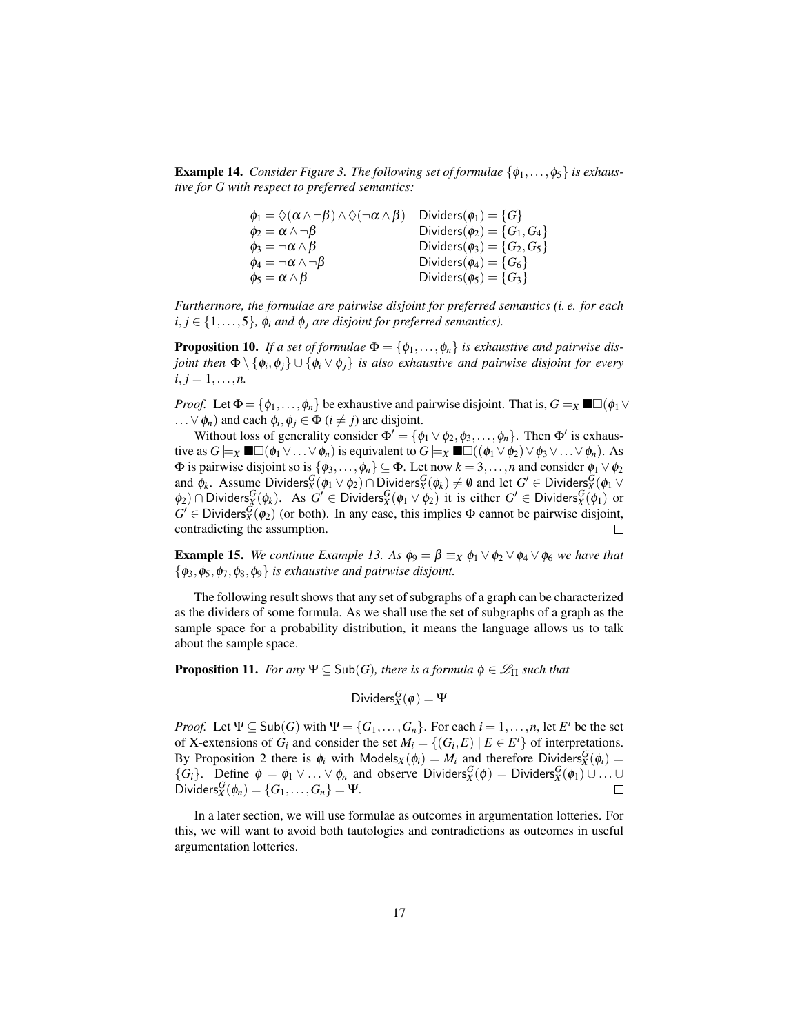**Example 14.** *Consider Figure 3. The following set of formulae*  $\{\phi_1, \ldots, \phi_5\}$  *is exhaustive for G with respect to preferred semantics:*

| $\phi_1 = \Diamond(\alpha \wedge \neg \beta) \wedge \Diamond(\neg \alpha \wedge \beta)$ | Dividers $(\phi_1) = \{G\}$        |
|-----------------------------------------------------------------------------------------|------------------------------------|
| $\phi_2 = \alpha \wedge \neg \beta$                                                     | Dividers $(\phi_2) = \{G_1, G_4\}$ |
| $\phi_3 = \neg \alpha \wedge \beta$                                                     | Dividers $(\phi_3) = \{G_2, G_5\}$ |
| $\phi_4 = -\alpha \wedge \neg \beta$                                                    | Dividers $(\phi_4) = \{G_6\}$      |
| $\phi_5 = \alpha \wedge \beta$                                                          | Dividers $(\phi_5) = \{G_3\}$      |

*Furthermore, the formulae are pairwise disjoint for preferred semantics (i. e. for each*  $i, j \in \{1, \ldots, 5\}$ ,  $\phi_i$  *and*  $\phi_j$  *are disjoint for preferred semantics*).

**Proposition 10.** If a set of formulae  $\Phi = {\phi_1, \ldots, \phi_n}$  is exhaustive and pairwise dis*joint then* Φ \ {φ*<sup>i</sup>* ,φ*j*} ∪ {φ*<sup>i</sup>* ∨ φ*j*} *is also exhaustive and pairwise disjoint for every*  $i, j = 1, \ldots, n$ .

*Proof.* Let  $\Phi = {\phi_1, \ldots, \phi_n}$  be exhaustive and pairwise disjoint. That is,  $G \models_X \blacksquare \Box (\phi_1 \lor \phi_2)$ ...  $\lor \phi_n$ ) and each  $\phi_i, \phi_j \in \Phi$  (*i*  $\neq j$ ) are disjoint.

Without loss of generality consider  $\Phi' = {\phi_1 \vee \phi_2, \phi_3, ..., \phi_n}$ . Then  $\Phi'$  is exhaustive as  $G \models_X \blacksquare \Box (\phi_1 \lor ... \lor \phi_n)$  is equivalent to  $G \models_X \blacksquare \Box ((\phi_1 \lor \phi_2) \lor \phi_3 \lor ... \lor \phi_n)$ . As  $Φ$  is pairwise disjoint so is { $φ_3, ..., φ_n$ } ⊆  $Φ$ . Let now  $k = 3, ..., n$  and consider  $φ_1 ∨ φ_2$ and  $\phi_k$ . Assume Dividers ${}^G_X(\phi_1 \vee \phi_2) \cap$  Dividers ${}^G_X(\phi_k) \neq \emptyset$  and let  $G' \in$  Dividers ${}^G_X(\phi_1 \vee$  $\phi_2$ ) ∩ Dividers ${}^G_X(\phi_k)$ . As  $G' \in \text{Dividers}_X^G(\phi_1 \vee \phi_2)$  it is either  $G' \in \text{Dividers}_X^G(\phi_1)$  or  $G' \in Dividers_X^{\tilde{G}}(\phi_2)$  (or both). In any case, this implies  $\Phi$  cannot be pairwise disjoint, contradicting the assumption.  $\Box$ 

**Example 15.** *We continue Example 13. As*  $\phi_9 = \beta \equiv_X \phi_1 \vee \phi_2 \vee \phi_4 \vee \phi_6$  *we have that*  $\{\phi_3, \phi_5, \phi_7, \phi_8, \phi_9\}$  *is exhaustive and pairwise disjoint.* 

The following result shows that any set of subgraphs of a graph can be characterized as the dividers of some formula. As we shall use the set of subgraphs of a graph as the sample space for a probability distribution, it means the language allows us to talk about the sample space.

**Proposition 11.** *For any*  $\Psi \subseteq Sub(G)$ *, there is a formula*  $\phi \in \mathcal{L}_{\Pi}$  *such that* 

Dividers
$$
g_X(\phi) = \Psi
$$

*Proof.* Let  $\Psi \subseteq Sub(G)$  with  $\Psi = \{G_1, \ldots, G_n\}$ . For each  $i = 1, \ldots, n$ , let  $E^i$  be the set of X-extensions of  $G_i$  and consider the set  $M_i = \{(G_i, E) | E \in E^i\}$  of interpretations. By Proposition 2 there is  $\phi_i$  with Models<sub>*X*</sub>( $\phi_i$ ) = *M<sub>i</sub>* and therefore Dividers<sub>*X*</sub><sup>*G*</sup><sub>*N*</sub>( $\phi_i$ ) =  $\{G_i\}$ . Define  $\phi = \phi_1 \vee \ldots \vee \phi_n$  and observe Dividers ${}^G_X(\phi) = \text{Dividers}_X^G(\phi_1) \cup \ldots \cup$  $\text{Dividers}_X^G(\phi_n) = \{G_1, \ldots, G_n\} = \Psi.$ 

In a later section, we will use formulae as outcomes in argumentation lotteries. For this, we will want to avoid both tautologies and contradictions as outcomes in useful argumentation lotteries.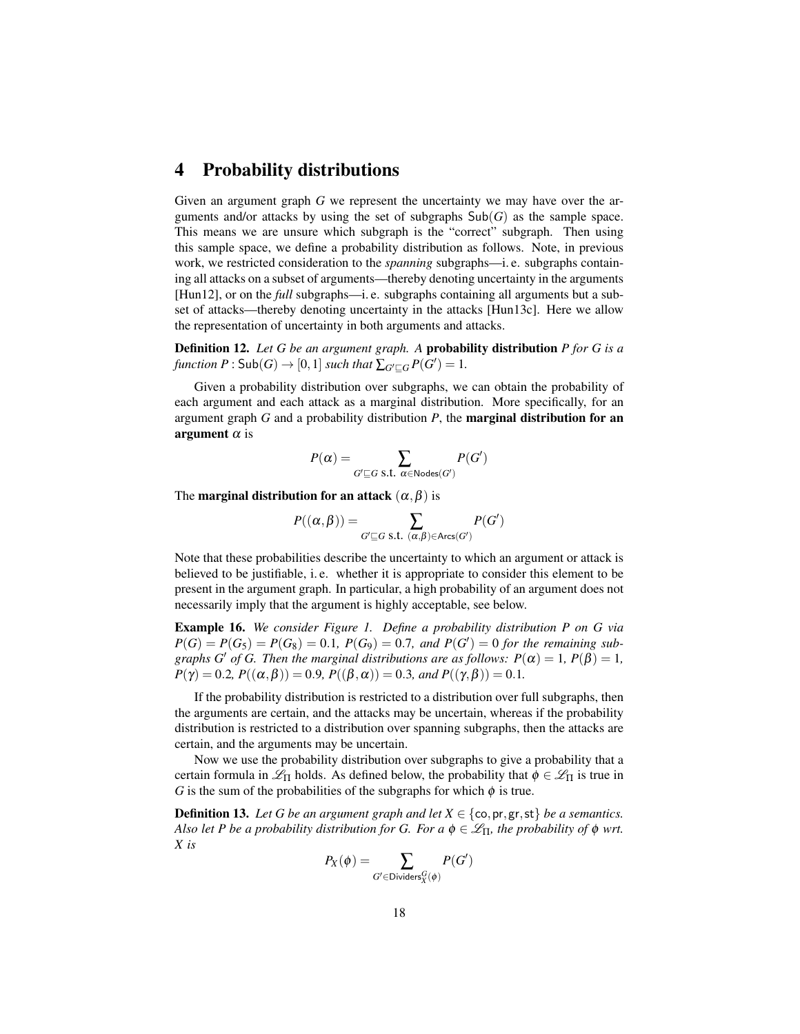### 4 Probability distributions

Given an argument graph *G* we represent the uncertainty we may have over the arguments and/or attacks by using the set of subgraphs  $\text{Sub}(G)$  as the sample space. This means we are unsure which subgraph is the "correct" subgraph. Then using this sample space, we define a probability distribution as follows. Note, in previous work, we restricted consideration to the *spanning* subgraphs—i. e. subgraphs containing all attacks on a subset of arguments—thereby denoting uncertainty in the arguments [Hun12], or on the *full* subgraphs—i. e. subgraphs containing all arguments but a subset of attacks—thereby denoting uncertainty in the attacks [Hun13c]. Here we allow the representation of uncertainty in both arguments and attacks.

Definition 12. *Let G be an argument graph. A* probability distribution *P for G is a function*  $P : Sub(G) \rightarrow [0,1]$  *such that*  $\sum_{G' \sqsubseteq G} P(G') = 1$ *.* 

Given a probability distribution over subgraphs, we can obtain the probability of each argument and each attack as a marginal distribution. More specifically, for an argument graph *G* and a probability distribution *P*, the marginal distribution for an argument  $\alpha$  is

$$
P(\alpha) = \sum_{G' \sqsubseteq G \text{ s.t. } \alpha \in \text{Nodes}(G')} P(G')
$$

The **marginal distribution for an attack**  $(\alpha, \beta)$  is

$$
P((\alpha, \beta)) = \sum_{G' \sqsubseteq G \text{ s.t. } (\alpha, \beta) \in \text{Arcs}(G')} P(G')
$$

Note that these probabilities describe the uncertainty to which an argument or attack is believed to be justifiable, i. e. whether it is appropriate to consider this element to be present in the argument graph. In particular, a high probability of an argument does not necessarily imply that the argument is highly acceptable, see below.

Example 16. *We consider Figure 1. Define a probability distribution P on G via*  $P(G) = P(G_5) = P(G_8) = 0.1$ ,  $P(G_9) = 0.7$ , and  $P(G') = 0$  for the remaining sub*graphs G' of G. Then the marginal distributions are as follows:*  $P(\alpha) = 1$ ,  $P(\beta) = 1$ ,  $P(\gamma) = 0.2$ ,  $P((\alpha, \beta)) = 0.9$ ,  $P((\beta, \alpha)) = 0.3$ *, and*  $P((\gamma, \beta)) = 0.1$ *.* 

If the probability distribution is restricted to a distribution over full subgraphs, then the arguments are certain, and the attacks may be uncertain, whereas if the probability distribution is restricted to a distribution over spanning subgraphs, then the attacks are certain, and the arguments may be uncertain.

Now we use the probability distribution over subgraphs to give a probability that a certain formula in  $\mathcal{L}_{\Pi}$  holds. As defined below, the probability that  $\phi \in \mathcal{L}_{\Pi}$  is true in *G* is the sum of the probabilities of the subgraphs for which  $\phi$  is true.

**Definition 13.** Let G be an argument graph and let  $X \in \{\text{co}, \text{pr}, \text{gr}, \text{st}\}\$  be a semantics. *Also let P be a probability distribution for G. For a*  $\phi \in \mathcal{L}_{\Pi}$ *, the probability of*  $\phi$  *wrt. X is*

$$
P_X(\phi) = \sum_{G' \in \text{Dividers}_X^G(\phi)} P(G')
$$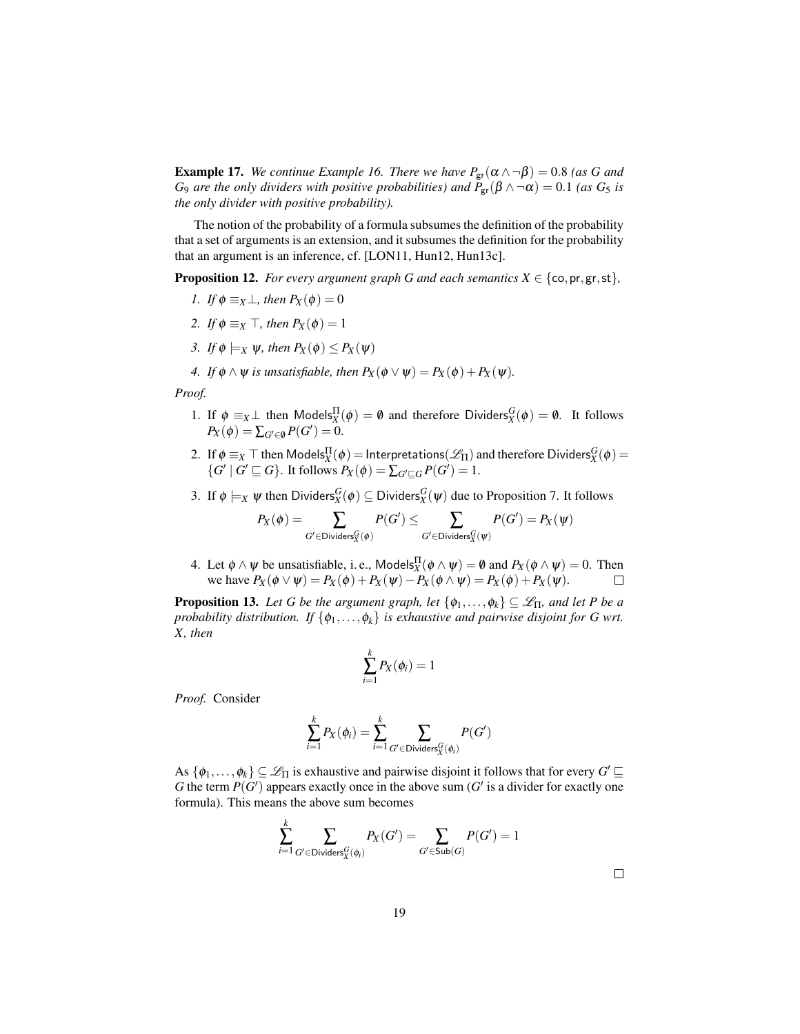**Example 17.** *We continue Example 16. There we have*  $P_{\text{gr}}(\alpha \wedge \neg \beta) = 0.8$  *(as G and G*<sub>9</sub> *are the only dividers with positive probabilities) and*  $P_{\text{gr}}(\beta \wedge \neg \alpha) = 0.1$  *(as*  $G_5$  *is the only divider with positive probability).*

The notion of the probability of a formula subsumes the definition of the probability that a set of arguments is an extension, and it subsumes the definition for the probability that an argument is an inference, cf. [LON11, Hun12, Hun13c].

**Proposition 12.** *For every argument graph G and each semantics*  $X \in \{\text{co}, \text{pr}, \text{gr}, \text{st}\},\$ 

- *1. If*  $\phi \equiv_X \bot$ *, then*  $P_X(\phi) = 0$
- *2. If*  $\phi \equiv_X \top$ *, then*  $P_X(\phi) = 1$
- *3. If*  $\phi \models_X \psi$ *, then*  $P_X(\phi) \leq P_X(\psi)$
- *4. If*  $\phi \land \psi$  *is unsatisfiable, then*  $P_X(\phi \lor \psi) = P_X(\phi) + P_X(\psi)$ *.*

*Proof.*

- 1. If  $\phi \equiv_X \perp$  then Models $_X^{\Pi}(\phi) = \emptyset$  and therefore Dividers $_X^G(\phi) = \emptyset$ . It follows  $P_X(\phi) = \sum_{G' \in \emptyset} P(G') = 0.$
- 2. If  $\phi \equiv_X \top$  then  $\mathsf{Models}^\Pi_X(\phi) = \mathsf{Interpretations}(\mathscr{L}_\Pi)$  and therefore  $\mathsf{Dividers}^G_X(\phi) =$  $\{G' \mid G' \sqsubseteq G\}$ . It follows  $P_X(\phi) = \sum_{G' \sqsubseteq G} P(G') = 1$ .
- 3. If  $\phi \models_X \psi$  then Dividers ${}^G_X(\phi) \subseteq$  Dividers ${}^G_X(\psi)$  due to Proposition 7. It follows

$$
P_X(\phi) = \sum_{G' \in \text{Dividers}_X^G(\phi)} P(G') \leq \sum_{G' \in \text{Dividers}_X^G(\psi)} P(G') = P_X(\psi)
$$

4. Let  $\phi \wedge \psi$  be unsatisfiable, i. e., Models $_X^{\Pi}(\phi \wedge \psi) = \emptyset$  and  $P_X(\phi \wedge \psi) = 0$ . Then we have  $P_X(\phi \lor \psi) = P_X(\phi) + P_X(\psi) - P_X(\phi \land \psi) = P_X(\phi) + P_X(\psi)$ .

**Proposition 13.** *Let G be the argument graph, let*  $\{\phi_1, \ldots, \phi_k\} \subseteq \mathcal{L}_{\Pi}$ *, and let P be a probability distribution. If*  $\{\phi_1, \ldots, \phi_k\}$  *is exhaustive and pairwise disjoint for G wrt. X, then*

$$
\sum_{i=1}^k P_X(\phi_i) = 1
$$

*Proof.* Consider

$$
\sum_{i=1}^k P_X(\phi_i) = \sum_{i=1}^k \sum_{G' \in \text{Dividers}_X^G(\phi_i)} P(G')
$$

As  $\{\phi_1,\ldots,\phi_k\}\subseteq \mathscr{L}_{\Pi}$  is exhaustive and pairwise disjoint it follows that for every  $G'\sqsubseteq$ G the term  $P(G')$  appears exactly once in the above sum  $(G'$  is a divider for exactly one formula). This means the above sum becomes

$$
\sum_{i=1}^k \sum_{G' \in \mathsf{Dividers}_X^G(\phi_i)} P_X(G') = \sum_{G' \in \mathsf{Sub}(G)} P(G') = 1
$$

 $\Box$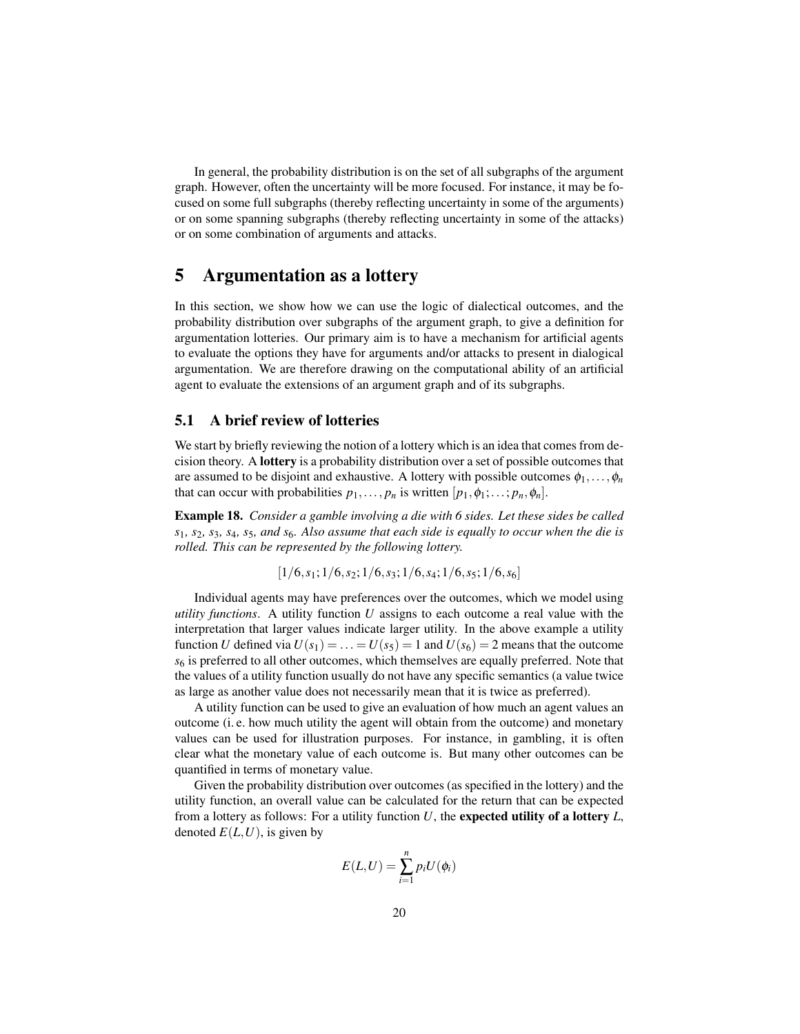In general, the probability distribution is on the set of all subgraphs of the argument graph. However, often the uncertainty will be more focused. For instance, it may be focused on some full subgraphs (thereby reflecting uncertainty in some of the arguments) or on some spanning subgraphs (thereby reflecting uncertainty in some of the attacks) or on some combination of arguments and attacks.

# 5 Argumentation as a lottery

In this section, we show how we can use the logic of dialectical outcomes, and the probability distribution over subgraphs of the argument graph, to give a definition for argumentation lotteries. Our primary aim is to have a mechanism for artificial agents to evaluate the options they have for arguments and/or attacks to present in dialogical argumentation. We are therefore drawing on the computational ability of an artificial agent to evaluate the extensions of an argument graph and of its subgraphs.

#### 5.1 A brief review of lotteries

We start by briefly reviewing the notion of a lottery which is an idea that comes from decision theory. A lottery is a probability distribution over a set of possible outcomes that are assumed to be disjoint and exhaustive. A lottery with possible outcomes  $\phi_1, \ldots, \phi_n$ that can occur with probabilities  $p_1, \ldots, p_n$  is written  $[p_1, \phi_1; \ldots; p_n, \phi_n]$ .

Example 18. *Consider a gamble involving a die with 6 sides. Let these sides be called s*1*, s*2*, s*3*, s*4*, s*5*, and s*6*. Also assume that each side is equally to occur when the die is rolled. This can be represented by the following lottery.*

$$
[1/6, s_1; 1/6, s_2; 1/6, s_3; 1/6, s_4; 1/6, s_5; 1/6, s_6]
$$

Individual agents may have preferences over the outcomes, which we model using *utility functions*. A utility function *U* assigns to each outcome a real value with the interpretation that larger values indicate larger utility. In the above example a utility function *U* defined via  $U(s_1) = \ldots = U(s_5) = 1$  and  $U(s_6) = 2$  means that the outcome *s*<sup>6</sup> is preferred to all other outcomes, which themselves are equally preferred. Note that the values of a utility function usually do not have any specific semantics (a value twice as large as another value does not necessarily mean that it is twice as preferred).

A utility function can be used to give an evaluation of how much an agent values an outcome (i. e. how much utility the agent will obtain from the outcome) and monetary values can be used for illustration purposes. For instance, in gambling, it is often clear what the monetary value of each outcome is. But many other outcomes can be quantified in terms of monetary value.

Given the probability distribution over outcomes (as specified in the lottery) and the utility function, an overall value can be calculated for the return that can be expected from a lottery as follows: For a utility function *U*, the expected utility of a lottery *L*, denoted  $E(L, U)$ , is given by

$$
E(L, U) = \sum_{i=1}^{n} p_i U(\phi_i)
$$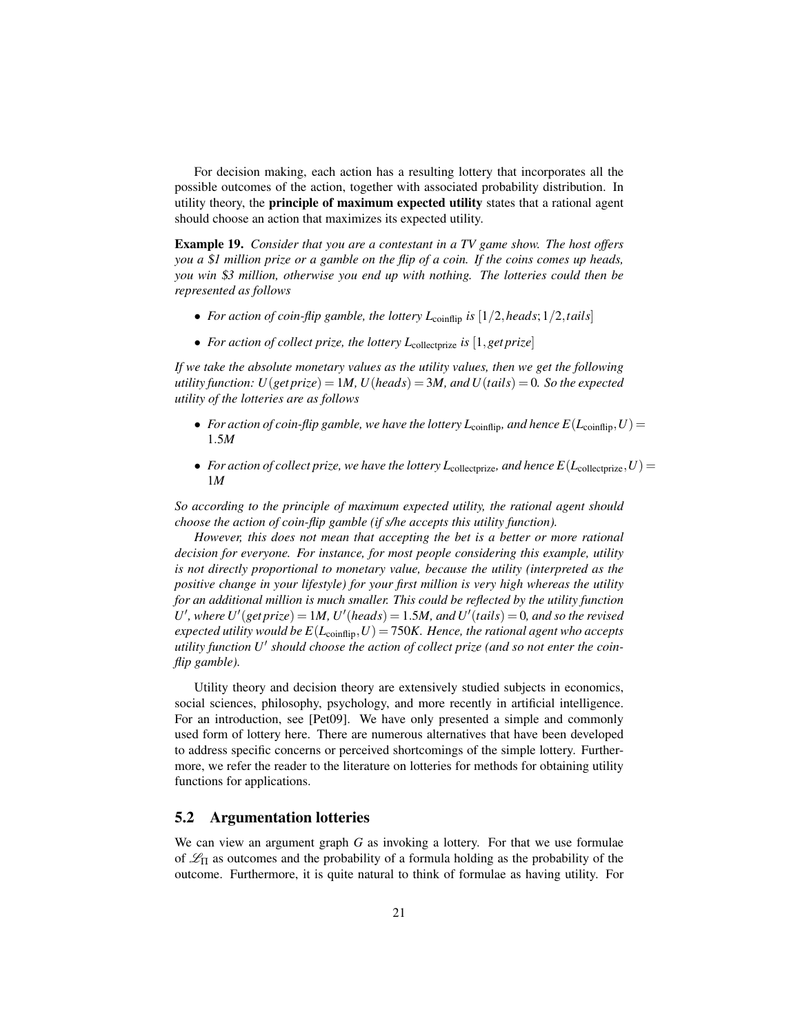For decision making, each action has a resulting lottery that incorporates all the possible outcomes of the action, together with associated probability distribution. In utility theory, the principle of maximum expected utility states that a rational agent should choose an action that maximizes its expected utility.

Example 19. *Consider that you are a contestant in a TV game show. The host offers you a* \$*1 million prize or a gamble on the flip of a coin. If the coins comes up heads, you win* \$*3 million, otherwise you end up with nothing. The lotteries could then be represented as follows*

- *For action of coin-flip gamble, the lottery*  $L_{\text{coinfin}}$  *<i>is*  $\left[\frac{1}{2}\right]$ *, heads*;  $\frac{1}{2}$ *, tails*
- *For action of collect prize, the lottery L*<sub>collectprize</sub> *is* [1, *get prize*]

*If we take the absolute monetary values as the utility values, then we get the following utility function:*  $U$ (*get prize*) = 1*M, U*(*heads*) = 3*M, and U*(*tails*) = 0*. So the expected utility of the lotteries are as follows*

- *For action of coin-flip gamble, we have the lottery*  $L_{\text{coinflip}}$ *, and hence*  $E(L_{\text{coinflip}}, U)$  = 1.5*M*
- *For action of collect prize, we have the lottery*  $L_{\text{collect}}$  *and hence*  $E(L_{\text{collect}},U) =$ 1*M*

*So according to the principle of maximum expected utility, the rational agent should choose the action of coin-flip gamble (if s/he accepts this utility function).*

*However, this does not mean that accepting the bet is a better or more rational decision for everyone. For instance, for most people considering this example, utility is not directly proportional to monetary value, because the utility (interpreted as the positive change in your lifestyle) for your first million is very high whereas the utility for an additional million is much smaller. This could be reflected by the utility function* U', where  $U'(get \text{ prize}) = 1M$ ,  $U'(heads) = 1.5M$ , and  $U'(tails) = 0$ , and so the revised  $expected$  *utility would be*  $E(L_{\text{coinflip}}, U) = 750K$ *. Hence, the rational agent who accepts* utility function U<sup>*I*</sup> should choose the action of collect prize (and so not enter the coin*flip gamble).*

Utility theory and decision theory are extensively studied subjects in economics, social sciences, philosophy, psychology, and more recently in artificial intelligence. For an introduction, see [Pet09]. We have only presented a simple and commonly used form of lottery here. There are numerous alternatives that have been developed to address specific concerns or perceived shortcomings of the simple lottery. Furthermore, we refer the reader to the literature on lotteries for methods for obtaining utility functions for applications.

#### 5.2 Argumentation lotteries

We can view an argument graph *G* as invoking a lottery. For that we use formulae of  $\mathcal{L}_{\Pi}$  as outcomes and the probability of a formula holding as the probability of the outcome. Furthermore, it is quite natural to think of formulae as having utility. For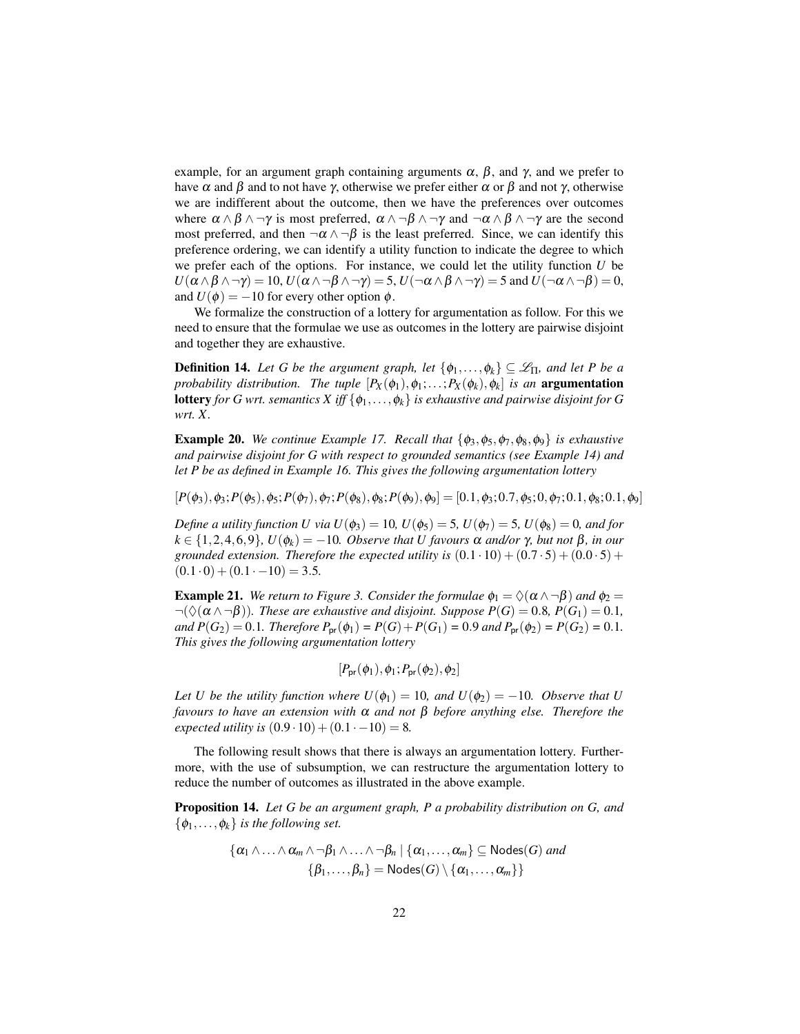example, for an argument graph containing arguments  $\alpha$ ,  $\beta$ , and  $\gamma$ , and we prefer to have  $\alpha$  and  $\beta$  and to not have  $\gamma$ , otherwise we prefer either  $\alpha$  or  $\beta$  and not  $\gamma$ , otherwise we are indifferent about the outcome, then we have the preferences over outcomes where  $\alpha \wedge \beta \wedge \neg \gamma$  is most preferred,  $\alpha \wedge \neg \beta \wedge \neg \gamma$  and  $\neg \alpha \wedge \beta \wedge \neg \gamma$  are the second most preferred, and then  $\neg \alpha \wedge \neg \beta$  is the least preferred. Since, we can identify this preference ordering, we can identify a utility function to indicate the degree to which we prefer each of the options. For instance, we could let the utility function *U* be  $U(\alpha \wedge \beta \wedge \neg \gamma) = 10$ ,  $U(\alpha \wedge \neg \beta \wedge \neg \gamma) = 5$ ,  $U(\neg \alpha \wedge \beta \wedge \neg \gamma) = 5$  and  $U(\neg \alpha \wedge \neg \beta) = 0$ , and  $U(\phi) = -10$  for every other option  $\phi$ .

We formalize the construction of a lottery for argumentation as follow. For this we need to ensure that the formulae we use as outcomes in the lottery are pairwise disjoint and together they are exhaustive.

**Definition 14.** *Let G be the argument graph, let*  $\{\phi_1, \ldots, \phi_k\} \subseteq \mathcal{L}_{\Pi}$ *, and let P be a probability distribution. The tuple*  $[P_X(\phi_1), \phi_1; \ldots; P_X(\phi_k), \phi_k]$  *is an* **argumentation lottery** *for G wrt. semantics*  $X$  *iff*  $\{\phi_1, \ldots, \phi_k\}$  *is exhaustive and pairwise disjoint for G wrt. X.*

**Example 20.** *We continue Example 17. Recall that*  $\{\phi_3, \phi_5, \phi_7, \phi_8, \phi_9\}$  *is exhaustive and pairwise disjoint for G with respect to grounded semantics (see Example 14) and let P be as defined in Example 16. This gives the following argumentation lottery*

 $[P(\phi_3), \phi_3; P(\phi_5), \phi_5; P(\phi_7), \phi_7; P(\phi_8), \phi_8; P(\phi_9), \phi_9] = [0.1, \phi_3; 0.7, \phi_5; 0, \phi_7; 0.1, \phi_8; 0.1, \phi_9]$ 

*Define a utility function U via*  $U(\phi_3) = 10$ *,*  $U(\phi_5) = 5$ *,*  $U(\phi_7) = 5$ *,*  $U(\phi_8) = 0$ *, and for*  $k \in \{1, 2, 4, 6, 9\}$ ,  $U(\phi_k) = -10$ *. Observe that U favours*  $\alpha$  *and/or*  $\gamma$ *, but not*  $\beta$ *, in our grounded extension. Therefore the expected utility is*  $(0.1 \cdot 10) + (0.7 \cdot 5) + (0.0 \cdot 5) +$  $(0.1 \cdot 0) + (0.1 \cdot -10) = 3.5.$ 

**Example 21.** *We return to Figure 3. Consider the formulae*  $\phi_1 = \Diamond(\alpha \land \neg \beta)$  *and*  $\phi_2 = \Diamond(\alpha \land \neg \beta)$  $\neg(\Diamond(\alpha \land \neg \beta))$ *. These are exhaustive and disjoint. Suppose*  $P(G) = 0.8$ *,*  $P(G_1) = 0.1$ *, and*  $P(G_2) = 0.1$ *. Therefore*  $P_{pr}(\phi_1) = P(G) + P(G_1) = 0.9$  *and*  $P_{pr}(\phi_2) = P(G_2) = 0.1$ *. This gives the following argumentation lottery*

$$
[P_{\mathsf{pr}}(\phi_1), \phi_1; P_{\mathsf{pr}}(\phi_2), \phi_2]
$$

*Let U be the utility function where*  $U(\phi_1) = 10$ *, and*  $U(\phi_2) = -10$ *. Observe that* U *favours to have an extension with* α *and not* β *before anything else. Therefore the expected utility is*  $(0.9 \cdot 10) + (0.1 \cdot -10) = 8$ .

The following result shows that there is always an argumentation lottery. Furthermore, with the use of subsumption, we can restructure the argumentation lottery to reduce the number of outcomes as illustrated in the above example.

Proposition 14. *Let G be an argument graph, P a probability distribution on G, and*  $\{\phi_1,\ldots,\phi_k\}$  *is the following set.* 

$$
\{\alpha_1 \wedge \ldots \wedge \alpha_m \wedge \neg \beta_1 \wedge \ldots \wedge \neg \beta_n \mid \{\alpha_1, \ldots, \alpha_m\} \subseteq \mathsf{Nodes}(G) \text{ and } \{\beta_1, \ldots, \beta_n\} = \mathsf{Nodes}(G) \setminus \{\alpha_1, \ldots, \alpha_m\}\}\
$$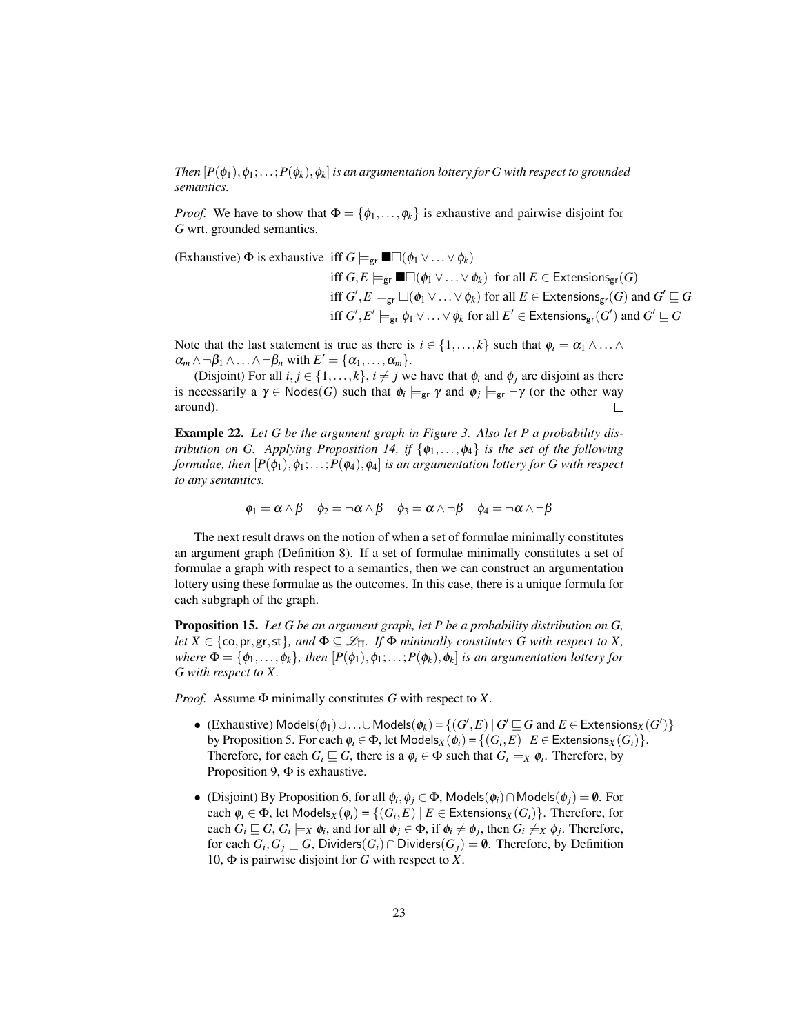$Then\, [P(\phi_1),\phi_1;\ldots;P(\phi_k),\phi_k]$  is an argumentation lottery for  $G$  with respect to grounded *semantics.*

*Proof.* We have to show that  $\Phi = {\phi_1, \ldots, \phi_k}$  is exhaustive and pairwise disjoint for *G* wrt. grounded semantics.

(Exhaustive)  $\Phi$  is exhaustive iff  $G \models_{\text{gr}} \blacksquare \Box (\phi_1 \lor ... \lor \phi_k)$ 

iff  $G, E \models_{\text{gr}} \blacksquare \Box (\phi_1 \lor ... \lor \phi_k)$  for all  $E \in \mathsf{Extensions}_{\text{gr}}(G)$ iff  $G', E \models_{\textsf{gr}} \Box(\phi_1 \lor \ldots \lor \phi_k)$  for all  $E \in \mathsf{Extensions}_{\textsf{gr}}(G)$  and  $G' \sqsubseteq G$ iff  $G', E' \models_{\textsf{gr}} \phi_1 \vee \ldots \vee \phi_k$  for all  $E' \in \mathsf{Extensions}_{\textsf{gr}}(G')$  and  $G' \sqsubseteq G$ 

Note that the last statement is true as there is  $i \in \{1, ..., k\}$  such that  $\phi_i = \alpha_1 \wedge ... \wedge$  $\alpha_m \wedge \neg \beta_1 \wedge \ldots \wedge \neg \beta_n$  with  $E' = {\alpha_1, \ldots, \alpha_m}.$ 

(Disjoint) For all  $i, j \in \{1, ..., k\}$ ,  $i \neq j$  we have that  $\phi_i$  and  $\phi_j$  are disjoint as there is necessarily a  $\gamma \in \text{Nodes}(G)$  such that  $\phi_i \models_{\text{gr}} \gamma$  and  $\phi_j \models_{\text{gr}} \neg \gamma$  (or the other way around).  $\Box$ 

Example 22. *Let G be the argument graph in Figure 3. Also let P a probability distribution on G. Applying Proposition 14, if*  $\{\phi_1, \ldots, \phi_4\}$  *is the set of the following formulae, then*  $[P(\phi_1), \phi_1; \ldots; P(\phi_4), \phi_4]$  *is an argumentation lottery for G with respect to any semantics.*

 $\phi_1 = \alpha \wedge \beta$   $\phi_2 = \neg \alpha \wedge \beta$   $\phi_3 = \alpha \wedge \neg \beta$   $\phi_4 = \neg \alpha \wedge \neg \beta$ 

The next result draws on the notion of when a set of formulae minimally constitutes an argument graph (Definition 8). If a set of formulae minimally constitutes a set of formulae a graph with respect to a semantics, then we can construct an argumentation lottery using these formulae as the outcomes. In this case, there is a unique formula for each subgraph of the graph.

Proposition 15. *Let G be an argument graph, let P be a probability distribution on G, let*  $X \in \{\text{co}, \text{pr}, \text{gr}, \text{st}\}\$ , and  $\Phi \subseteq \mathcal{L}_{\Pi}$ . If  $\Phi$  minimally constitutes G with respect to X, *where*  $\Phi = \{\phi_1, \ldots, \phi_k\}$ , then  $[P(\phi_1), \phi_1; \ldots; P(\phi_k), \phi_k]$  is an argumentation lottery for *G with respect to X.*

*Proof.* Assume Φ minimally constitutes *G* with respect to *X*.

- (Exhaustive) Models $(\phi_1)$ ∪...∪Models $(\phi_k)$  = { $(G', E) | G' \sqsubseteq G$  and  $E \in$  Extensions $_X(G')$ } by Proposition 5. For each  $\phi_i \in \Phi$ , let Models $_X(\phi_i) = \{(G_i, E) \mid E \in \text{Extensions}_X(G_i)\}.$ Therefore, for each  $G_i \sqsubseteq G$ , there is a  $\phi_i \in \Phi$  such that  $G_i \models_X \phi_i$ . Therefore, by Proposition 9,  $\Phi$  is exhaustive.
- (Disjoint) By Proposition 6, for all  $\phi_i, \phi_j \in \Phi$ , Models $(\phi_i) \cap$ Models $(\phi_j) = \emptyset$ . For each  $\phi_i \in \Phi$ , let  $\mathsf{Models}_X(\phi_i) = \{(G_i, E) \mid E \in \mathsf{Extensions}_X(G_i)\}$ . Therefore, for each  $G_i \sqsubseteq G$ ,  $G_i \models_X \phi_i$ , and for all  $\phi_j \in \Phi$ , if  $\phi_i \neq \phi_j$ , then  $G_i \not\models_X \phi_j$ . Therefore,  $\text{for each } G_i, G_j \sqsubseteq G, \text{ Dividers}(G_i) \cap \text{Dividers}(G_j) = \emptyset.$  Therefore, by Definition 10, Φ is pairwise disjoint for *G* with respect to *X*.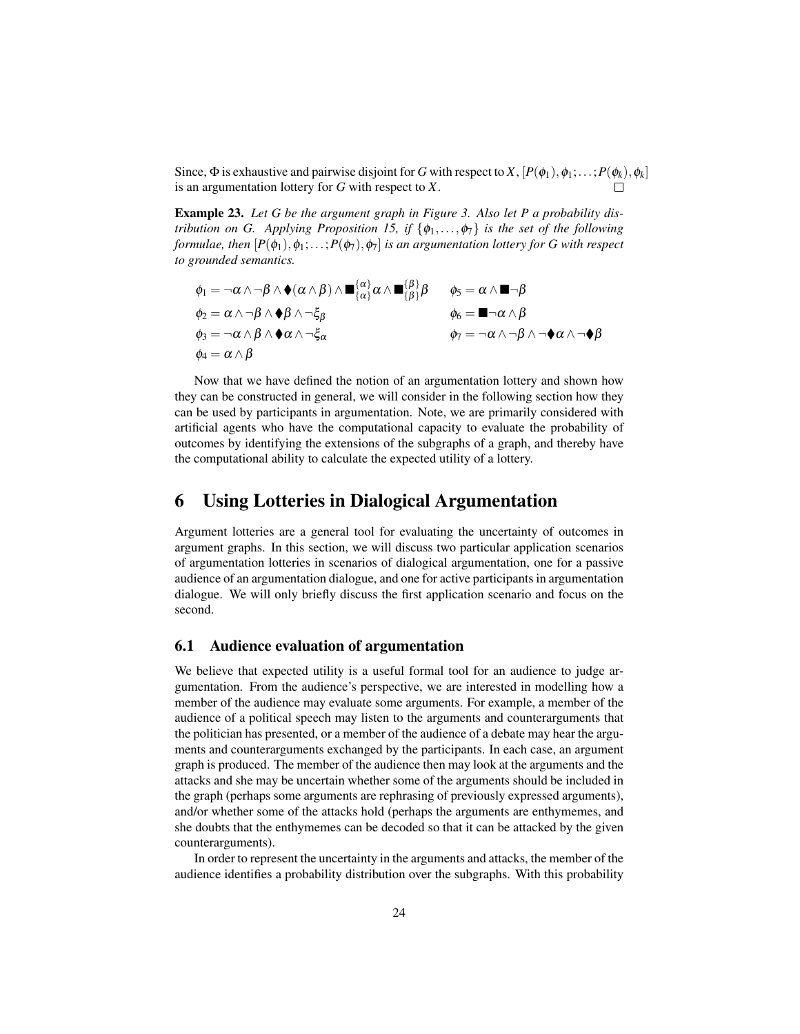Since,  $\Phi$  is exhaustive and pairwise disjoint for *G* with respect to *X*,  $[P(\phi_1), \phi_1; \ldots; P(\phi_k), \phi_k]$ is an argumentation lottery for *G* with respect to *X*.

Example 23. *Let G be the argument graph in Figure 3. Also let P a probability distribution on G. Applying Proposition 15, if*  $\{\phi_1, \ldots, \phi_7\}$  *is the set of the following formulae, then*  $[P(\phi_1), \phi_1; \ldots; P(\phi_7), \phi_7]$  *is an argumentation lottery for G with respect to grounded semantics.*

$$
\begin{array}{ll}\n\phi_1 = \neg \alpha \wedge \neg \beta \wedge \blacklozenge (\alpha \wedge \beta) \wedge \blacksquare_{\{\alpha\}}^{\{\alpha\}} \alpha \wedge \blacksquare_{\{\beta\}}^{\{\beta\}} \beta & \phi_5 = \alpha \wedge \blacksquare \neg \beta \\
\phi_2 = \alpha \wedge \neg \beta \wedge \blacklozenge \beta \wedge \neg \xi_\beta & \phi_6 = \blacksquare \neg \alpha \wedge \beta \\
\phi_3 = \neg \alpha \wedge \beta \wedge \blacklozenge \alpha \wedge \neg \xi_\alpha & \phi_7 = \neg \alpha \wedge \neg \beta \wedge \neg \blacklozenge \alpha \wedge \neg \blacklozenge \beta \\
\phi_4 = \alpha \wedge \beta\n\end{array}
$$

Now that we have defined the notion of an argumentation lottery and shown how they can be constructed in general, we will consider in the following section how they can be used by participants in argumentation. Note, we are primarily considered with artificial agents who have the computational capacity to evaluate the probability of outcomes by identifying the extensions of the subgraphs of a graph, and thereby have the computational ability to calculate the expected utility of a lottery.

# 6 Using Lotteries in Dialogical Argumentation

Argument lotteries are a general tool for evaluating the uncertainty of outcomes in argument graphs. In this section, we will discuss two particular application scenarios of argumentation lotteries in scenarios of dialogical argumentation, one for a passive audience of an argumentation dialogue, and one for active participants in argumentation dialogue. We will only briefly discuss the first application scenario and focus on the second.

#### 6.1 Audience evaluation of argumentation

We believe that expected utility is a useful formal tool for an audience to judge argumentation. From the audience's perspective, we are interested in modelling how a member of the audience may evaluate some arguments. For example, a member of the audience of a political speech may listen to the arguments and counterarguments that the politician has presented, or a member of the audience of a debate may hear the arguments and counterarguments exchanged by the participants. In each case, an argument graph is produced. The member of the audience then may look at the arguments and the attacks and she may be uncertain whether some of the arguments should be included in the graph (perhaps some arguments are rephrasing of previously expressed arguments), and/or whether some of the attacks hold (perhaps the arguments are enthymemes, and she doubts that the enthymemes can be decoded so that it can be attacked by the given counterarguments).

In order to represent the uncertainty in the arguments and attacks, the member of the audience identifies a probability distribution over the subgraphs. With this probability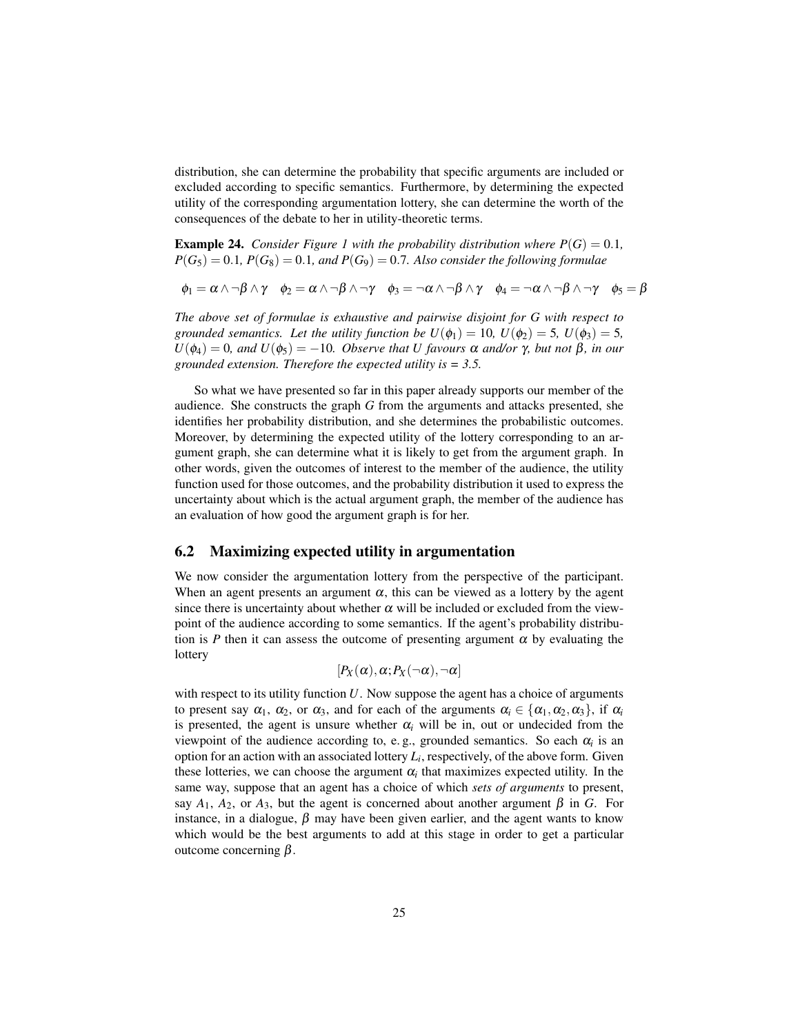distribution, she can determine the probability that specific arguments are included or excluded according to specific semantics. Furthermore, by determining the expected utility of the corresponding argumentation lottery, she can determine the worth of the consequences of the debate to her in utility-theoretic terms.

**Example 24.** *Consider Figure 1 with the probability distribution where*  $P(G) = 0.1$ *,*  $P(G_5) = 0.1$ ,  $P(G_8) = 0.1$ , and  $P(G_9) = 0.7$ . Also consider the following formulae

 $\phi_1 = \alpha \wedge \neg \beta \wedge \gamma$   $\phi_2 = \alpha \wedge \neg \beta \wedge \neg \gamma$   $\phi_3 = \neg \alpha \wedge \neg \beta \wedge \gamma$   $\phi_4 = \neg \alpha \wedge \neg \beta \wedge \neg \gamma$   $\phi_5 = \beta$ 

*The above set of formulae is exhaustive and pairwise disjoint for G with respect to grounded semantics. Let the utility function be*  $U(\phi_1) = 10$ ,  $U(\phi_2) = 5$ ,  $U(\phi_3) = 5$ ,  $U(\phi_4) = 0$ *, and*  $U(\phi_5) = -10$ *. Observe that U* favours  $\alpha$  *and/or*  $\gamma$ *, but not*  $\beta$ *, in our grounded extension. Therefore the expected utility is = 3.5.*

So what we have presented so far in this paper already supports our member of the audience. She constructs the graph *G* from the arguments and attacks presented, she identifies her probability distribution, and she determines the probabilistic outcomes. Moreover, by determining the expected utility of the lottery corresponding to an argument graph, she can determine what it is likely to get from the argument graph. In other words, given the outcomes of interest to the member of the audience, the utility function used for those outcomes, and the probability distribution it used to express the uncertainty about which is the actual argument graph, the member of the audience has an evaluation of how good the argument graph is for her.

#### 6.2 Maximizing expected utility in argumentation

We now consider the argumentation lottery from the perspective of the participant. When an agent presents an argument  $\alpha$ , this can be viewed as a lottery by the agent since there is uncertainty about whether  $\alpha$  will be included or excluded from the viewpoint of the audience according to some semantics. If the agent's probability distribution is *P* then it can assess the outcome of presenting argument  $\alpha$  by evaluating the lottery

$$
[P_X(\alpha),\alpha;P_X(\neg\alpha),\neg\alpha]
$$

with respect to its utility function U. Now suppose the agent has a choice of arguments to present say  $\alpha_1$ ,  $\alpha_2$ , or  $\alpha_3$ , and for each of the arguments  $\alpha_i \in {\alpha_1, \alpha_2, \alpha_3}$ , if  $\alpha_i$ is presented, the agent is unsure whether  $\alpha_i$  will be in, out or undecided from the viewpoint of the audience according to, e.g., grounded semantics. So each  $\alpha_i$  is an option for an action with an associated lottery *L<sup>i</sup>* , respectively, of the above form. Given these lotteries, we can choose the argument  $\alpha_i$  that maximizes expected utility. In the same way, suppose that an agent has a choice of which *sets of arguments* to present, say  $A_1$ ,  $A_2$ , or  $A_3$ , but the agent is concerned about another argument  $\beta$  in *G*. For instance, in a dialogue,  $\beta$  may have been given earlier, and the agent wants to know which would be the best arguments to add at this stage in order to get a particular outcome concerning β.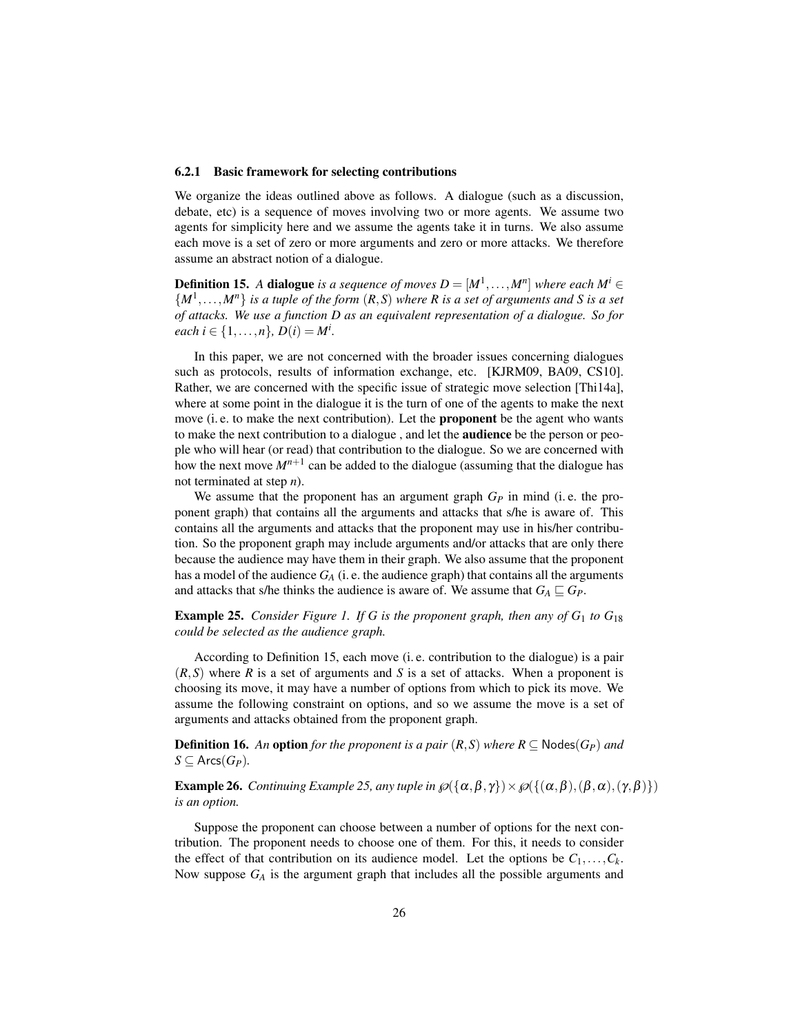#### 6.2.1 Basic framework for selecting contributions

We organize the ideas outlined above as follows. A dialogue (such as a discussion, debate, etc) is a sequence of moves involving two or more agents. We assume two agents for simplicity here and we assume the agents take it in turns. We also assume each move is a set of zero or more arguments and zero or more attacks. We therefore assume an abstract notion of a dialogue.

**Definition 15.** A **dialogue** is a sequence of moves  $D = [M^1, \ldots, M^n]$  where each  $M^i \in$  $\{M^1, \ldots, M^n\}$  *is a tuple of the form*  $(R, S)$  *where R is a set of arguments and S is a set of attacks. We use a function D as an equivalent representation of a dialogue. So for each*  $i \in \{1, ..., n\}$ ,  $D(i) = M^i$ .

In this paper, we are not concerned with the broader issues concerning dialogues such as protocols, results of information exchange, etc. [KJRM09, BA09, CS10]. Rather, we are concerned with the specific issue of strategic move selection [Thi14a], where at some point in the dialogue it is the turn of one of the agents to make the next move (i. e. to make the next contribution). Let the **proponent** be the agent who wants to make the next contribution to a dialogue, and let the **audience** be the person or people who will hear (or read) that contribution to the dialogue. So we are concerned with how the next move  $M^{n+1}$  can be added to the dialogue (assuming that the dialogue has not terminated at step *n*).

We assume that the proponent has an argument graph *G<sup>P</sup>* in mind (i. e. the proponent graph) that contains all the arguments and attacks that s/he is aware of. This contains all the arguments and attacks that the proponent may use in his/her contribution. So the proponent graph may include arguments and/or attacks that are only there because the audience may have them in their graph. We also assume that the proponent has a model of the audience  $G_A$  (i. e. the audience graph) that contains all the arguments and attacks that s/he thinks the audience is aware of. We assume that  $G_A \sqsubseteq G_P$ .

**Example 25.** *Consider Figure 1. If G is the proponent graph, then any of*  $G_1$  *to*  $G_{18}$ *could be selected as the audience graph.*

According to Definition 15, each move (i. e. contribution to the dialogue) is a pair (*R*,*S*) where *R* is a set of arguments and *S* is a set of attacks. When a proponent is choosing its move, it may have a number of options from which to pick its move. We assume the following constraint on options, and so we assume the move is a set of arguments and attacks obtained from the proponent graph.

**Definition 16.** An **option** for the proponent is a pair  $(R, S)$  where  $R \subseteq \text{Nodes}(G_P)$  and  $S$  ⊆ Arcs $(G_P)$ .

**Example 26.** *Continuing Example 25, any tuple in*  $\mathcal{O}(\{\alpha, \beta, \gamma\}) \times \mathcal{O}(\{\alpha, \beta\}, (\beta, \alpha), (\gamma, \beta)\})$ *is an option.*

Suppose the proponent can choose between a number of options for the next contribution. The proponent needs to choose one of them. For this, it needs to consider the effect of that contribution on its audience model. Let the options be  $C_1, \ldots, C_k$ . Now suppose *G<sup>A</sup>* is the argument graph that includes all the possible arguments and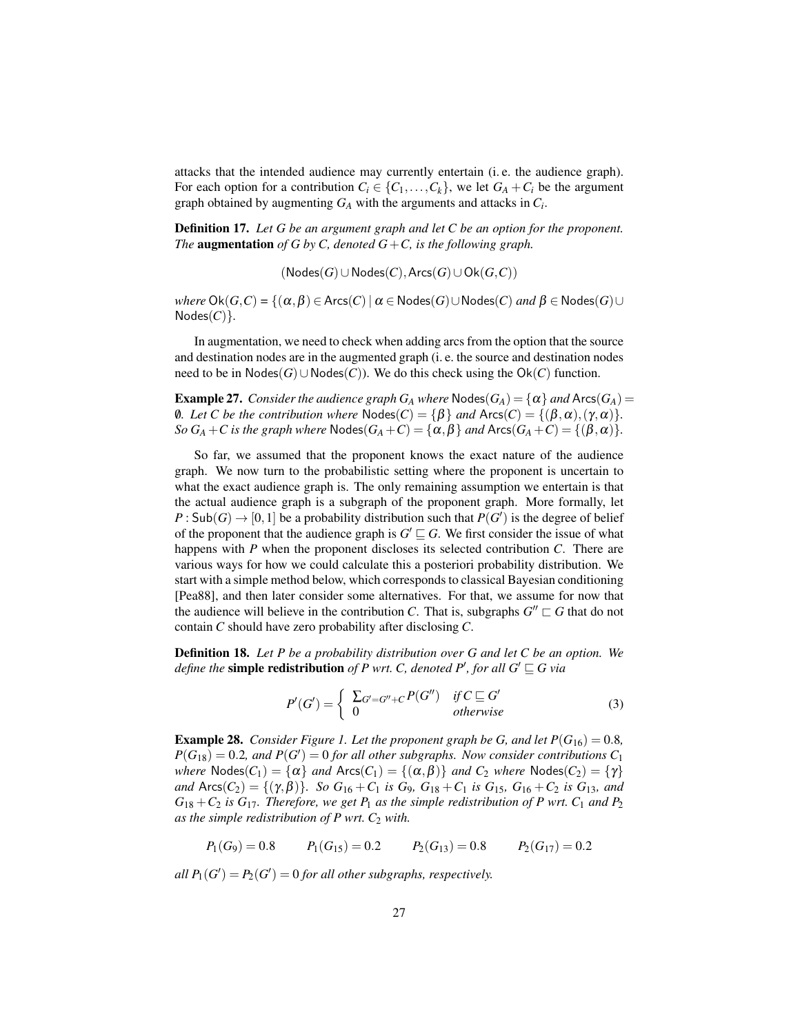attacks that the intended audience may currently entertain (i. e. the audience graph). For each option for a contribution  $C_i \in \{C_1, \ldots, C_k\}$ , we let  $G_A + C_i$  be the argument graph obtained by augmenting *G<sup>A</sup>* with the arguments and attacks in *C<sup>i</sup>* .

Definition 17. *Let G be an argument graph and let C be an option for the proponent. The* augmentation *of G by C, denoted G*+*C, is the following graph.*

(Nodes(*G*)∪Nodes(*C*),Arcs(*G*)∪Ok(*G*,*C*))

*where*  $\text{Ok}(G,C) = \{(\alpha,\beta) \in \text{Arcs}(C) \mid \alpha \in \text{Nodes}(G) \cup \text{Nodes}(C) \text{ and } \beta \in \text{Nodes}(G) \cup \text{Red}(C) \}$  $Nodes(C)$  $\}$ *.* 

In augmentation, we need to check when adding arcs from the option that the source and destination nodes are in the augmented graph (i. e. the source and destination nodes need to be in  $Nodes(G) ∪ Nodes(C)$ ). We do this check using the  $Ok(C)$  function.

**Example 27.** *Consider the audience graph*  $G_A$  *where*  $\text{Nodes}(G_A) = \{\alpha\}$  *and*  $\text{Arcs}(G_A) =$ 0*. Let C be the contribution where*  $Nodes(C) = \{\beta\}$  *and*  $Arcs(C) = \{(\beta, \alpha), (\gamma, \alpha)\}.$ *So*  $G_A + C$  *is the graph where*  $\text{Nodes}(G_A + C) = {\{\alpha, \beta\}}$  *and*  $\text{Arcs}(G_A + C) = {\{\beta, \alpha\}}$ *.* 

So far, we assumed that the proponent knows the exact nature of the audience graph. We now turn to the probabilistic setting where the proponent is uncertain to what the exact audience graph is. The only remaining assumption we entertain is that the actual audience graph is a subgraph of the proponent graph. More formally, let  $P: \mathsf{Sub}(G) \to [0,1]$  be a probability distribution such that  $P(G')$  is the degree of belief of the proponent that the audience graph is  $G' \sqsubseteq G$ . We first consider the issue of what happens with *P* when the proponent discloses its selected contribution *C*. There are various ways for how we could calculate this a posteriori probability distribution. We start with a simple method below, which corresponds to classical Bayesian conditioning [Pea88], and then later consider some alternatives. For that, we assume for now that the audience will believe in the contribution *C*. That is, subgraphs  $G'' \sqsubset G$  that do not contain *C* should have zero probability after disclosing *C*.

Definition 18. *Let P be a probability distribution over G and let C be an option. We define the* **simple redistribution** of P wrt. C, denoted P', for all  $G' \sqsubseteq G$  via

$$
P'(G') = \begin{cases} \sum_{G'=G''+C} P(G'') & \text{if } C \sqsubseteq G' \\ 0 & \text{otherwise} \end{cases}
$$
 (3)

**Example 28.** *Consider Figure 1. Let the proponent graph be G, and let*  $P(G_{16}) = 0.8$ *,*  $P(G_{18}) = 0.2$ *, and*  $P(G') = 0$  for all other subgraphs. Now consider contributions  $C_1$ *where*  $\text{Nodes}(C_1) = \{\alpha\}$  *and*  $\text{Arcs}(C_1) = \{(\alpha, \beta)\}$  *and*  $C_2$  *where*  $\text{Nodes}(C_2) = \{\gamma\}$ *and*  $\text{Arcs}(C_2) = \{(\gamma, \beta)\}\$ *. So*  $G_{16} + C_1$  *is*  $G_{9}$ *,*  $G_{18} + C_1$  *is*  $G_{15}$ *,*  $G_{16} + C_2$  *is*  $G_{13}$ *, and*  $G_{18} + C_2$  *is*  $G_{17}$ *. Therefore, we get*  $P_1$  *as the simple redistribution of*  $P$  *wrt.*  $C_1$  *and*  $P_2$ *as the simple redistribution of P wrt. C*<sup>2</sup> *with.*

 $P_1(G_9) = 0.8$   $P_1(G_{15}) = 0.2$   $P_2(G_{13}) = 0.8$   $P_2(G_{17}) = 0.2$ 

*all*  $P_1(G') = P_2(G') = 0$  *for all other subgraphs, respectively.*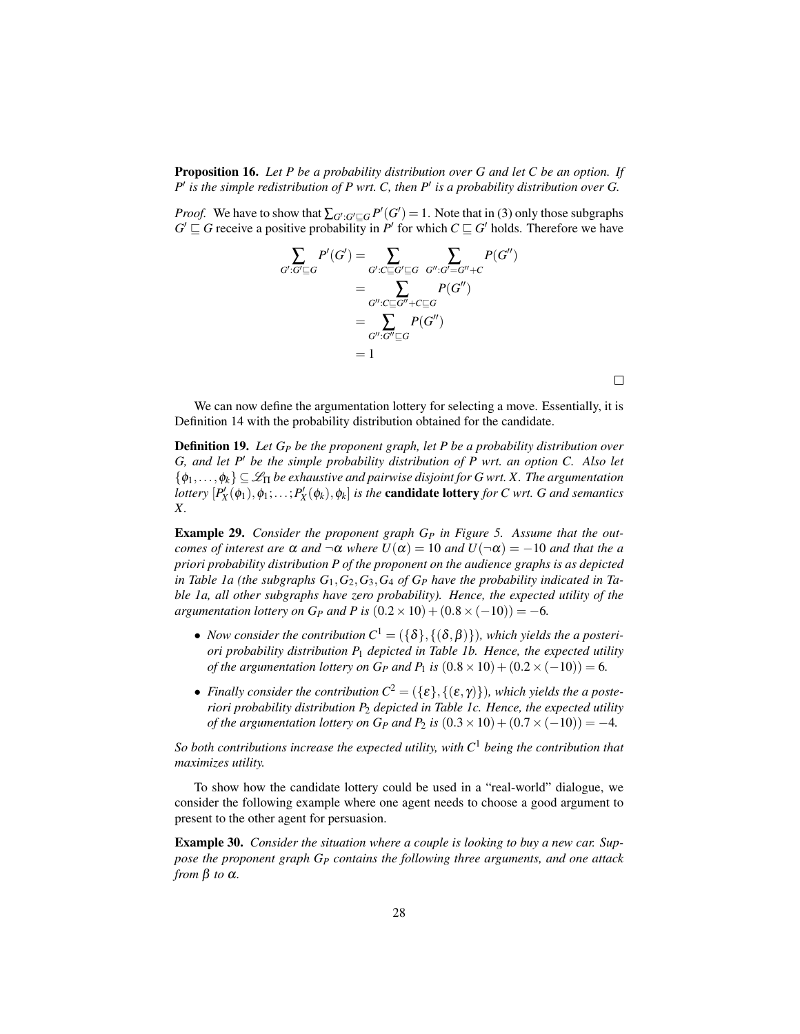Proposition 16. *Let P be a probability distribution over G and let C be an option. If* P' is the simple redistribution of P wrt. C, then P' is a probability distribution over G.

*Proof.* We have to show that  $\sum_{G':G'\sqsubseteq G} P'(G') = 1$ . Note that in (3) only those subgraphs  $G' \sqsubseteq G$  receive a positive probability in *P*<sup>*i*</sup> for which  $C \sqsubseteq G'$  holds. Therefore we have



We can now define the argumentation lottery for selecting a move. Essentially, it is Definition 14 with the probability distribution obtained for the candidate.

Definition 19. *Let G<sup>P</sup> be the proponent graph, let P be a probability distribution over G, and let P' be the simple probability distribution of P wrt. an option C. Also let*  $\{\phi_1,\ldots,\phi_k\}\subseteq\mathscr{L}_{\Pi}$  *be exhaustive and pairwise disjoint for G wrt. X. The argumentation lottery*  $[P'_X(\phi_1), \phi_1; \ldots; P'_X(\phi_k), \phi_k]$  *is the candidate lottery for C wrt. G and semantics X.*

Example 29. *Consider the proponent graph G<sup>P</sup> in Figure 5. Assume that the outcomes of interest are*  $\alpha$  *and*  $\neg \alpha$  *where*  $U(\alpha) = 10$  *and*  $U(\neg \alpha) = -10$  *and that the a priori probability distribution P of the proponent on the audience graphs is as depicted in Table 1a (the subgraphs G*1,*G*2,*G*3,*G*<sup>4</sup> *of G<sup>P</sup> have the probability indicated in Table 1a, all other subgraphs have zero probability). Hence, the expected utility of the argumentation lottery on G<sub>P</sub> and P is*  $(0.2 \times 10) + (0.8 \times (-10)) = -6$ *.* 

- *Now consider the contribution*  $C^1 = (\{\delta\}, \{(\delta, \beta)\})$ , which yields the a posteri*ori probability distribution P*<sup>1</sup> *depicted in Table 1b. Hence, the expected utility of the argumentation lottery on*  $G_P$  *and*  $P_1$  *is*  $(0.8 \times 10) + (0.2 \times (-10)) = 6$ *.*
- *Finally consider the contribution*  $C^2 = (\{\varepsilon\}, \{(\varepsilon, \gamma)\})$ , which yields the a poste*riori probability distribution P*<sup>2</sup> *depicted in Table 1c. Hence, the expected utility of the argumentation lottery on*  $G_P$  *and*  $P_2$  *is*  $(0.3 \times 10) + (0.7 \times (-10)) = -4$ *.*

*So both contributions increase the expected utility, with C*<sup>1</sup> *being the contribution that maximizes utility.*

To show how the candidate lottery could be used in a "real-world" dialogue, we consider the following example where one agent needs to choose a good argument to present to the other agent for persuasion.

Example 30. *Consider the situation where a couple is looking to buy a new car. Suppose the proponent graph G<sup>P</sup> contains the following three arguments, and one attack from* β *to* α*.*

 $\Box$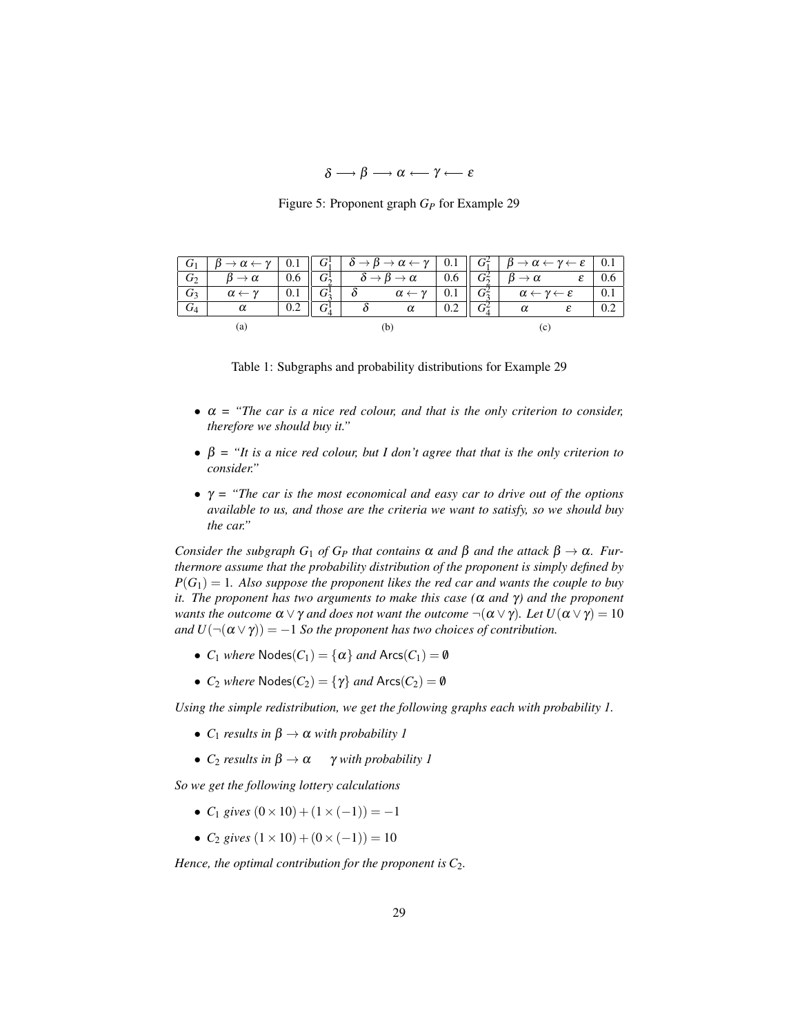$$
\delta \longrightarrow \beta \longrightarrow \alpha \longleftarrow \gamma \longleftarrow \varepsilon
$$

Figure 5: Proponent graph *G<sup>P</sup>* for Example 29

| $\overline{G_1}$ | $\beta \rightarrow \alpha \leftarrow \gamma$   0.1    $G_1^1$   $\delta \rightarrow \beta \rightarrow \alpha \leftarrow \gamma$   0.1    $G_1^2$   $\beta \rightarrow \alpha \leftarrow \gamma \leftarrow \varepsilon$   0.1 |     |  |                                                       |     |         |                                                   |     |
|------------------|------------------------------------------------------------------------------------------------------------------------------------------------------------------------------------------------------------------------------|-----|--|-------------------------------------------------------|-----|---------|---------------------------------------------------|-----|
| G <sub>2</sub>   | $\beta \to \alpha$                                                                                                                                                                                                           | 0.6 |  | $G_2^1$ $\delta \rightarrow \beta \rightarrow \alpha$ | 0.6 | $G_2^2$ | $\beta \to \alpha$                                | 0.6 |
| $G_3$            | $\alpha \leftarrow \gamma$                                                                                                                                                                                                   | 0.1 |  | $\alpha \leftarrow \gamma$                            | 0.1 | $G_2^2$ | $\alpha \leftarrow \gamma \leftarrow \varepsilon$ | 0.1 |
| $G_4$            | α                                                                                                                                                                                                                            | 0.2 |  | $\alpha$                                              | 0.2 | $G^2_4$ | $\alpha$                                          | 0.2 |
| t a              |                                                                                                                                                                                                                              |     |  |                                                       |     |         |                                                   |     |

Table 1: Subgraphs and probability distributions for Example 29

- α *= "The car is a nice red colour, and that is the only criterion to consider, therefore we should buy it."*
- $\bullet$   $\beta$  = "It is a nice red colour, but I don't agree that that is the only criterion to *consider."*
- $\gamma$  = "The car is the most economical and easy car to drive out of the options *available to us, and those are the criteria we want to satisfy, so we should buy the car."*

*Consider the subgraph*  $G_1$  *of*  $G_P$  *that contains*  $\alpha$  *and*  $\beta$  *and the attack*  $\beta \rightarrow \alpha$ *. Furthermore assume that the probability distribution of the proponent is simply defined by*  $P(G_1) = 1$ . Also suppose the proponent likes the red car and wants the couple to buy *it. The proponent has two arguments to make this case (*α *and* γ*) and the proponent wants the outcome*  $\alpha \vee \gamma$  *and does not want the outcome*  $\neg(\alpha \vee \gamma)$ *. Let*  $U(\alpha \vee \gamma) = 10$ *and*  $U(\neg(\alpha \lor \gamma)) = -1$  *So the proponent has two choices of contribution.* 

- $C_1$  *where*  $Nodes(C_1) = {\alpha}$  *and*  $Arcs(C_1) = \emptyset$
- $C_2$  *where*  $Nodes(C_2) = \{\gamma\}$  *and*  $Arcs(C_2) = \emptyset$

*Using the simple redistribution, we get the following graphs each with probability 1.*

- $C_1$  *results in*  $\beta \rightarrow \alpha$  *with probability 1*
- $C_2$  *results in*  $\beta \rightarrow \alpha$  γ *with probability 1*

*So we get the following lottery calculations*

- $C_1$  *gives*  $(0 \times 10) + (1 \times (-1)) = -1$
- $C_2$  *gives*  $(1 \times 10) + (0 \times (-1)) = 10$

*Hence, the optimal contribution for the proponent is*  $C_2$ *.*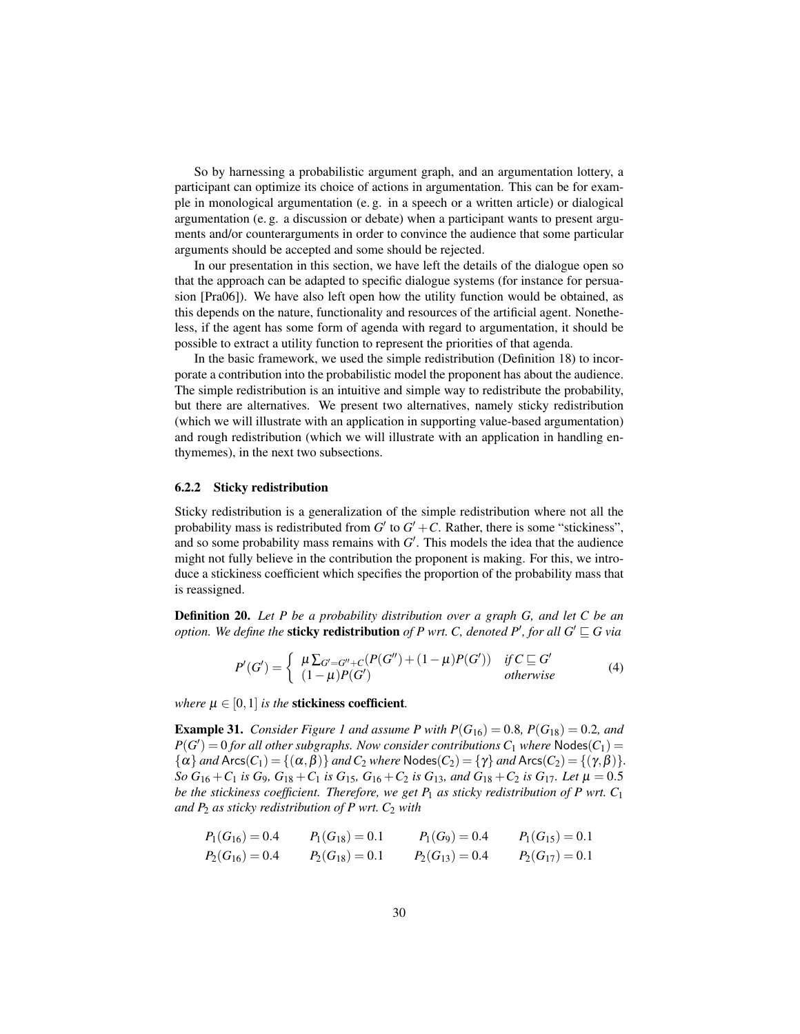So by harnessing a probabilistic argument graph, and an argumentation lottery, a participant can optimize its choice of actions in argumentation. This can be for example in monological argumentation (e. g. in a speech or a written article) or dialogical argumentation (e. g. a discussion or debate) when a participant wants to present arguments and/or counterarguments in order to convince the audience that some particular arguments should be accepted and some should be rejected.

In our presentation in this section, we have left the details of the dialogue open so that the approach can be adapted to specific dialogue systems (for instance for persuasion [Pra06]). We have also left open how the utility function would be obtained, as this depends on the nature, functionality and resources of the artificial agent. Nonetheless, if the agent has some form of agenda with regard to argumentation, it should be possible to extract a utility function to represent the priorities of that agenda.

In the basic framework, we used the simple redistribution (Definition 18) to incorporate a contribution into the probabilistic model the proponent has about the audience. The simple redistribution is an intuitive and simple way to redistribute the probability, but there are alternatives. We present two alternatives, namely sticky redistribution (which we will illustrate with an application in supporting value-based argumentation) and rough redistribution (which we will illustrate with an application in handling enthymemes), in the next two subsections.

#### 6.2.2 Sticky redistribution

Sticky redistribution is a generalization of the simple redistribution where not all the probability mass is redistributed from  $G'$  to  $G' + C$ . Rather, there is some "stickiness", and so some probability mass remains with  $G'$ . This models the idea that the audience might not fully believe in the contribution the proponent is making. For this, we introduce a stickiness coefficient which specifies the proportion of the probability mass that is reassigned.

Definition 20. *Let P be a probability distribution over a graph G, and let C be an option. We define the sticky redistribution of P wrt. C, denoted P', for all*  $G' \sqsubseteq G$  *via* 

$$
P'(G') = \begin{cases} \mu \sum_{G'=G''+C} (P(G'') + (1-\mu)P(G')) & \text{if } C \subseteq G' \\ (1-\mu)P(G') & \text{otherwise} \end{cases}
$$
(4)

*where*  $\mu \in [0,1]$  *is the* **stickiness coefficient**.

**Example 31.** *Consider Figure 1 and assume P with*  $P(G_{16}) = 0.8$ *,*  $P(G_{18}) = 0.2$ *, and*  $P(G') = 0$  *for all other subgraphs. Now consider contributions*  $C_1$  *where*  $N$ odes $(C_1)$  =  $\{\alpha\}$  *and* Arcs $(C_1) = \{(\alpha, \beta)\}$  *and*  $C_2$  *where* Nodes $(C_2) = \{\gamma\}$  *and* Arcs $(C_2) = \{(\gamma, \beta)\}.$ *So*  $G_{16} + C_1$  *is*  $G_9$ ,  $G_{18} + C_1$  *is*  $G_{15}$ ,  $G_{16} + C_2$  *is*  $G_{13}$ *, and*  $G_{18} + C_2$  *is*  $G_{17}$ *. Let*  $\mu = 0.5$ *be the stickiness coefficient. Therefore, we get P*<sup>1</sup> *as sticky redistribution of P wrt. C*<sup>1</sup> *and P*<sub>2</sub> *as sticky redistribution of P wrt.*  $C_2$  *with* 

$$
P_1(G_{16}) = 0.4
$$
  $P_1(G_{18}) = 0.1$   $P_1(G_9) = 0.4$   $P_1(G_{15}) = 0.1$   
\n $P_2(G_{16}) = 0.4$   $P_2(G_{18}) = 0.1$   $P_2(G_{13}) = 0.4$   $P_2(G_{17}) = 0.1$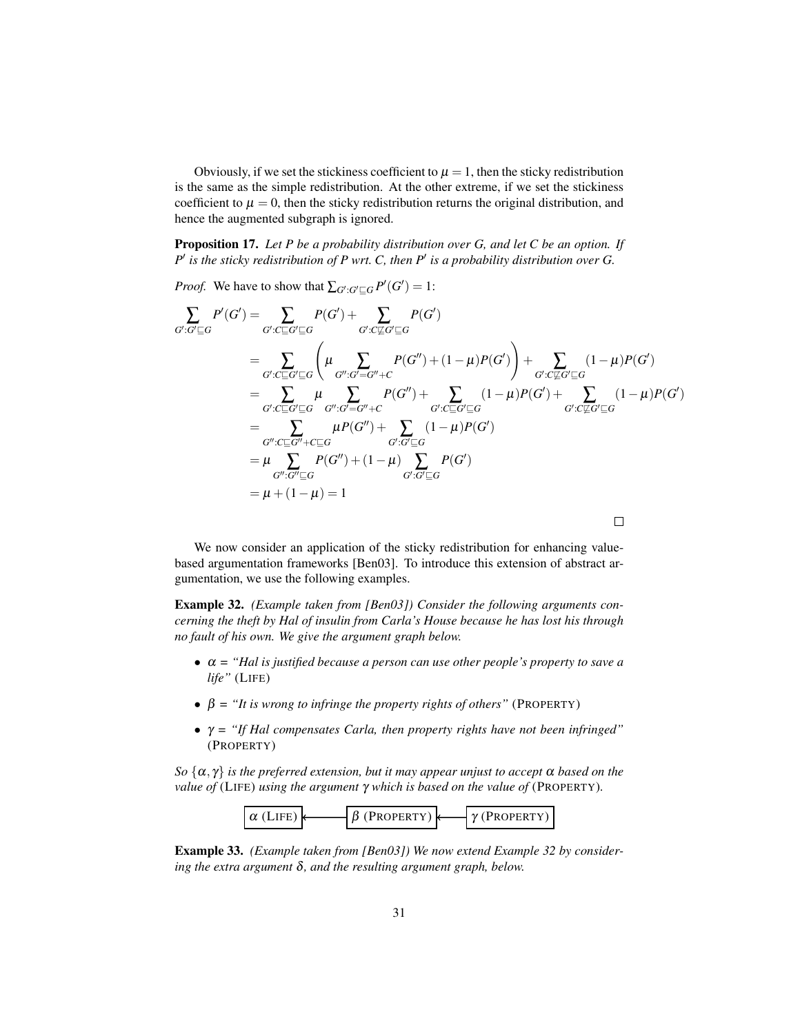Obviously, if we set the stickiness coefficient to  $\mu = 1$ , then the sticky redistribution is the same as the simple redistribution. At the other extreme, if we set the stickiness coefficient to  $\mu = 0$ , then the sticky redistribution returns the original distribution, and hence the augmented subgraph is ignored.

Proposition 17. *Let P be a probability distribution over G, and let C be an option. If*  $P'$  is the sticky redistribution of P wrt. C, then  $P'$  is a probability distribution over G.

*Proof.* We have to show that  $\sum_{G':G'\sqsubseteq G} P'(G') = 1$ :

$$
\sum_{G':G'\subseteq G} P'(G') = \sum_{G':C\subseteq G'\subseteq G} P(G') + \sum_{G':C\nsubseteq G'\subseteq G} P(G')
$$
\n
$$
= \sum_{G':C\subseteq G'\subseteq G} \left( \mu \sum_{G'':G'=G''+C} P(G'') + (1-\mu)P(G') \right) + \sum_{G':C\nsubseteq G'\subseteq G} (1-\mu)P(G')
$$
\n
$$
= \sum_{G':C\subseteq G'\subseteq G} \mu \sum_{G'':G'=G''+C} P(G'') + \sum_{G':C\subseteq G'\subseteq G} (1-\mu)P(G') + \sum_{G':C\nsubseteq G'\subseteq G} (1-\mu)P(G')
$$
\n
$$
= \sum_{G'':C\subseteq G''+C\subseteq G} \mu P(G'') + \sum_{G':G'\subseteq G} (1-\mu)P(G')
$$
\n
$$
= \mu \sum_{G'':G''\subseteq G} P(G'') + (1-\mu) \sum_{G':G'\subseteq G} P(G')
$$
\n
$$
= \mu + (1-\mu) = 1
$$

We now consider an application of the sticky redistribution for enhancing valuebased argumentation frameworks [Ben03]. To introduce this extension of abstract argumentation, we use the following examples.

Example 32. *(Example taken from [Ben03]) Consider the following arguments concerning the theft by Hal of insulin from Carla's House because he has lost his through no fault of his own. We give the argument graph below.*

- α *= "Hal is justified because a person can use other people's property to save a life"* (LIFE)
- $\beta$  = "It is wrong to infringe the property rights of others" (PROPERTY)
- γ *= "If Hal compensates Carla, then property rights have not been infringed"* (PROPERTY)

*So*  $\{\alpha, \gamma\}$  *is the preferred extension, but it may appear unjust to accept*  $\alpha$  *based on the value of* (LIFE) *using the argument* γ *which is based on the value of* (PROPERTY)*.*



Example 33. *(Example taken from [Ben03]) We now extend Example 32 by considering the extra argument* δ*, and the resulting argument graph, below.*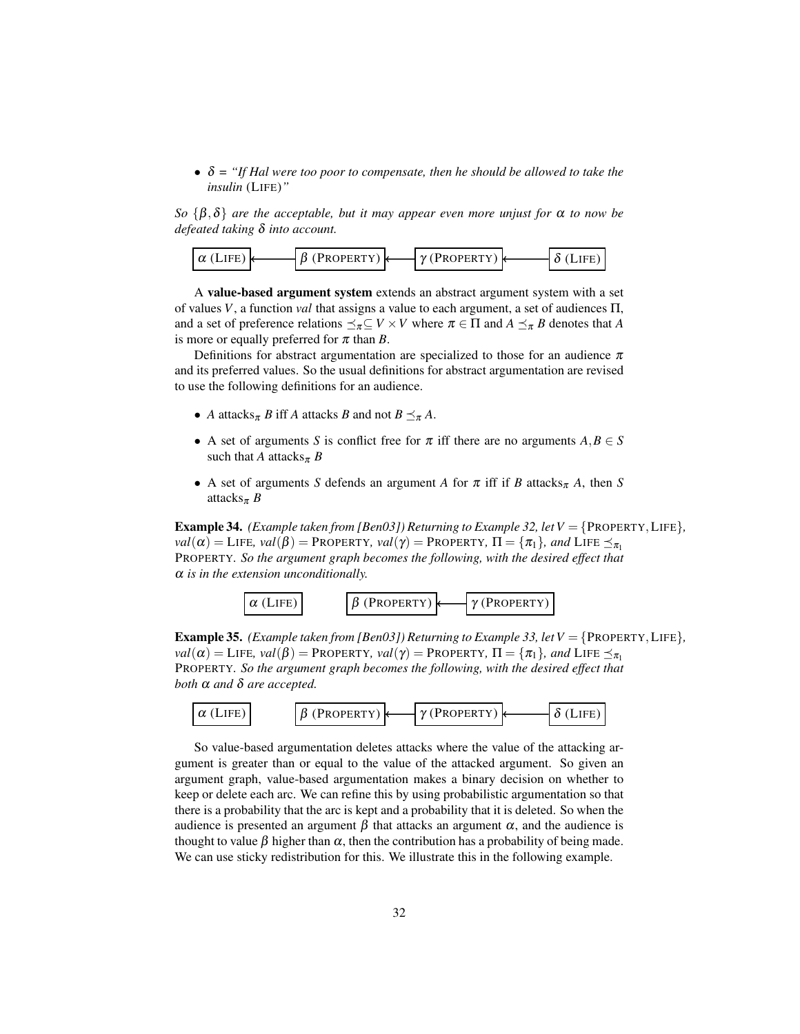$\bullet$   $\delta$  = "If Hal were too poor to compensate, then he should be allowed to take the *insulin* (LIFE)*"*

*So* {β,δ} *are the acceptable, but it may appear even more unjust for* α *to now be defeated taking* δ *into account.*



A value-based argument system extends an abstract argument system with a set of values *V*, a function *val* that assigns a value to each argument, a set of audiences Π, and a set of preference relations  $\preceq_{\pi} \subseteq V \times V$  where  $\pi \in \Pi$  and  $A \preceq_{\pi} B$  denotes that A is more or equally preferred for  $\pi$  than *B*.

Definitions for abstract argumentation are specialized to those for an audience  $\pi$ and its preferred values. So the usual definitions for abstract argumentation are revised to use the following definitions for an audience.

- *A* attacks<sub> $\pi$ </sub> *B* iff *A* attacks *B* and not  $B \leq_{\pi} A$ .
- A set of arguments *S* is conflict free for  $\pi$  iff there are no arguments  $A, B \in S$ such that *A* attacks<sub> $\pi$ </sub> *B*
- A set of arguments *S* defends an argument *A* for  $\pi$  iff if *B* attacks<sub> $\pi$ </sub> *A*, then *S* attacks<sup>π</sup> *B*

**Example 34.** *(Example taken from [Ben03]) Returning to Example 32, let V* = {PROPERTY, LIFE}*,*  $val(\alpha) = \text{LIEE}, val(\beta) = \text{PROPERTIES}, val(\gamma) = \text{PROPERTIES}, \Pi = {\pi_1}, and \text{LIEE } \preceq_{\pi_1}$ PROPERTY*. So the argument graph becomes the following, with the desired effect that* α *is in the extension unconditionally.*



Example 35. *(Example taken from [Ben03]) Returning to Example 33, let V* = {PROPERTY,LIFE}*,*  $val(\alpha) =$  LIFE,  $val(\beta) =$  PROPERTY,  $val(\gamma) =$  PROPERTY,  $\Pi = {\pi_1}$ *, and* LIFE  $\preceq_{\pi_1}$ PROPERTY*. So the argument graph becomes the following, with the desired effect that both* α *and* δ *are accepted.*



So value-based argumentation deletes attacks where the value of the attacking argument is greater than or equal to the value of the attacked argument. So given an argument graph, value-based argumentation makes a binary decision on whether to keep or delete each arc. We can refine this by using probabilistic argumentation so that there is a probability that the arc is kept and a probability that it is deleted. So when the audience is presented an argument  $\beta$  that attacks an argument  $\alpha$ , and the audience is thought to value  $\beta$  higher than  $\alpha$ , then the contribution has a probability of being made. We can use sticky redistribution for this. We illustrate this in the following example.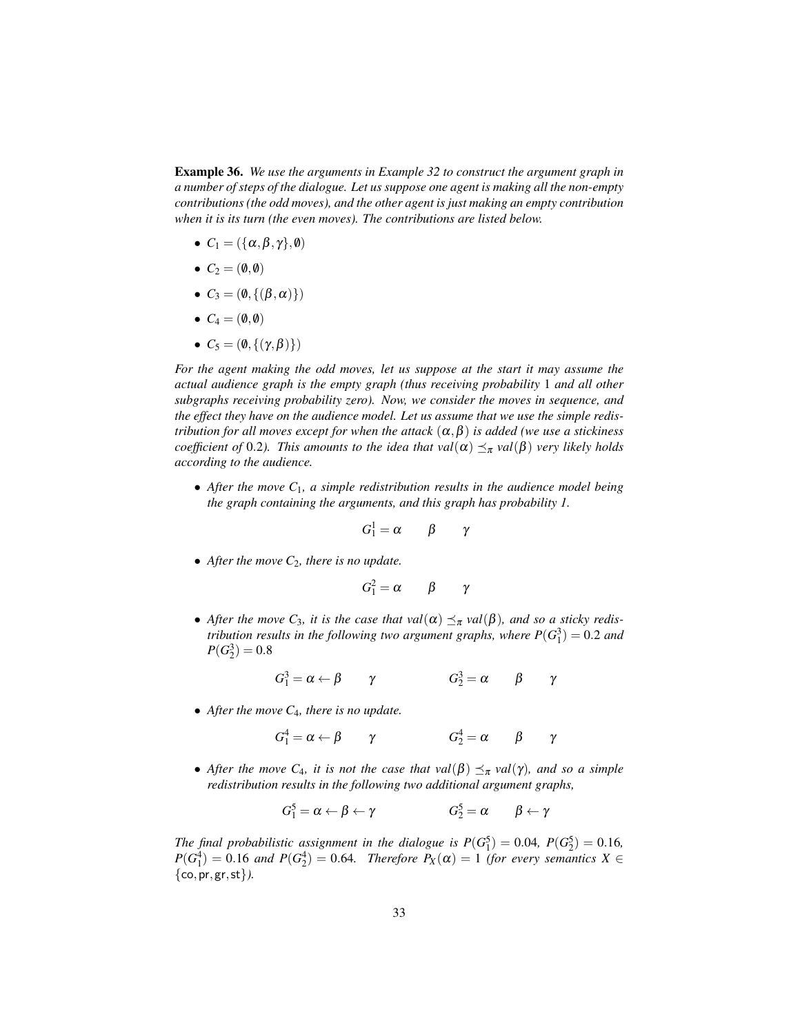Example 36. *We use the arguments in Example 32 to construct the argument graph in a number of steps of the dialogue. Let us suppose one agent is making all the non-empty contributions (the odd moves), and the other agent is just making an empty contribution when it is its turn (the even moves). The contributions are listed below.*

- $C_1 = (\{\alpha, \beta, \gamma\}, \emptyset)$
- $C_2 = (\emptyset, \emptyset)$
- $C_3 = (\emptyset, \{(\beta, \alpha)\})$
- $C_4 = (\emptyset, \emptyset)$
- $C_5 = (\emptyset, \{(\gamma, \beta)\})$

*For the agent making the odd moves, let us suppose at the start it may assume the actual audience graph is the empty graph (thus receiving probability* 1 *and all other subgraphs receiving probability zero). Now, we consider the moves in sequence, and the effect they have on the audience model. Let us assume that we use the simple redistribution for all moves except for when the attack*  $(\alpha, \beta)$  *is added (we use a stickiness coefficient of* 0.2*). This amounts to the idea that val*( $\alpha$ )  $\leq_{\pi}$  *val*( $\beta$ ) *very likely holds according to the audience.*

• *After the move C*1*, a simple redistribution results in the audience model being the graph containing the arguments, and this graph has probability 1.*

$$
G^1_1=\alpha \qquad \beta \qquad \gamma
$$

• *After the move C*2*, there is no update.*

$$
G_1^2 = \alpha \qquad \beta \qquad \gamma
$$

• After the move  $C_3$ , it is the case that  $val(\alpha) \preceq_{\pi} val(\beta)$ , and so a sticky redis*tribution results in the following two argument graphs, where*  $P(G_1^3) = 0.2$  *and*  $P(G_2^3) = 0.8$ 

$$
G_1^3 = \alpha \leftarrow \beta \qquad \gamma \qquad \qquad G_2^3 = \alpha \qquad \beta \qquad \gamma
$$

• *After the move C*4*, there is no update.*

$$
G_1^4 = \alpha \leftarrow \beta \qquad \gamma \qquad \qquad G_2^4 = \alpha \qquad \beta \qquad \gamma
$$

• *After the move C<sub>4</sub>, it is not the case that val*( $\beta$ )  $\leq_{\pi}$  *val*( $\gamma$ )*, and so a simple redistribution results in the following two additional argument graphs,*

$$
G_1^5 = \alpha \leftarrow \beta \leftarrow \gamma \qquad G_2^5 = \alpha \qquad \beta \leftarrow \gamma
$$

*The final probabilistic assignment in the dialogue is*  $P(G_1^5) = 0.04$ ,  $P(G_2^5) = 0.16$ ,  $P(G_1^4) = 0.16$  *and*  $P(G_2^4) = 0.64$ *. Therefore*  $P_X(\alpha) = 1$  *(for every semantics*  $X \in$ {co,pr,gr,st}*).*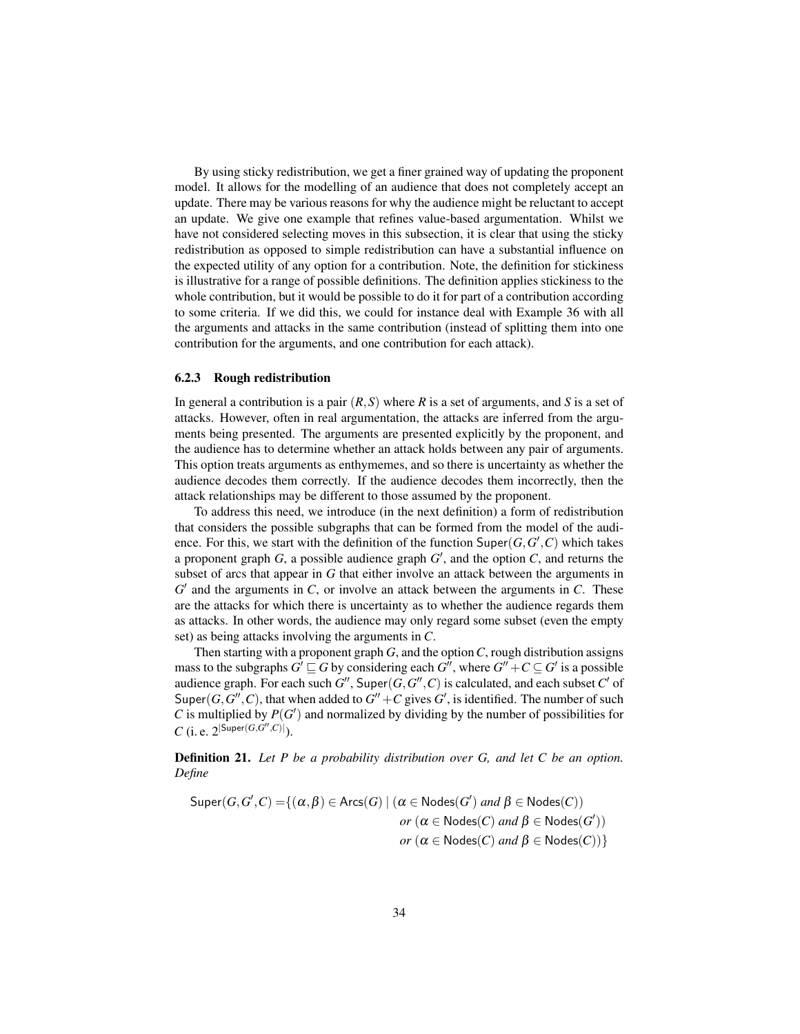By using sticky redistribution, we get a finer grained way of updating the proponent model. It allows for the modelling of an audience that does not completely accept an update. There may be various reasons for why the audience might be reluctant to accept an update. We give one example that refines value-based argumentation. Whilst we have not considered selecting moves in this subsection, it is clear that using the sticky redistribution as opposed to simple redistribution can have a substantial influence on the expected utility of any option for a contribution. Note, the definition for stickiness is illustrative for a range of possible definitions. The definition applies stickiness to the whole contribution, but it would be possible to do it for part of a contribution according to some criteria. If we did this, we could for instance deal with Example 36 with all the arguments and attacks in the same contribution (instead of splitting them into one contribution for the arguments, and one contribution for each attack).

#### 6.2.3 Rough redistribution

In general a contribution is a pair (*R*,*S*) where *R* is a set of arguments, and *S* is a set of attacks. However, often in real argumentation, the attacks are inferred from the arguments being presented. The arguments are presented explicitly by the proponent, and the audience has to determine whether an attack holds between any pair of arguments. This option treats arguments as enthymemes, and so there is uncertainty as whether the audience decodes them correctly. If the audience decodes them incorrectly, then the attack relationships may be different to those assumed by the proponent.

To address this need, we introduce (in the next definition) a form of redistribution that considers the possible subgraphs that can be formed from the model of the audience. For this, we start with the definition of the function  $\text{Super}(G, G', C)$  which takes a proponent graph  $G$ , a possible audience graph  $G'$ , and the option  $C$ , and returns the subset of arcs that appear in *G* that either involve an attack between the arguments in  $G'$  and the arguments in  $C$ , or involve an attack between the arguments in  $C$ . These are the attacks for which there is uncertainty as to whether the audience regards them as attacks. In other words, the audience may only regard some subset (even the empty set) as being attacks involving the arguments in *C*.

Then starting with a proponent graph *G*, and the option*C*, rough distribution assigns mass to the subgraphs  $G' \sqsubseteq G$  by considering each  $G''$ , where  $G'' + C \subseteq G'$  is a possible audience graph. For each such  $G''$ , Super $(G, G'', C)$  is calculated, and each subset  $C'$  of Super( $G$ , $G''$ , $C$ ), that when added to  $G'' + C$  gives  $G'$ , is identified. The number of such  $C$  is multiplied by  $P(G')$  and normalized by dividing by the number of possibilities for *C* (i. e.  $2^{|\textsf{Super}(G, G'', C)|}$ ).

Definition 21. *Let P be a probability distribution over G, and let C be an option. Define*

$$
Super(G, G', C) = \{ (\alpha, \beta) \in Arcs(G) \mid (\alpha \in Nodes(G') \text{ and } \beta \in Nodes(C))
$$
  
or  $(\alpha \in Nodes(C) \text{ and } \beta \in Nodes(G'))$   
or  $(\alpha \in Nodes(C) \text{ and } \beta \in Nodes(C)) \}$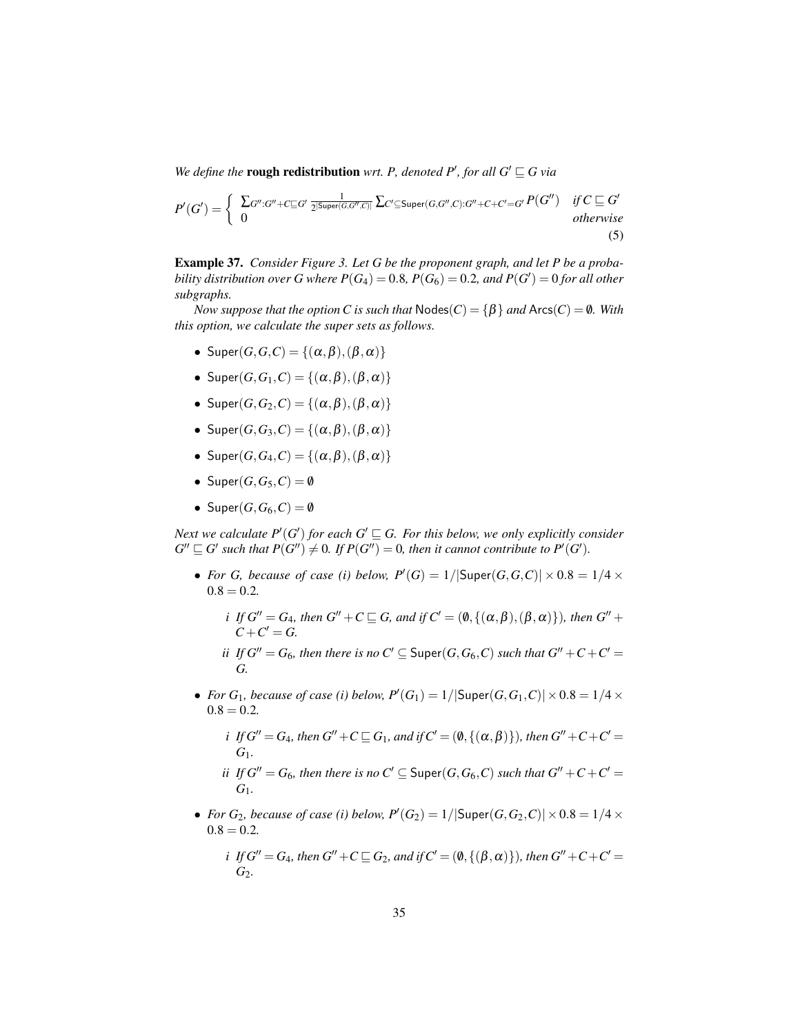*We define the* **rough redistribution** *wrt. P, denoted P', for all G'*  $\subseteq$  *G via* 

$$
P'(G') = \begin{cases} \sum_{G'':G''+C \subseteq G'} \frac{1}{2^{|\text{Super}(G,G'',C)|}} \sum_{C' \subseteq \text{Super}(G,G'',C):G''+C+C'=G'} P(G'') & \text{if } C \subseteq G' \\ 0 & \text{otherwise} \end{cases}
$$
(5)

Example 37. *Consider Figure 3. Let G be the proponent graph, and let P be a probability distribution over G where*  $P(G_4) = 0.8$ ,  $P(G_6) = 0.2$ , and  $P(G') = 0$  for all other *subgraphs.*

*Now suppose that the option C is such that*  $Nodes(C) = \{\beta\}$  *and*  $Arcs(C) = \emptyset$ *. With this option, we calculate the super sets as follows.*

- Super $(G, G, C) = \{(\alpha, \beta),(\beta, \alpha)\}\$
- Super $(G, G_1, C) = \{(\alpha, \beta),(\beta, \alpha)\}\$
- Super $(G, G_2, C) = \{(\alpha, \beta),(\beta, \alpha)\}\$
- Super $(G, G_3, C) = \{(\alpha, \beta),(\beta, \alpha)\}\$
- Super $(G, G_4, C) = \{(\alpha, \beta),(\beta, \alpha)\}\$
- Super $(G, G_5, C) = \emptyset$
- Super $(G, G_6, C) = \emptyset$

*Next we calculate P'*(*G'*) *for each G'*  $\subseteq$  *G. For this below, we only explicitly consider*  $G'' \sqsubseteq G'$  such that  $P(G'') \neq 0$ . If  $P(G'') = 0$ , then it cannot contribute to  $P'(G')$ .

- *For G, because of case (i) below,*  $P'(G) = 1/|\text{Super}(G, G, C)| \times 0.8 = 1/4 \times$  $0.8 = 0.2$ 
	- *i If*  $G'' = G_4$ *, then*  $G'' + C \sqsubseteq G$ *, and if*  $C' = (\emptyset, \{(\alpha, \beta),(\beta, \alpha)\})$ *, then*  $G'' + C$  $C + C' = G$ .
	- *ii* If  $G'' = G_6$ *, then there is no*  $C' \subseteq$  Super $(G, G_6, C)$  *such that*  $G'' + C + C' = G_6$ *G.*
- *For*  $G_1$ *, because of case (i) below,*  $P'(G_1) = 1/|\text{Super}(G, G_1, C)| \times 0.8 = 1/4 \times$  $0.8 = 0.2$

*i* If 
$$
G'' = G_4
$$
, then  $G'' + C \sqsubseteq G_1$ , and if  $C' = (\emptyset, \{(\alpha, \beta)\})$ , then  $G'' + C + C' = G_1$ .

*ii* If 
$$
G'' = G_6
$$
, then there is no  $C' \subseteq \text{Super}(G, G_6, C)$  such that  $G'' + C + C' = G_1$ .

• *For G*<sub>2</sub>*, because of case (i) below,*  $P'(G_2) = 1/|\text{Super}(G, G_2, C)| \times 0.8 = 1/4 \times$  $0.8 = 0.2$ 

*i* If 
$$
G'' = G_4
$$
, then  $G'' + C \sqsubseteq G_2$ , and if  $C' = (\emptyset, \{(\beta, \alpha)\})$ , then  $G'' + C + C' = G_2$ .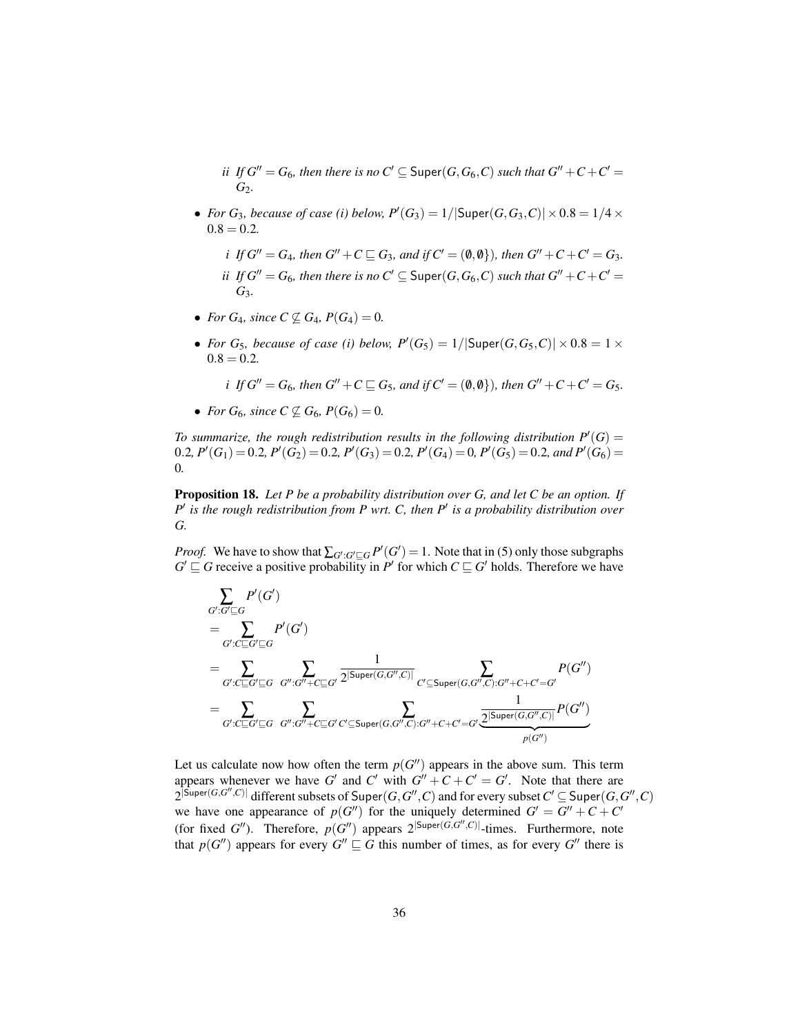*ii If*  $G'' = G_6$ *, then there is no*  $C' \subseteq$  Super $(G, G_6, C)$  *such that*  $G'' + C + C' = G_6$ *G*2*.*

• *For G*<sub>3</sub>, *because of case (i) below,*  $P'(G_3) = 1/|\text{Super}(G, G_3, C)| \times 0.8 = 1/4 \times$  $0.8 = 0.2$ 

*i If*  $G'' = G_4$ *, then*  $G'' + C \sqsubseteq G_3$ *, and if*  $C' = (\emptyset, \emptyset)$ *), then*  $G'' + C + C' = G_3$ *. ii* If  $G'' = G_6$ *, then there is no*  $C' \subseteq$  Super $(G, G_6, C)$  *such that*  $G'' + C + C' = G_6$ *G*3*.*

- *For*  $G_4$ *, since*  $C \not\subseteq G_4$ *,*  $P(G_4) = 0$ *.*
- *For G<sub>5</sub>*, *because of case (i) below,*  $P'(G_5) = 1/|\text{Super}(G, G_5, C)| \times 0.8 = 1 \times$  $0.8 = 0.2$

*i If*  $G'' = G_6$ *, then*  $G'' + C \sqsubseteq G_5$ *, and if*  $C' = (\emptyset, \emptyset)$ *), then*  $G'' + C + C' = G_5$ *.* 

• *For*  $G_6$ *, since*  $C \not\subseteq G_6$ *,*  $P(G_6) = 0$ *.* 

To summarize, the rough redistribution results in the following distribution  $P'(G) =$ 0.2*,*  $P'(G_1) = 0.2$ *,*  $P'(G_2) = 0.2$ *,*  $P'(G_3) = 0.2$ *,*  $P'(G_4) = 0$ *,*  $P'(G_5) = 0.2$ *, and*  $P'(G_6) = 0.2$ 0*.*

Proposition 18. *Let P be a probability distribution over G, and let C be an option. If P*<sup> $\prime$ </sup> *is the rough redistribution from P wrt. C, then P<sup>* $\prime$ *</sup> <i>is a probability distribution over G.*

*Proof.* We have to show that  $\sum_{G':G'\sqsubseteq G} P'(G') = 1$ . Note that in (5) only those subgraphs  $G' \sqsubseteq G$  receive a positive probability in *P*<sup> $\prime$ </sup> for which  $C \sqsubseteq G'$  holds. Therefore we have

$$
\begin{split} & \sum_{G': G' \sqsubseteq G} P'(G') \\ & = \sum_{G': C \sqsubseteq G' \sqsubseteq G} P'(G') \\ & = \sum_{G': C \sqsubseteq G' \sqsubseteq G} \sum_{G'': G'' + C \sqsubseteq G'} \frac{1}{2^{|\text{Super}(G, G'', C)|}} \sum_{C' \subseteq \text{Super}(G, G'', C): G'' + C + C' = G'} P(G'') \\ & = \sum_{G': C \sqsubseteq G' \sqsubseteq G} \sum_{G'': G'' + C \sqsubseteq G' \subset C \subseteq \text{Super}(G, G'', C): G'' + C + C' = G'} \frac{1}{2^{|\text{Super}(G, G'', C)|}} P(G'') \\ \end{split}
$$

Let us calculate now how often the term  $p(G'')$  appears in the above sum. This term appears whenever we have *G*<sup> $\prime$ </sup> and *C*<sup> $\prime$ </sup> with  $G'' + C + C' = G'$ . Note that there are  $2^{\left[\mathsf{Super}(G,G'',C)\right]}\text{ different subsets of Super}(G,G'',C)$  and for every subset  $C'\subseteq\mathsf{Super}(G,G'',C)$ we have one appearance of  $p(G'')$  for the uniquely determined  $G' = G'' + C + C'$ (for fixed *G*<sup>*n*</sup>). Therefore,  $p(G'')$  appears  $2^{|Super(G, G'', C)|}$ -times. Furthermore, note that  $p(G'')$  appears for every  $G'' \sqsubseteq G$  this number of times, as for every  $G''$  there is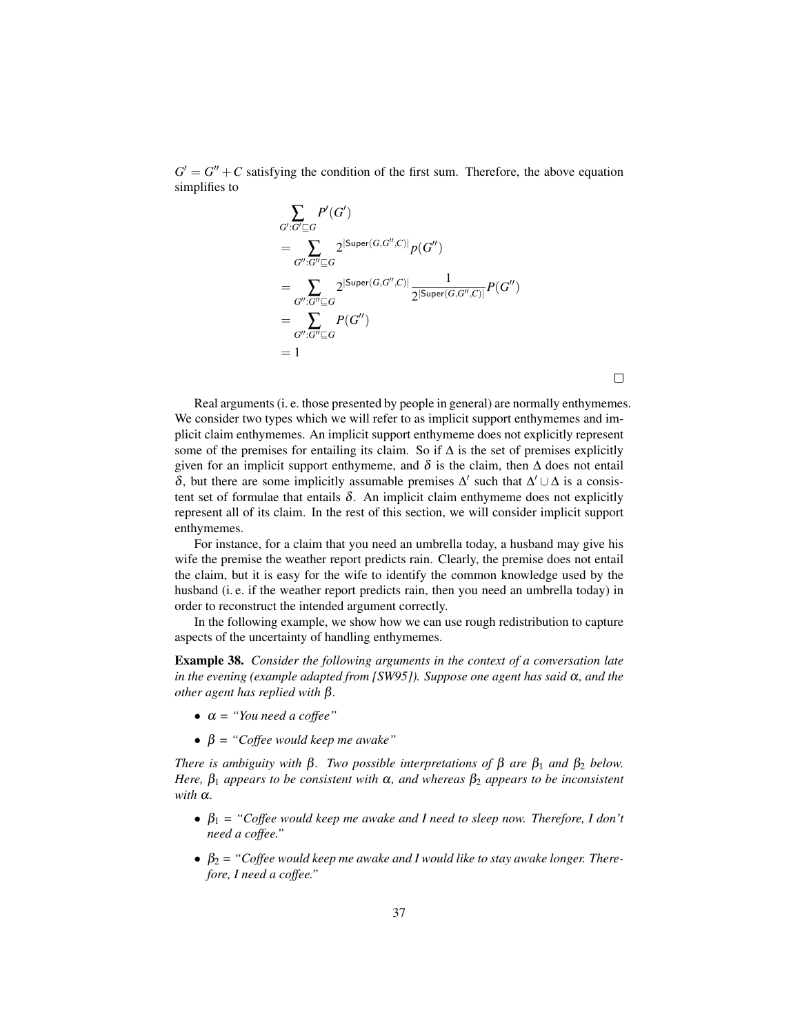$G' = G'' + C$  satisfying the condition of the first sum. Therefore, the above equation simplifies to

$$
\sum_{G':G'\subseteq G} P'(G')
$$
\n
$$
= \sum_{G'':G''\subseteq G} 2^{|Super(G,G'',C)|} p(G'')
$$
\n
$$
= \sum_{G'':G''\subseteq G} 2^{|Super(G,G'',C)|} \frac{1}{2^{|Super(G,G'',C)|}} P(G'')
$$
\n
$$
= \sum_{G'':G''\subseteq G} P(G'')
$$
\n
$$
= 1
$$

Real arguments (i. e. those presented by people in general) are normally enthymemes. We consider two types which we will refer to as implicit support enthymemes and implicit claim enthymemes. An implicit support enthymeme does not explicitly represent some of the premises for entailing its claim. So if  $\Delta$  is the set of premises explicitly given for an implicit support enthymeme, and  $\delta$  is the claim, then  $\Delta$  does not entail δ, but there are some implicitly assumable premises  $\Delta'$  such that  $\Delta' \cup \Delta$  is a consistent set of formulae that entails  $\delta$ . An implicit claim enthymeme does not explicitly represent all of its claim. In the rest of this section, we will consider implicit support enthymemes.

For instance, for a claim that you need an umbrella today, a husband may give his wife the premise the weather report predicts rain. Clearly, the premise does not entail the claim, but it is easy for the wife to identify the common knowledge used by the husband (i. e. if the weather report predicts rain, then you need an umbrella today) in order to reconstruct the intended argument correctly.

In the following example, we show how we can use rough redistribution to capture aspects of the uncertainty of handling enthymemes.

Example 38. *Consider the following arguments in the context of a conversation late in the evening (example adapted from [SW95]). Suppose one agent has said* α*, and the other agent has replied with* β*.*

- α *= "You need a coffee"*
- $\beta$  = "Coffee would keep me awake"

*There is ambiguity with*  $\beta$ *. Two possible interpretations of*  $\beta$  *are*  $\beta_1$  *and*  $\beta_2$  *below. Here,*  $\beta_1$  *appears to be consistent with*  $\alpha$ *, and whereas*  $\beta_2$  *appears to be inconsistent*  $with \alpha$ .

- $\beta_1$  = "Coffee would keep me awake and I need to sleep now. Therefore, I don't *need a coffee."*
- $\bullet$   $\beta_2$  = "Coffee would keep me awake and I would like to stay awake longer. There*fore, I need a coffee."*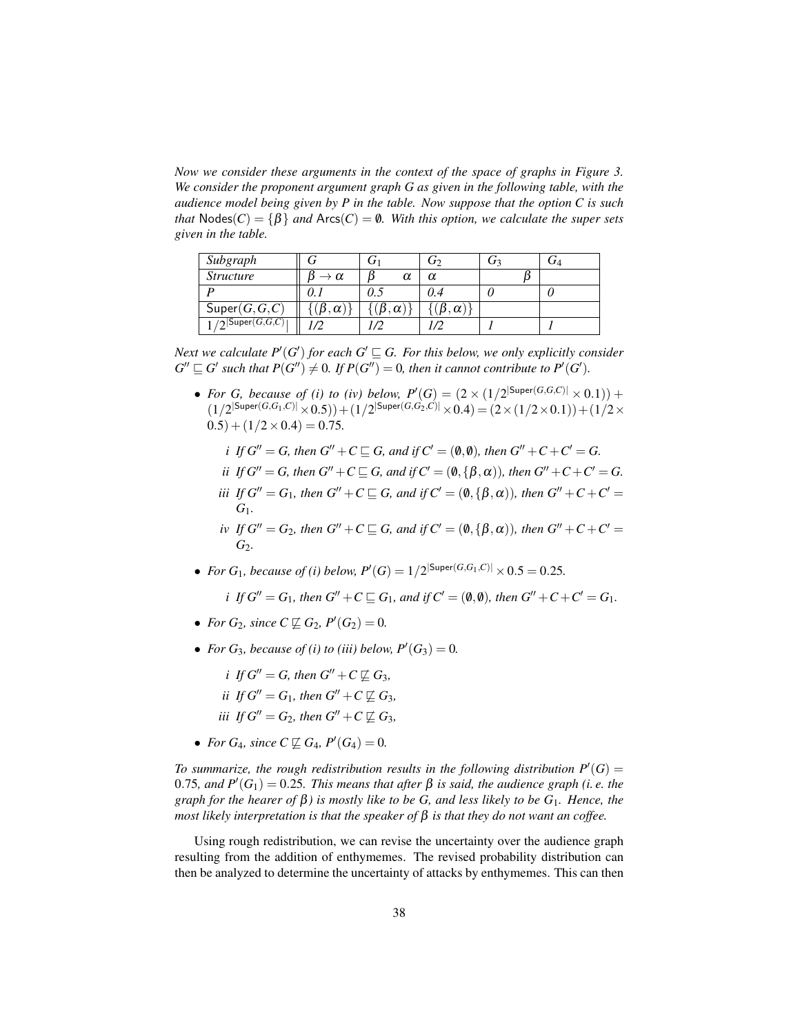*Now we consider these arguments in the context of the space of graphs in Figure 3. We consider the proponent argument graph G as given in the following table, with the audience model being given by P in the table. Now suppose that the option C is such that*  $Nodes(C) = \{\beta\}$  *and*  $Arcs(C) = \emptyset$ *. With this option, we calculate the super sets given in the table.*

| Subgraph                   |               |                    | رى                 | Ū٩ | $J\Lambda$ |
|----------------------------|---------------|--------------------|--------------------|----|------------|
| <i>Structure</i>           | $\alpha$      | α                  |                    |    |            |
|                            |               |                    | 0.4                |    |            |
| Super(G, G, C)             | $\alpha$      | $\beta$ . $\alpha$ | $\beta$ . $\alpha$ |    |            |
| $\sqrt{2}$ Super $(G,G,C)$ | $\mathcal{D}$ |                    |                    |    |            |

*Next we calculate P'*(*G'*) *for each G'*  $\subseteq$  *G. For this below, we only explicitly consider*  $G'' \sqsubseteq G'$  such that  $P(G'') \neq 0$ . If  $P(G'') = 0$ , then it cannot contribute to  $P'(G')$ .

• *For G, because of (i) to (iv) below,*  $P'(G) = (2 \times (1/2^{|\text{Super}(G,G,C)|} \times 0.1)) +$  $(1/2^{|\textsf{Super}(G,G_1,C)|} \times 0.5)) + (1/2^{|\textsf{Super}(G,G_2,C)|} \times 0.4) = (2 \times (1/2 \times 0.1)) + (1/2 \times$  $(0.5) + (1/2 \times 0.4) = 0.75.$ 

*i If*  $G'' = G$ *, then*  $G'' + C \sqsubseteq G$ *, and if*  $C' = (\emptyset, \emptyset)$ *, then*  $G'' + C + C' = G$ *.* 

- *ii* If  $G'' = G$ , then  $G'' + C \sqsubseteq G$ , and if  $C' = (0, {\beta, \alpha})$ , then  $G'' + C + C' = G$ .
- *iii If*  $G'' = G_1$ *, then*  $G'' + C \sqsubseteq G$ *, and if*  $C' = (0, {\beta, \alpha})$ *), then*  $G'' + C + C' =$ *G*1*.*
- *iv If*  $G'' = G_2$ *, then*  $G'' + C \sqsubseteq G$ *, and if*  $C' = (0, {\beta, \alpha})$ *), then*  $G'' + C + C' =$ *G*<sup>2</sup>*.*
- *For*  $G_1$ *, because of (i) below,*  $P'(G) = 1/2^{|\text{Super}(G, G_1, C)|} \times 0.5 = 0.25$ *.*

*i If*  $G'' = G_1$ *, then*  $G'' + C \sqsubseteq G_1$ *, and if*  $C' = (\emptyset, \emptyset)$ *, then*  $G'' + C + C' = G_1$ *.* 

- *For*  $G_2$ *, since*  $C \not\sqsubseteq G_2$ *,*  $P'(G_2) = 0$ *.*
- *For*  $G_3$ *, because of (i) to (iii) below,*  $P'(G_3) = 0$ *.*

*i If*  $G'' = G$ *, then*  $G'' + C \not\sqsubseteq G_3$ *,* 

- *ii If*  $G'' = G_1$ *, then*  $G'' + C \not\sqsubseteq G_3$ *,*
- *iii If*  $G'' = G_2$ *, then*  $G'' + C \not\sqsubseteq G_3$ *,*
- *For*  $G_4$ *, since*  $C \not\sqsubseteq G_4$ *,*  $P'(G_4) = 0$ *.*

To summarize, the rough redistribution results in the following distribution  $P'(G) =$  $0.75$ , and  $P'(G_1) = 0.25$ . This means that after  $β$  is said, the audience graph (i. e. the *graph for the hearer of* β*) is mostly like to be G, and less likely to be G*1*. Hence, the most likely interpretation is that the speaker of* β *is that they do not want an coffee.*

Using rough redistribution, we can revise the uncertainty over the audience graph resulting from the addition of enthymemes. The revised probability distribution can then be analyzed to determine the uncertainty of attacks by enthymemes. This can then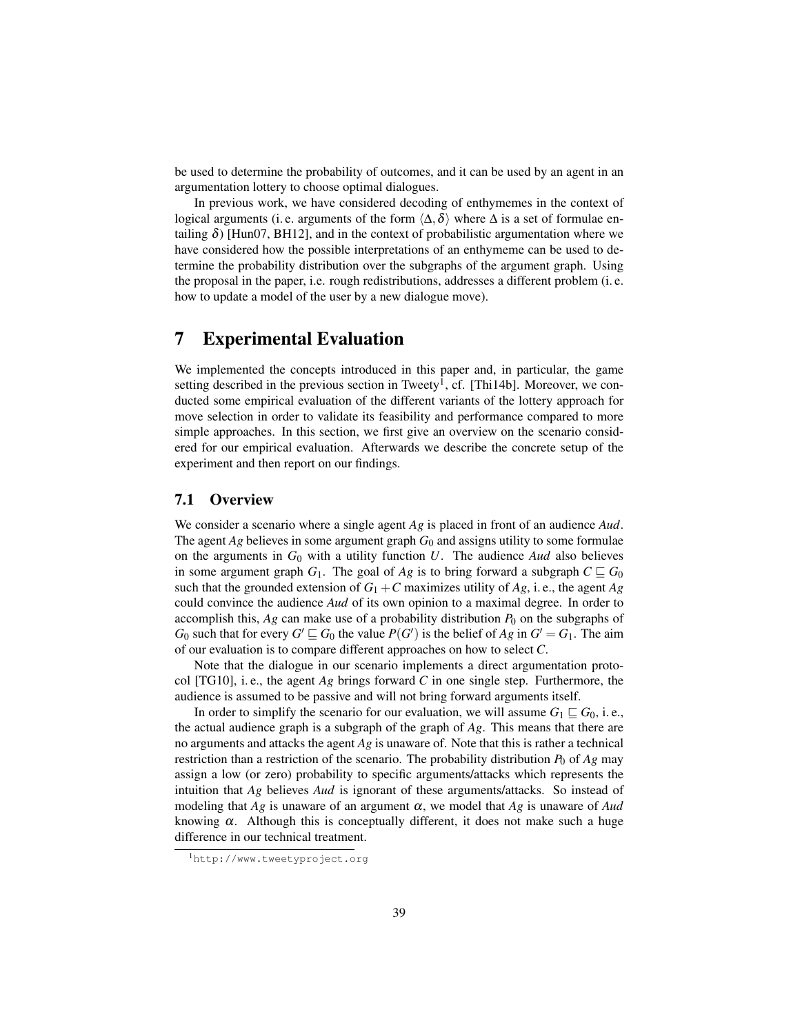be used to determine the probability of outcomes, and it can be used by an agent in an argumentation lottery to choose optimal dialogues.

In previous work, we have considered decoding of enthymemes in the context of logical arguments (i. e. arguments of the form  $\langle \Delta, \delta \rangle$  where  $\Delta$  is a set of formulae entailing  $\delta$ ) [Hun07, BH12], and in the context of probabilistic argumentation where we have considered how the possible interpretations of an enthymeme can be used to determine the probability distribution over the subgraphs of the argument graph. Using the proposal in the paper, i.e. rough redistributions, addresses a different problem (i. e. how to update a model of the user by a new dialogue move).

# 7 Experimental Evaluation

We implemented the concepts introduced in this paper and, in particular, the game setting described in the previous section in Tweety<sup>1</sup>, cf. [Thi14b]. Moreover, we conducted some empirical evaluation of the different variants of the lottery approach for move selection in order to validate its feasibility and performance compared to more simple approaches. In this section, we first give an overview on the scenario considered for our empirical evaluation. Afterwards we describe the concrete setup of the experiment and then report on our findings.

#### 7.1 Overview

We consider a scenario where a single agent *Ag* is placed in front of an audience *Aud*. The agent  $Ag$  believes in some argument graph  $G_0$  and assigns utility to some formulae on the arguments in  $G_0$  with a utility function  $U$ . The audience *Aud* also believes in some argument graph  $G_1$ . The goal of  $Ag$  is to bring forward a subgraph  $C \sqsubseteq G_0$ such that the grounded extension of  $G_1 + C$  maximizes utility of  $Ag$ , i.e., the agent  $Ag$ could convince the audience *Aud* of its own opinion to a maximal degree. In order to accomplish this,  $Ag$  can make use of a probability distribution  $P_0$  on the subgraphs of *G*<sup>0</sup> such that for every  $G' \sqsubseteq G_0$  the value  $P(G')$  is the belief of *Ag* in  $G' = G_1$ . The aim of our evaluation is to compare different approaches on how to select *C*.

Note that the dialogue in our scenario implements a direct argumentation protocol [TG10], i. e., the agent *Ag* brings forward *C* in one single step. Furthermore, the audience is assumed to be passive and will not bring forward arguments itself.

In order to simplify the scenario for our evaluation, we will assume  $G_1 \sqsubseteq G_0$ , i.e., the actual audience graph is a subgraph of the graph of *Ag*. This means that there are no arguments and attacks the agent *Ag* is unaware of. Note that this is rather a technical restriction than a restriction of the scenario. The probability distribution  $P_0$  of  $Ag$  may assign a low (or zero) probability to specific arguments/attacks which represents the intuition that *Ag* believes *Aud* is ignorant of these arguments/attacks. So instead of modeling that  $Ag$  is unaware of an argument  $\alpha$ , we model that  $Ag$  is unaware of Aud knowing  $\alpha$ . Although this is conceptually different, it does not make such a huge difference in our technical treatment.

<sup>1</sup>http://www.tweetyproject.org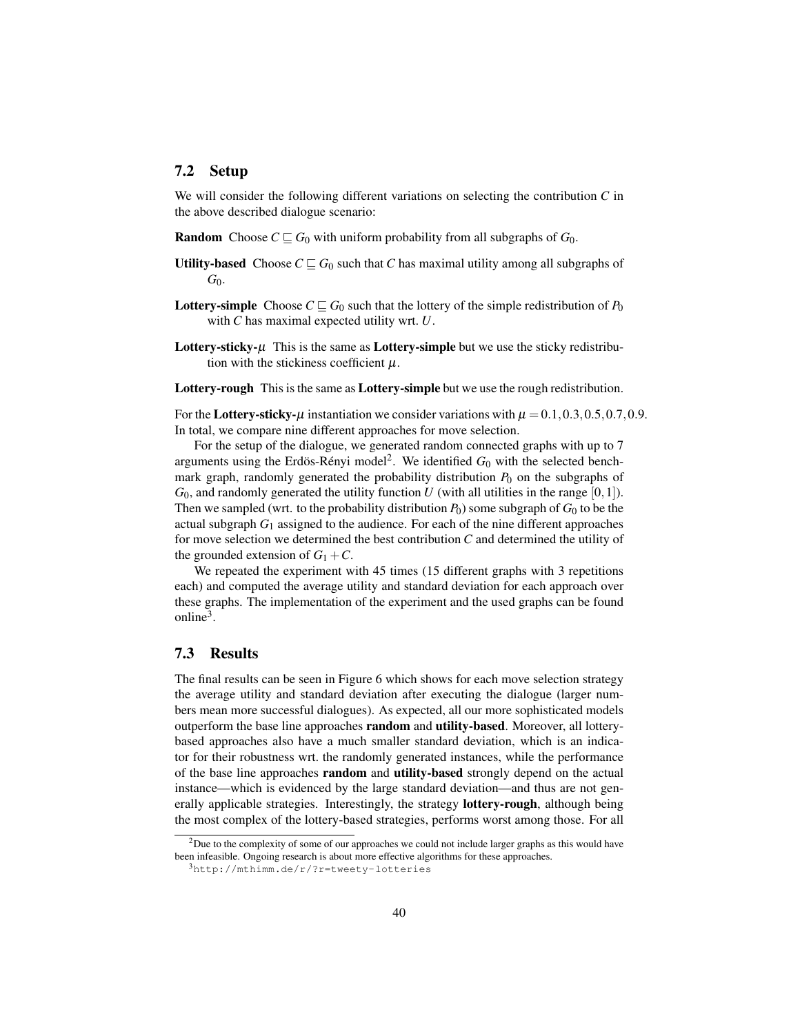#### 7.2 Setup

We will consider the following different variations on selecting the contribution *C* in the above described dialogue scenario:

- **Random** Choose  $C \subseteq G_0$  with uniform probability from all subgraphs of  $G_0$ .
- Utility-based Choose  $C \sqsubseteq G_0$  such that *C* has maximal utility among all subgraphs of *G*0.
- **Lottery-simple** Choose  $C \subseteq G_0$  such that the lottery of the simple redistribution of  $P_0$ with *C* has maximal expected utility wrt. *U*.
- **Lottery-sticky-** $\mu$  This is the same as **Lottery-simple** but we use the sticky redistribution with the stickiness coefficient  $\mu$ .
- Lottery-rough This is the same as Lottery-simple but we use the rough redistribution.

For the Lottery-sticky- $\mu$  instantiation we consider variations with  $\mu = 0.1, 0.3, 0.5, 0.7, 0.9$ . In total, we compare nine different approaches for move selection.

For the setup of the dialogue, we generated random connected graphs with up to 7 arguments using the Erdös-Rényi model<sup>2</sup>. We identified  $G_0$  with the selected benchmark graph, randomly generated the probability distribution  $P_0$  on the subgraphs of  $G_0$ , and randomly generated the utility function *U* (with all utilities in the range  $[0,1]$ ). Then we sampled (wrt. to the probability distribution  $P_0$ ) some subgraph of  $G_0$  to be the actual subgraph  $G_1$  assigned to the audience. For each of the nine different approaches for move selection we determined the best contribution *C* and determined the utility of the grounded extension of  $G_1 + C$ .

We repeated the experiment with 45 times (15 different graphs with 3 repetitions each) and computed the average utility and standard deviation for each approach over these graphs. The implementation of the experiment and the used graphs can be found online<sup>3</sup>.

### 7.3 Results

The final results can be seen in Figure 6 which shows for each move selection strategy the average utility and standard deviation after executing the dialogue (larger numbers mean more successful dialogues). As expected, all our more sophisticated models outperform the base line approaches random and utility-based. Moreover, all lotterybased approaches also have a much smaller standard deviation, which is an indicator for their robustness wrt. the randomly generated instances, while the performance of the base line approaches random and utility-based strongly depend on the actual instance—which is evidenced by the large standard deviation—and thus are not generally applicable strategies. Interestingly, the strategy lottery-rough, although being the most complex of the lottery-based strategies, performs worst among those. For all

<sup>2</sup>Due to the complexity of some of our approaches we could not include larger graphs as this would have been infeasible. Ongoing research is about more effective algorithms for these approaches.

<sup>3</sup>http://mthimm.de/r/?r=tweety-lotteries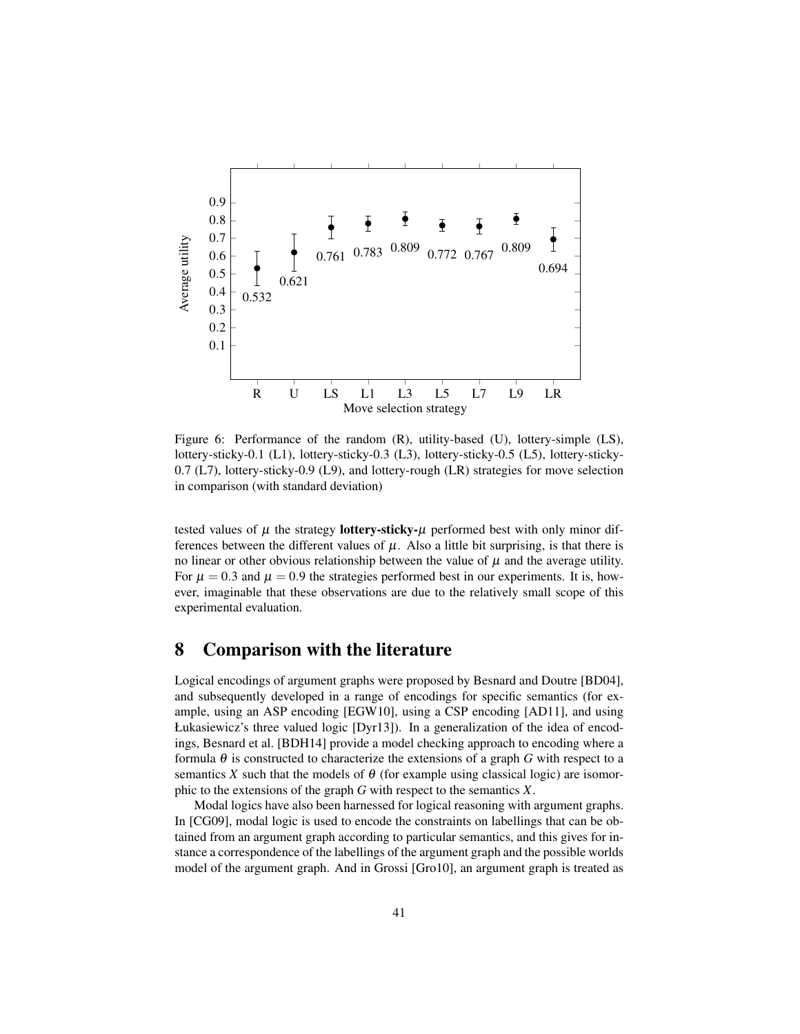

Figure 6: Performance of the random (R), utility-based (U), lottery-simple (LS), lottery-sticky-0.1 (L1), lottery-sticky-0.3 (L3), lottery-sticky-0.5 (L5), lottery-sticky-0.7 (L7), lottery-sticky-0.9 (L9), and lottery-rough (LR) strategies for move selection in comparison (with standard deviation)

tested values of  $\mu$  the strategy **lottery-sticky-** $\mu$  performed best with only minor differences between the different values of  $\mu$ . Also a little bit surprising, is that there is no linear or other obvious relationship between the value of  $\mu$  and the average utility. For  $\mu = 0.3$  and  $\mu = 0.9$  the strategies performed best in our experiments. It is, however, imaginable that these observations are due to the relatively small scope of this experimental evaluation.

## 8 Comparison with the literature

Logical encodings of argument graphs were proposed by Besnard and Doutre [BD04], and subsequently developed in a range of encodings for specific semantics (for example, using an ASP encoding [EGW10], using a CSP encoding [AD11], and using Łukasiewicz's three valued logic [Dyr13]). In a generalization of the idea of encodings, Besnard et al. [BDH14] provide a model checking approach to encoding where a formula  $\theta$  is constructed to characterize the extensions of a graph *G* with respect to a semantics *X* such that the models of  $\theta$  (for example using classical logic) are isomorphic to the extensions of the graph *G* with respect to the semantics *X*.

Modal logics have also been harnessed for logical reasoning with argument graphs. In [CG09], modal logic is used to encode the constraints on labellings that can be obtained from an argument graph according to particular semantics, and this gives for instance a correspondence of the labellings of the argument graph and the possible worlds model of the argument graph. And in Grossi [Gro10], an argument graph is treated as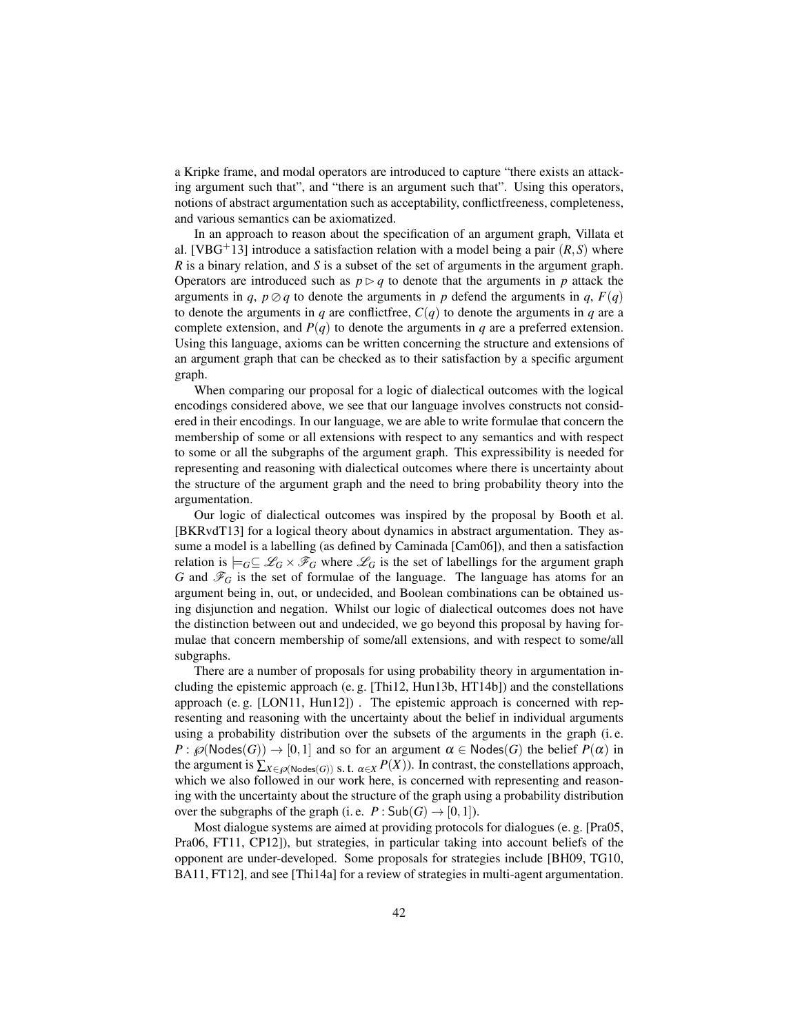a Kripke frame, and modal operators are introduced to capture "there exists an attacking argument such that", and "there is an argument such that". Using this operators, notions of abstract argumentation such as acceptability, conflictfreeness, completeness, and various semantics can be axiomatized.

In an approach to reason about the specification of an argument graph, Villata et al. [VBG<sup>+</sup>13] introduce a satisfaction relation with a model being a pair  $(R, S)$  where *R* is a binary relation, and *S* is a subset of the set of arguments in the argument graph. Operators are introduced such as  $p \triangleright q$  to denote that the arguments in *p* attack the arguments in *q*,  $p \oslash q$  to denote the arguments in *p* defend the arguments in *q*,  $F(q)$ to denote the arguments in *q* are conflictfree,  $C(q)$  to denote the arguments in *q* are a complete extension, and  $P(q)$  to denote the arguments in *q* are a preferred extension. Using this language, axioms can be written concerning the structure and extensions of an argument graph that can be checked as to their satisfaction by a specific argument graph.

When comparing our proposal for a logic of dialectical outcomes with the logical encodings considered above, we see that our language involves constructs not considered in their encodings. In our language, we are able to write formulae that concern the membership of some or all extensions with respect to any semantics and with respect to some or all the subgraphs of the argument graph. This expressibility is needed for representing and reasoning with dialectical outcomes where there is uncertainty about the structure of the argument graph and the need to bring probability theory into the argumentation.

Our logic of dialectical outcomes was inspired by the proposal by Booth et al. [BKRvdT13] for a logical theory about dynamics in abstract argumentation. They assume a model is a labelling (as defined by Caminada [Cam06]), and then a satisfaction relation is  $\models_G\subseteq \mathcal{L}_G\times \mathcal{F}_G$  where  $\mathcal{L}_G$  is the set of labellings for the argument graph *G* and  $\mathcal{F}_G$  is the set of formulae of the language. The language has atoms for an argument being in, out, or undecided, and Boolean combinations can be obtained using disjunction and negation. Whilst our logic of dialectical outcomes does not have the distinction between out and undecided, we go beyond this proposal by having formulae that concern membership of some/all extensions, and with respect to some/all subgraphs.

There are a number of proposals for using probability theory in argumentation including the epistemic approach (e. g. [Thi12, Hun13b, HT14b]) and the constellations approach (e. g. [LON11, Hun12]) . The epistemic approach is concerned with representing and reasoning with the uncertainty about the belief in individual arguments using a probability distribution over the subsets of the arguments in the graph (i. e. *P* :  $\mathcal{P}(\mathcal{P}(\mathsf{Nodes}(G)) \to [0,1])$  and so for an argument  $\alpha \in \mathsf{Nodes}(G)$  the belief  $P(\alpha)$  in the argument is  $\sum_{X \in \mathcal{P}(\text{Nodes}(G))}$  s. t.  $\alpha \in X} P(X)$ ). In contrast, the constellations approach, which we also followed in our work here, is concerned with representing and reasoning with the uncertainty about the structure of the graph using a probability distribution over the subgraphs of the graph (i.e.  $P : Sub(G) \rightarrow [0,1]$ ).

Most dialogue systems are aimed at providing protocols for dialogues (e. g. [Pra05, Pra06, FT11, CP12]), but strategies, in particular taking into account beliefs of the opponent are under-developed. Some proposals for strategies include [BH09, TG10, BA11, FT12], and see [Thi14a] for a review of strategies in multi-agent argumentation.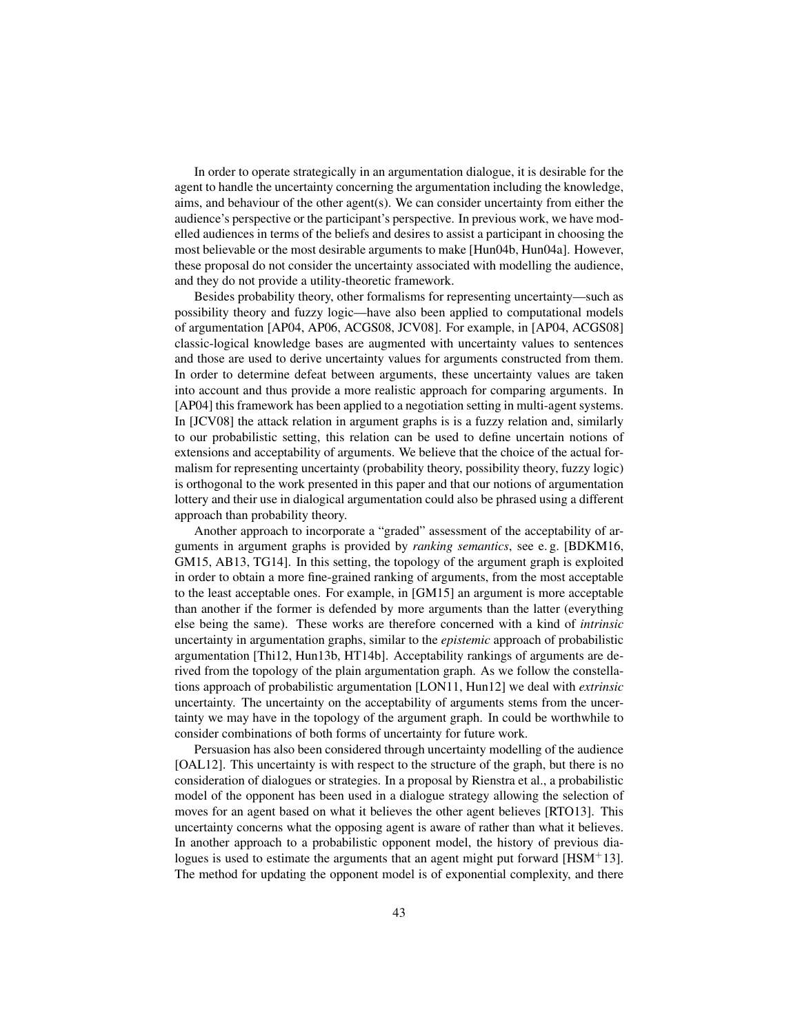In order to operate strategically in an argumentation dialogue, it is desirable for the agent to handle the uncertainty concerning the argumentation including the knowledge, aims, and behaviour of the other agent(s). We can consider uncertainty from either the audience's perspective or the participant's perspective. In previous work, we have modelled audiences in terms of the beliefs and desires to assist a participant in choosing the most believable or the most desirable arguments to make [Hun04b, Hun04a]. However, these proposal do not consider the uncertainty associated with modelling the audience, and they do not provide a utility-theoretic framework.

Besides probability theory, other formalisms for representing uncertainty—such as possibility theory and fuzzy logic—have also been applied to computational models of argumentation [AP04, AP06, ACGS08, JCV08]. For example, in [AP04, ACGS08] classic-logical knowledge bases are augmented with uncertainty values to sentences and those are used to derive uncertainty values for arguments constructed from them. In order to determine defeat between arguments, these uncertainty values are taken into account and thus provide a more realistic approach for comparing arguments. In [AP04] this framework has been applied to a negotiation setting in multi-agent systems. In [JCV08] the attack relation in argument graphs is is a fuzzy relation and, similarly to our probabilistic setting, this relation can be used to define uncertain notions of extensions and acceptability of arguments. We believe that the choice of the actual formalism for representing uncertainty (probability theory, possibility theory, fuzzy logic) is orthogonal to the work presented in this paper and that our notions of argumentation lottery and their use in dialogical argumentation could also be phrased using a different approach than probability theory.

Another approach to incorporate a "graded" assessment of the acceptability of arguments in argument graphs is provided by *ranking semantics*, see e. g. [BDKM16, GM15, AB13, TG14]. In this setting, the topology of the argument graph is exploited in order to obtain a more fine-grained ranking of arguments, from the most acceptable to the least acceptable ones. For example, in [GM15] an argument is more acceptable than another if the former is defended by more arguments than the latter (everything else being the same). These works are therefore concerned with a kind of *intrinsic* uncertainty in argumentation graphs, similar to the *epistemic* approach of probabilistic argumentation [Thi12, Hun13b, HT14b]. Acceptability rankings of arguments are derived from the topology of the plain argumentation graph. As we follow the constellations approach of probabilistic argumentation [LON11, Hun12] we deal with *extrinsic* uncertainty. The uncertainty on the acceptability of arguments stems from the uncertainty we may have in the topology of the argument graph. In could be worthwhile to consider combinations of both forms of uncertainty for future work.

Persuasion has also been considered through uncertainty modelling of the audience [OAL12]. This uncertainty is with respect to the structure of the graph, but there is no consideration of dialogues or strategies. In a proposal by Rienstra et al., a probabilistic model of the opponent has been used in a dialogue strategy allowing the selection of moves for an agent based on what it believes the other agent believes [RTO13]. This uncertainty concerns what the opposing agent is aware of rather than what it believes. In another approach to a probabilistic opponent model, the history of previous dialogues is used to estimate the arguments that an agent might put forward [HSM+13]. The method for updating the opponent model is of exponential complexity, and there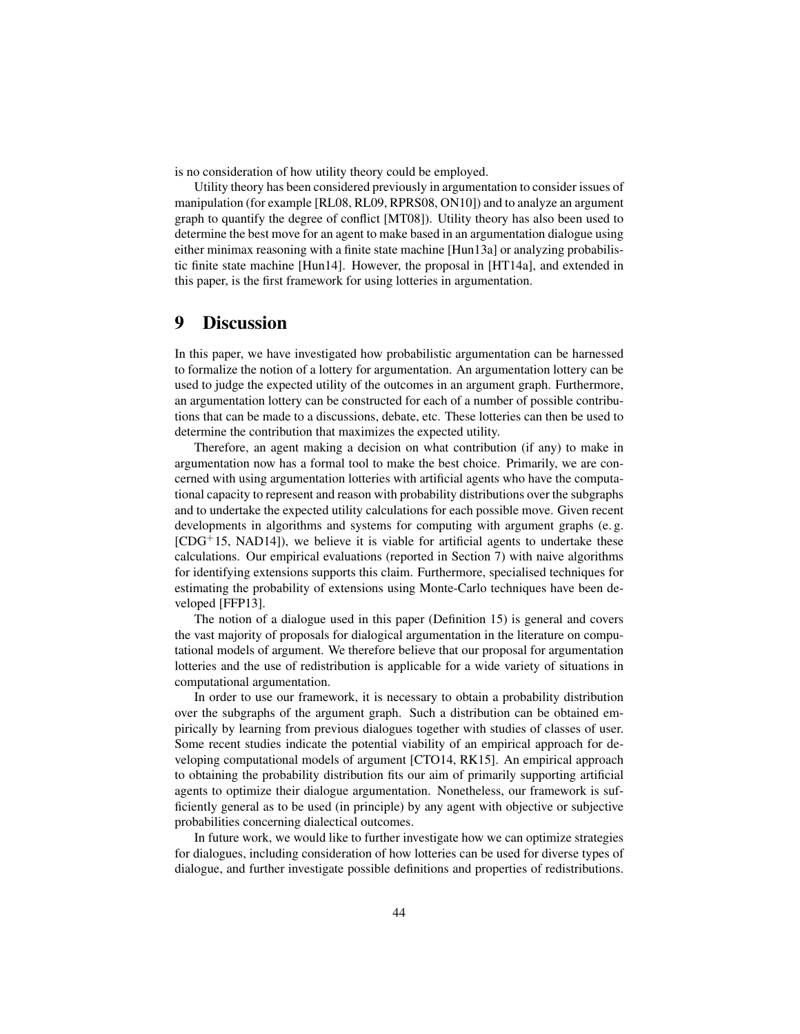is no consideration of how utility theory could be employed.

Utility theory has been considered previously in argumentation to consider issues of manipulation (for example [RL08, RL09, RPRS08, ON10]) and to analyze an argument graph to quantify the degree of conflict [MT08]). Utility theory has also been used to determine the best move for an agent to make based in an argumentation dialogue using either minimax reasoning with a finite state machine [Hun13a] or analyzing probabilistic finite state machine [Hun14]. However, the proposal in [HT14a], and extended in this paper, is the first framework for using lotteries in argumentation.

# 9 Discussion

In this paper, we have investigated how probabilistic argumentation can be harnessed to formalize the notion of a lottery for argumentation. An argumentation lottery can be used to judge the expected utility of the outcomes in an argument graph. Furthermore, an argumentation lottery can be constructed for each of a number of possible contributions that can be made to a discussions, debate, etc. These lotteries can then be used to determine the contribution that maximizes the expected utility.

Therefore, an agent making a decision on what contribution (if any) to make in argumentation now has a formal tool to make the best choice. Primarily, we are concerned with using argumentation lotteries with artificial agents who have the computational capacity to represent and reason with probability distributions over the subgraphs and to undertake the expected utility calculations for each possible move. Given recent developments in algorithms and systems for computing with argument graphs (e. g.  $[CDG<sup>+</sup>15, NAD14]$ , we believe it is viable for artificial agents to undertake these calculations. Our empirical evaluations (reported in Section 7) with naive algorithms for identifying extensions supports this claim. Furthermore, specialised techniques for estimating the probability of extensions using Monte-Carlo techniques have been developed [FFP13].

The notion of a dialogue used in this paper (Definition 15) is general and covers the vast majority of proposals for dialogical argumentation in the literature on computational models of argument. We therefore believe that our proposal for argumentation lotteries and the use of redistribution is applicable for a wide variety of situations in computational argumentation.

In order to use our framework, it is necessary to obtain a probability distribution over the subgraphs of the argument graph. Such a distribution can be obtained empirically by learning from previous dialogues together with studies of classes of user. Some recent studies indicate the potential viability of an empirical approach for developing computational models of argument [CTO14, RK15]. An empirical approach to obtaining the probability distribution fits our aim of primarily supporting artificial agents to optimize their dialogue argumentation. Nonetheless, our framework is sufficiently general as to be used (in principle) by any agent with objective or subjective probabilities concerning dialectical outcomes.

In future work, we would like to further investigate how we can optimize strategies for dialogues, including consideration of how lotteries can be used for diverse types of dialogue, and further investigate possible definitions and properties of redistributions.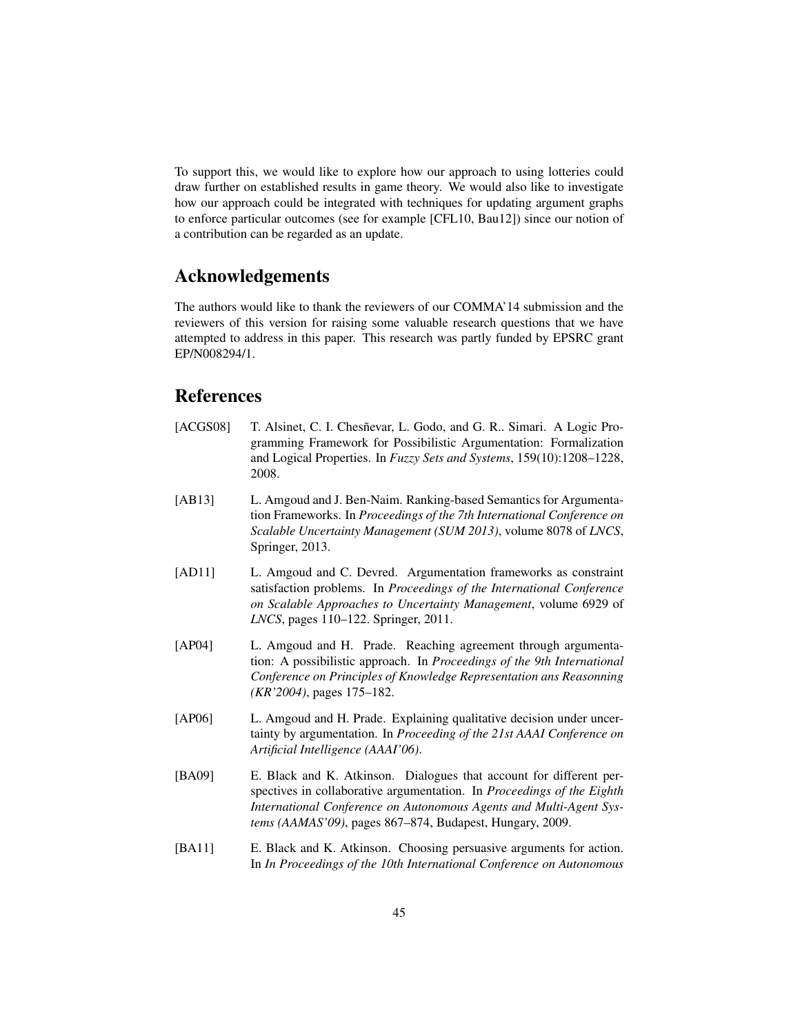To support this, we would like to explore how our approach to using lotteries could draw further on established results in game theory. We would also like to investigate how our approach could be integrated with techniques for updating argument graphs to enforce particular outcomes (see for example [CFL10, Bau12]) since our notion of a contribution can be regarded as an update.

## Acknowledgements

The authors would like to thank the reviewers of our COMMA'14 submission and the reviewers of this version for raising some valuable research questions that we have attempted to address in this paper. This research was partly funded by EPSRC grant EP/N008294/1.

# References

- [ACGS08] T. Alsinet, C. I. Chesnevar, L. Godo, and G. R., Simari. A Logic Programming Framework for Possibilistic Argumentation: Formalization and Logical Properties. In *Fuzzy Sets and Systems*, 159(10):1208–1228, 2008.
- [AB13] L. Amgoud and J. Ben-Naim. Ranking-based Semantics for Argumentation Frameworks. In *Proceedings of the 7th International Conference on Scalable Uncertainty Management (SUM 2013)*, volume 8078 of *LNCS*, Springer, 2013.
- [AD11] L. Amgoud and C. Devred. Argumentation frameworks as constraint satisfaction problems. In *Proceedings of the International Conference on Scalable Approaches to Uncertainty Management*, volume 6929 of *LNCS*, pages 110–122. Springer, 2011.
- [AP04] L. Amgoud and H. Prade. Reaching agreement through argumentation: A possibilistic approach. In *Proceedings of the 9th International Conference on Principles of Knowledge Representation ans Reasonning (KR'2004)*, pages 175–182.
- [AP06] L. Amgoud and H. Prade. Explaining qualitative decision under uncertainty by argumentation. In *Proceeding of the 21st AAAI Conference on Artificial Intelligence (AAAI'06)*.
- [BA09] E. Black and K. Atkinson. Dialogues that account for different perspectives in collaborative argumentation. In *Proceedings of the Eighth International Conference on Autonomous Agents and Multi-Agent Systems (AAMAS'09)*, pages 867–874, Budapest, Hungary, 2009.
- [BA11] E. Black and K. Atkinson. Choosing persuasive arguments for action. In *In Proceedings of the 10th International Conference on Autonomous*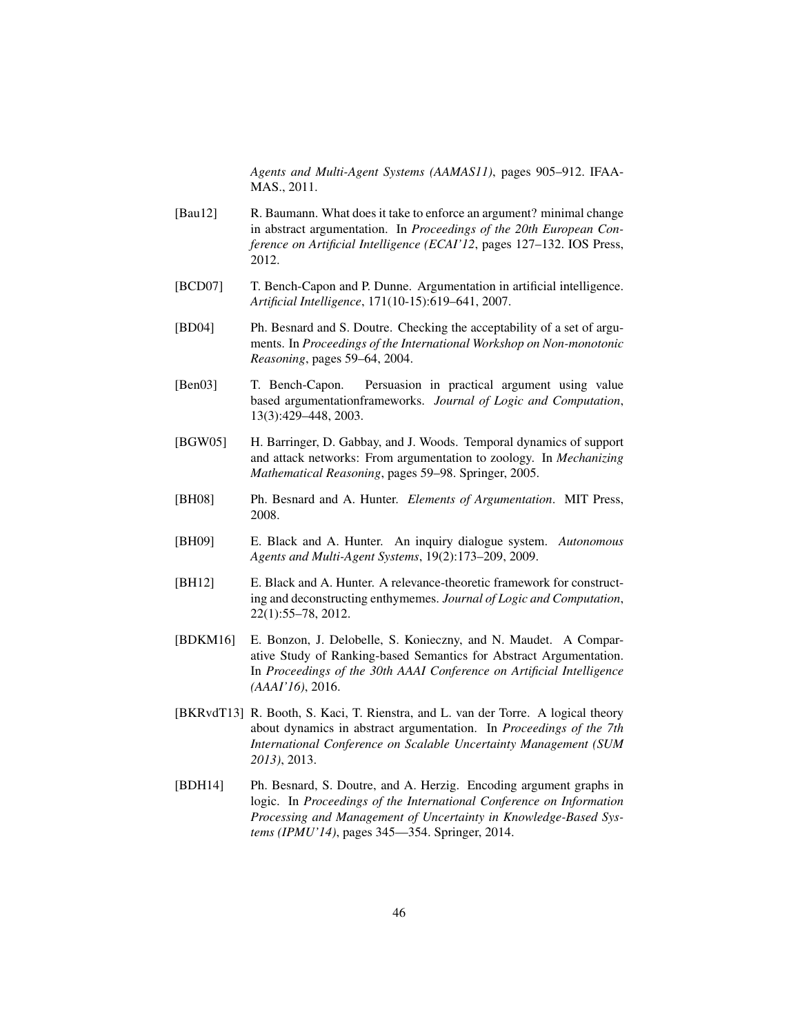*Agents and Multi-Agent Systems (AAMAS11)*, pages 905–912. IFAA-MAS., 2011.

- [Bau12] R. Baumann. What does it take to enforce an argument? minimal change in abstract argumentation. In *Proceedings of the 20th European Conference on Artificial Intelligence (ECAI'12*, pages 127–132. IOS Press, 2012.
- [BCD07] T. Bench-Capon and P. Dunne. Argumentation in artificial intelligence. *Artificial Intelligence*, 171(10-15):619–641, 2007.
- [BD04] Ph. Besnard and S. Doutre. Checking the acceptability of a set of arguments. In *Proceedings of the International Workshop on Non-monotonic Reasoning*, pages 59–64, 2004.
- [Ben03] T. Bench-Capon. Persuasion in practical argument using value based argumentationframeworks. *Journal of Logic and Computation*, 13(3):429–448, 2003.
- [BGW05] H. Barringer, D. Gabbay, and J. Woods. Temporal dynamics of support and attack networks: From argumentation to zoology. In *Mechanizing Mathematical Reasoning*, pages 59–98. Springer, 2005.
- [BH08] Ph. Besnard and A. Hunter. *Elements of Argumentation*. MIT Press, 2008.
- [BH09] E. Black and A. Hunter. An inquiry dialogue system. *Autonomous Agents and Multi-Agent Systems*, 19(2):173–209, 2009.
- [BH12] E. Black and A. Hunter. A relevance-theoretic framework for constructing and deconstructing enthymemes. *Journal of Logic and Computation*, 22(1):55–78, 2012.
- [BDKM16] E. Bonzon, J. Delobelle, S. Konieczny, and N. Maudet. A Comparative Study of Ranking-based Semantics for Abstract Argumentation. In *Proceedings of the 30th AAAI Conference on Artificial Intelligence (AAAI'16)*, 2016.
- [BKRvdT13] R. Booth, S. Kaci, T. Rienstra, and L. van der Torre. A logical theory about dynamics in abstract argumentation. In *Proceedings of the 7th International Conference on Scalable Uncertainty Management (SUM 2013)*, 2013.
- [BDH14] Ph. Besnard, S. Doutre, and A. Herzig. Encoding argument graphs in logic. In *Proceedings of the International Conference on Information Processing and Management of Uncertainty in Knowledge-Based Systems (IPMU'14)*, pages 345—354. Springer, 2014.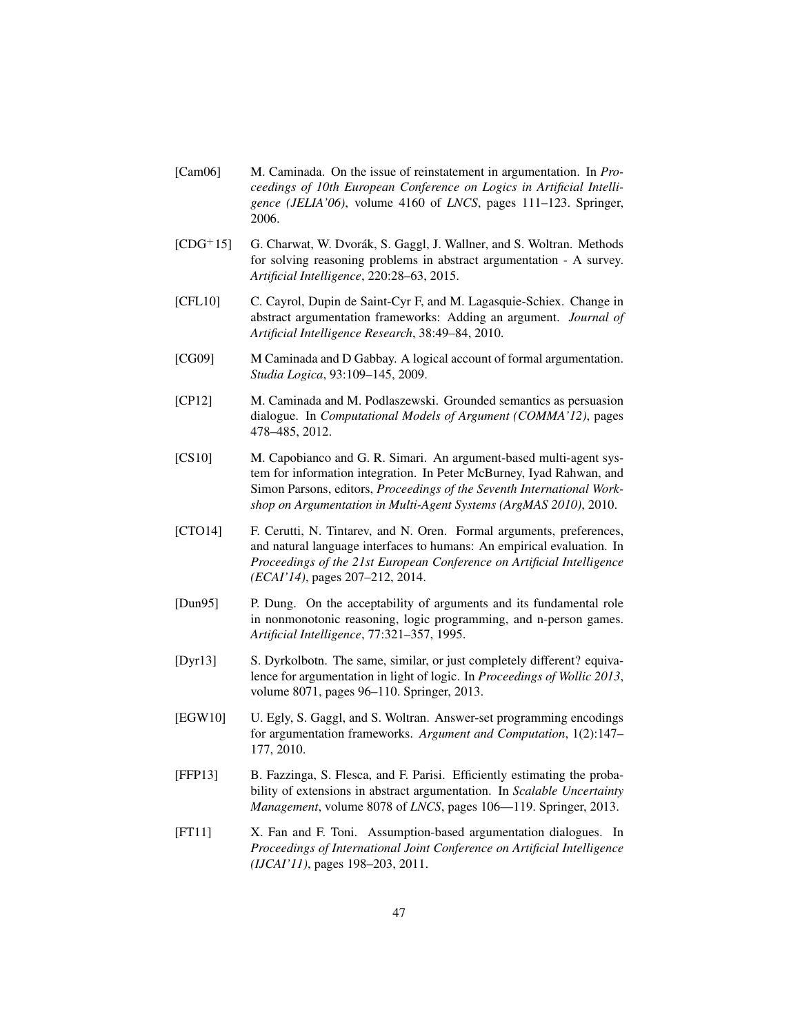- [Cam06] M. Caminada. On the issue of reinstatement in argumentation. In *Proceedings of 10th European Conference on Logics in Artificial Intelligence (JELIA'06)*, volume 4160 of *LNCS*, pages 111–123. Springer, 2006.
- $[CDG<sup>+</sup>15]$  G. Charwat, W. Dvorák, S. Gaggl, J. Wallner, and S. Woltran. Methods for solving reasoning problems in abstract argumentation - A survey. *Artificial Intelligence*, 220:28–63, 2015.
- [CFL10] C. Cayrol, Dupin de Saint-Cyr F, and M. Lagasquie-Schiex. Change in abstract argumentation frameworks: Adding an argument. *Journal of Artificial Intelligence Research*, 38:49–84, 2010.
- [CG09] M Caminada and D Gabbay. A logical account of formal argumentation. *Studia Logica*, 93:109–145, 2009.
- [CP12] M. Caminada and M. Podlaszewski. Grounded semantics as persuasion dialogue. In *Computational Models of Argument (COMMA'12)*, pages 478–485, 2012.
- [CS10] M. Capobianco and G. R. Simari. An argument-based multi-agent system for information integration. In Peter McBurney, Iyad Rahwan, and Simon Parsons, editors, *Proceedings of the Seventh International Workshop on Argumentation in Multi-Agent Systems (ArgMAS 2010)*, 2010.
- [CTO14] F. Cerutti, N. Tintarev, and N. Oren. Formal arguments, preferences, and natural language interfaces to humans: An empirical evaluation. In *Proceedings of the 21st European Conference on Artificial Intelligence (ECAI'14)*, pages 207–212, 2014.
- [Dun95] P. Dung. On the acceptability of arguments and its fundamental role in nonmonotonic reasoning, logic programming, and n-person games. *Artificial Intelligence*, 77:321–357, 1995.
- [Dyr13] S. Dyrkolbotn. The same, similar, or just completely different? equivalence for argumentation in light of logic. In *Proceedings of Wollic 2013*, volume 8071, pages 96–110. Springer, 2013.
- [EGW10] U. Egly, S. Gaggl, and S. Woltran. Answer-set programming encodings for argumentation frameworks. *Argument and Computation*, 1(2):147– 177, 2010.
- [FFP13] B. Fazzinga, S. Flesca, and F. Parisi. Efficiently estimating the probability of extensions in abstract argumentation. In *Scalable Uncertainty Management*, volume 8078 of *LNCS*, pages 106—119. Springer, 2013.
- [FT11] X. Fan and F. Toni. Assumption-based argumentation dialogues. In *Proceedings of International Joint Conference on Artificial Intelligence (IJCAI'11)*, pages 198–203, 2011.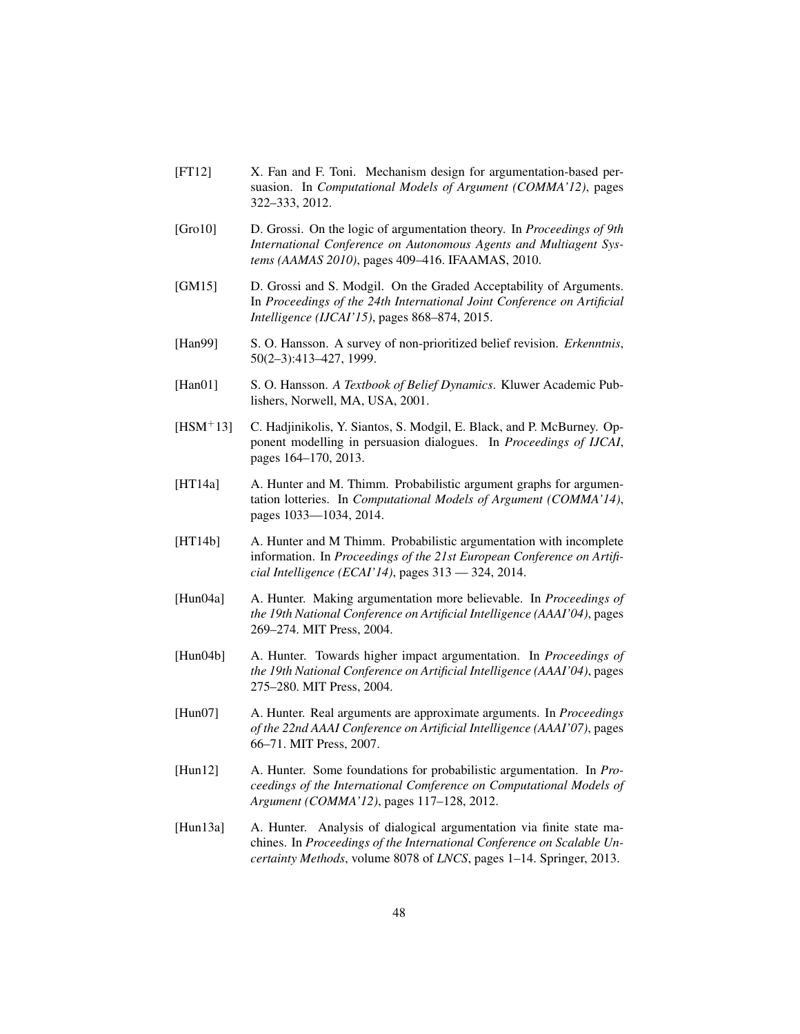- [FT12] X. Fan and F. Toni. Mechanism design for argumentation-based persuasion. In *Computational Models of Argument (COMMA'12)*, pages 322–333, 2012.
- [Gro10] D. Grossi. On the logic of argumentation theory. In *Proceedings of 9th International Conference on Autonomous Agents and Multiagent Systems (AAMAS 2010)*, pages 409–416. IFAAMAS, 2010.
- [GM15] D. Grossi and S. Modgil. On the Graded Acceptability of Arguments. In *Proceedings of the 24th International Joint Conference on Artificial Intelligence (IJCAI'15)*, pages 868–874, 2015.
- [Han99] S. O. Hansson. A survey of non-prioritized belief revision. *Erkenntnis*, 50(2–3):413–427, 1999.
- [Han01] S. O. Hansson. *A Textbook of Belief Dynamics*. Kluwer Academic Publishers, Norwell, MA, USA, 2001.
- [HSM+13] C. Hadjinikolis, Y. Siantos, S. Modgil, E. Black, and P. McBurney. Opponent modelling in persuasion dialogues. In *Proceedings of IJCAI*, pages 164–170, 2013.
- [HT14a] A. Hunter and M. Thimm. Probabilistic argument graphs for argumentation lotteries. In *Computational Models of Argument (COMMA'14)*, pages 1033—1034, 2014.
- [HT14b] A. Hunter and M Thimm. Probabilistic argumentation with incomplete information. In *Proceedings of the 21st European Conference on Artificial Intelligence (ECAI'14)*, pages 313 — 324, 2014.
- [Hun04a] A. Hunter. Making argumentation more believable. In *Proceedings of the 19th National Conference on Artificial Intelligence (AAAI'04)*, pages 269–274. MIT Press, 2004.
- [Hun04b] A. Hunter. Towards higher impact argumentation. In *Proceedings of the 19th National Conference on Artificial Intelligence (AAAI'04)*, pages 275–280. MIT Press, 2004.
- [Hun07] A. Hunter. Real arguments are approximate arguments. In *Proceedings of the 22nd AAAI Conference on Artificial Intelligence (AAAI'07)*, pages 66–71. MIT Press, 2007.
- [Hun12] A. Hunter. Some foundations for probabilistic argumentation. In *Proceedings of the International Comference on Computational Models of Argument (COMMA'12)*, pages 117–128, 2012.
- [Hun13a] A. Hunter. Analysis of dialogical argumentation via finite state machines. In *Proceedings of the International Conference on Scalable Uncertainty Methods*, volume 8078 of *LNCS*, pages 1–14. Springer, 2013.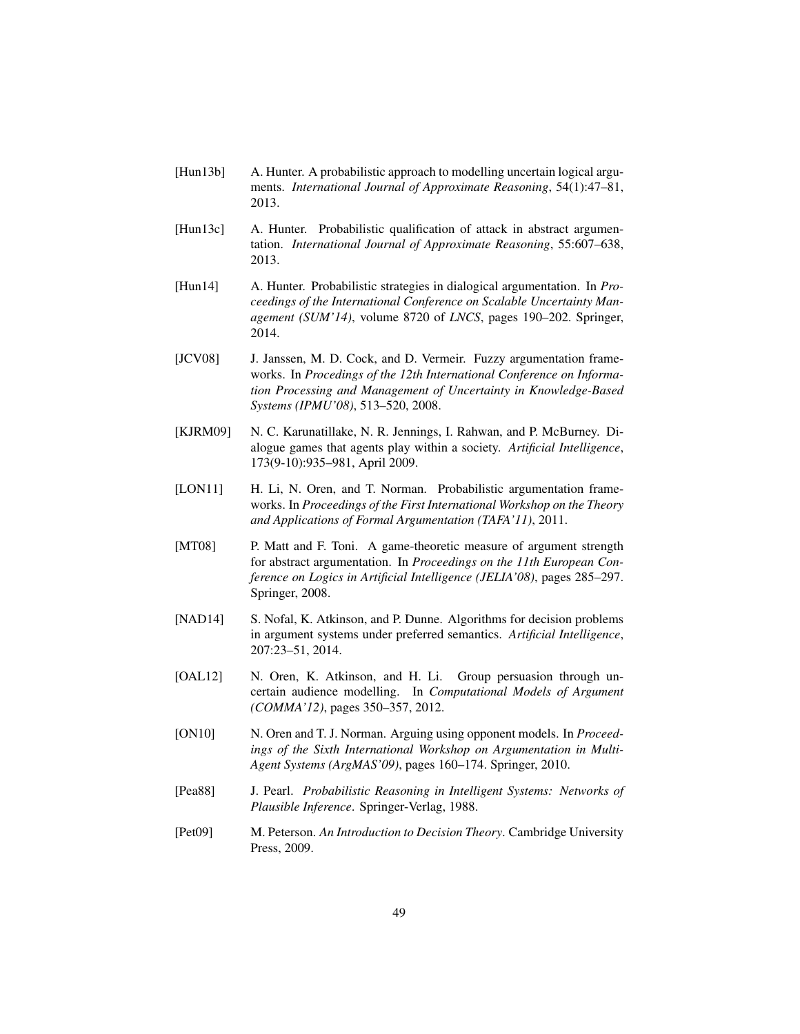- [Hun13b] A. Hunter. A probabilistic approach to modelling uncertain logical arguments. *International Journal of Approximate Reasoning*, 54(1):47–81, 2013.
- [Hun13c] A. Hunter. Probabilistic qualification of attack in abstract argumentation. *International Journal of Approximate Reasoning*, 55:607–638, 2013.
- [Hun14] A. Hunter. Probabilistic strategies in dialogical argumentation. In *Proceedings of the International Conference on Scalable Uncertainty Management (SUM'14)*, volume 8720 of *LNCS*, pages 190–202. Springer, 2014.
- [JCV08] J. Janssen, M. D. Cock, and D. Vermeir. Fuzzy argumentation frameworks. In *Procedings of the 12th International Conference on Information Processing and Management of Uncertainty in Knowledge-Based Systems (IPMU'08)*, 513–520, 2008.
- [KJRM09] N. C. Karunatillake, N. R. Jennings, I. Rahwan, and P. McBurney. Dialogue games that agents play within a society. *Artificial Intelligence*, 173(9-10):935–981, April 2009.
- [LON11] H. Li, N. Oren, and T. Norman. Probabilistic argumentation frameworks. In *Proceedings of the First International Workshop on the Theory and Applications of Formal Argumentation (TAFA'11)*, 2011.
- [MT08] P. Matt and F. Toni. A game-theoretic measure of argument strength for abstract argumentation. In *Proceedings on the 11th European Conference on Logics in Artificial Intelligence (JELIA'08)*, pages 285–297. Springer, 2008.
- [NAD14] S. Nofal, K. Atkinson, and P. Dunne. Algorithms for decision problems in argument systems under preferred semantics. *Artificial Intelligence*, 207:23–51, 2014.
- [OAL12] N. Oren, K. Atkinson, and H. Li. Group persuasion through uncertain audience modelling. In *Computational Models of Argument (COMMA'12)*, pages 350–357, 2012.
- [ON10] N. Oren and T. J. Norman. Arguing using opponent models. In *Proceedings of the Sixth International Workshop on Argumentation in Multi-Agent Systems (ArgMAS'09)*, pages 160–174. Springer, 2010.
- [Pea88] J. Pearl. *Probabilistic Reasoning in Intelligent Systems: Networks of Plausible Inference*. Springer-Verlag, 1988.
- [Pet09] M. Peterson. *An Introduction to Decision Theory*. Cambridge University Press, 2009.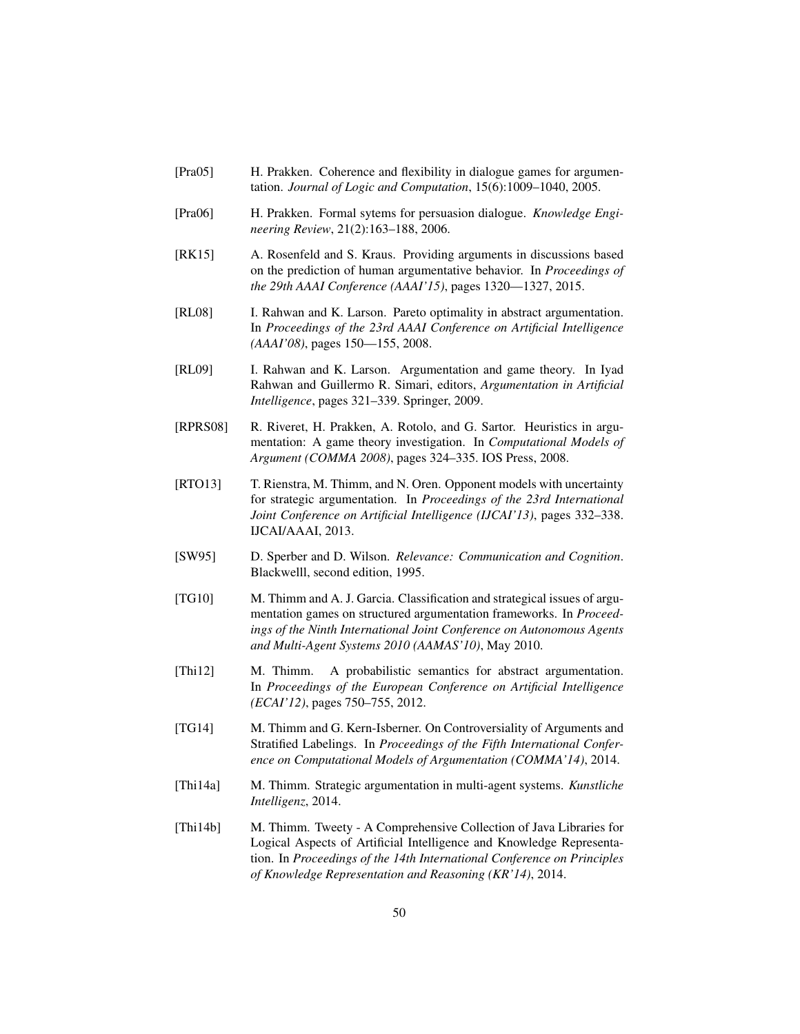- [Pra05] H. Prakken. Coherence and flexibility in dialogue games for argumentation. *Journal of Logic and Computation*, 15(6):1009–1040, 2005.
- [Pra06] H. Prakken. Formal sytems for persuasion dialogue. *Knowledge Engineering Review*, 21(2):163–188, 2006.
- [RK15] A. Rosenfeld and S. Kraus. Providing arguments in discussions based on the prediction of human argumentative behavior. In *Proceedings of the 29th AAAI Conference (AAAI'15)*, pages 1320—1327, 2015.
- [RL08] I. Rahwan and K. Larson. Pareto optimality in abstract argumentation. In *Proceedings of the 23rd AAAI Conference on Artificial Intelligence (AAAI'08)*, pages 150—155, 2008.
- [RL09] I. Rahwan and K. Larson. Argumentation and game theory. In Iyad Rahwan and Guillermo R. Simari, editors, *Argumentation in Artificial Intelligence*, pages 321–339. Springer, 2009.
- [RPRS08] R. Riveret, H. Prakken, A. Rotolo, and G. Sartor. Heuristics in argumentation: A game theory investigation. In *Computational Models of Argument (COMMA 2008)*, pages 324–335. IOS Press, 2008.
- [RTO13] T. Rienstra, M. Thimm, and N. Oren. Opponent models with uncertainty for strategic argumentation. In *Proceedings of the 23rd International Joint Conference on Artificial Intelligence (IJCAI'13)*, pages 332–338. IJCAI/AAAI, 2013.
- [SW95] D. Sperber and D. Wilson. *Relevance: Communication and Cognition*. Blackwelll, second edition, 1995.
- [TG10] M. Thimm and A. J. Garcia. Classification and strategical issues of argumentation games on structured argumentation frameworks. In *Proceedings of the Ninth International Joint Conference on Autonomous Agents and Multi-Agent Systems 2010 (AAMAS'10)*, May 2010.
- [Thi12] M. Thimm. A probabilistic semantics for abstract argumentation. In *Proceedings of the European Conference on Artificial Intelligence (ECAI'12)*, pages 750–755, 2012.
- [TG14] M. Thimm and G. Kern-Isberner. On Controversiality of Arguments and Stratified Labelings. In *Proceedings of the Fifth International Conference on Computational Models of Argumentation (COMMA'14)*, 2014.
- [Thi14a] M. Thimm. Strategic argumentation in multi-agent systems. *Kunstliche Intelligenz*, 2014.
- [Thi14b] M. Thimm. Tweety A Comprehensive Collection of Java Libraries for Logical Aspects of Artificial Intelligence and Knowledge Representation. In *Proceedings of the 14th International Conference on Principles of Knowledge Representation and Reasoning (KR'14)*, 2014.